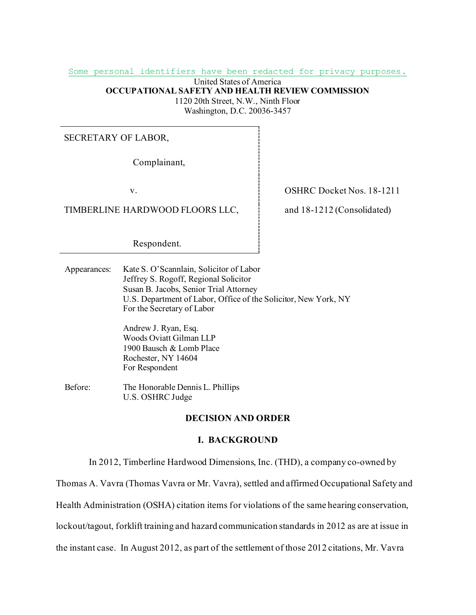Some personal identifiers have been redacted for privacy purposes.

United States of America **OCCUPATIONAL SAFETY AND HEALTH REVIEW COMMISSION** 1120 20th Street, N.W., Ninth Floor

Washington, D.C. 20036-3457

## SECRETARY OF LABOR,

Complainant,

TIMBERLINE HARDWOOD FLOORS LLC,  $\vdots$  and 18-1212 (Consolidated)

Respondent.

v. COSHRC Docket Nos. 18-1211

Appearances: Kate S. O'Scannlain, Solicitor of Labor Jeffrey S. Rogoff, Regional Solicitor Susan B. Jacobs, Senior Trial Attorney U.S. Department of Labor, Office of the Solicitor, New York, NY For the Secretary of Labor

> Andrew J. Ryan, Esq. Woods Oviatt Gilman LLP 1900 Bausch & Lomb Place Rochester, NY 14604 For Respondent

Before: The Honorable Dennis L. Phillips U.S. OSHRC Judge

## **DECISION AND ORDER**

## **I. BACKGROUND**

In 2012, Timberline Hardwood Dimensions, Inc. (THD), a company co-owned by

Thomas A. Vavra (Thomas Vavra or Mr. Vavra), settled and affirmed Occupational Safety and

Health Administration (OSHA) citation items for violations of the same hearing conservation,

lockout/tagout, forklift training and hazard communication standards in 2012 as are at issue in

the instant case. In August 2012, as part of the settlement of those 2012 citations, Mr. Vavra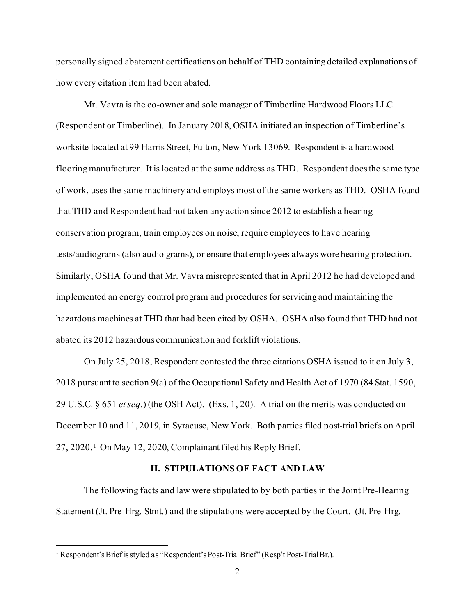personally signed abatement certifications on behalf of THD containing detailed explanations of how every citation item had been abated.

Mr. Vavra is the co-owner and sole manager of Timberline Hardwood Floors LLC (Respondent or Timberline). In January 2018, OSHA initiated an inspection of Timberline's worksite located at 99 Harris Street, Fulton, New York 13069. Respondent is a hardwood flooring manufacturer. It is located at the same address as THD. Respondent does the same type of work, uses the same machinery and employs most of the same workers as THD. OSHA found that THD and Respondent had not taken any action since 2012 to establish a hearing conservation program, train employees on noise, require employees to have hearing tests/audiograms (also audio grams), or ensure that employees always wore hearing protection. Similarly, OSHA found that Mr. Vavra misrepresented that in April 2012 he had developed and implemented an energy control program and procedures for servicing and maintaining the hazardous machines at THD that had been cited by OSHA. OSHA also found that THD had not abated its 2012 hazardous communication and forklift violations.

On July 25, 2018, Respondent contested the three citations OSHA issued to it on July 3, 2018 pursuant to section 9(a) of the Occupational Safety and Health Act of 1970 (84 Stat. 1590, 29 U.S.C. § 651 *et seq*.) (the OSH Act). (Exs. 1, 20). A trial on the merits was conducted on December 10 and 11, 2019, in Syracuse, New York. Both parties filed post-trial briefs on April  $27, 2020$ .<sup>[1](#page-1-0)</sup> On May 12, 2020, Complainant filed his Reply Brief.

## **II. STIPULATIONS OF FACT AND LAW**

The following facts and law were stipulated to by both parties in the Joint Pre-Hearing Statement (Jt. Pre-Hrg. Stmt.) and the stipulations were accepted by the Court. (Jt. Pre-Hrg.

<span id="page-1-0"></span><sup>&</sup>lt;sup>1</sup> Respondent's Brief is styled as "Respondent's Post-Trial Brief" (Resp't Post-Trial Br.).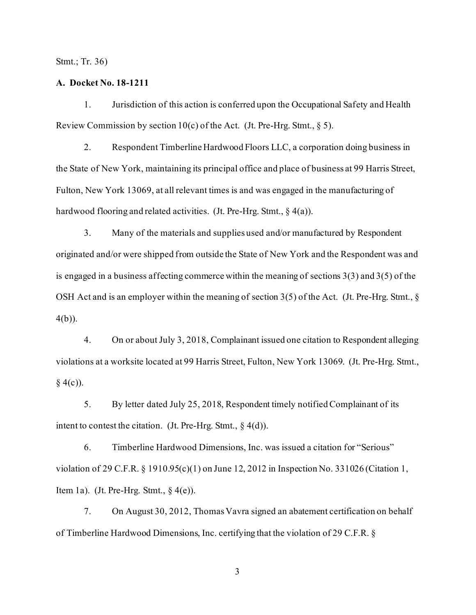Stmt.; Tr. 36)

## **A. Docket No. 18-1211**

1. Jurisdiction of this action is conferred upon the Occupational Safety and Health Review Commission by section 10(c) of the Act. (Jt. Pre-Hrg. Stmt.,  $\S$  5).

2. Respondent Timberline Hardwood Floors LLC, a corporation doing business in the State of New York, maintaining its principal office and place of business at 99 Harris Street, Fulton, New York 13069, at all relevant times is and was engaged in the manufacturing of hardwood flooring and related activities. (Jt. Pre-Hrg. Stmt., § 4(a)).

3. Many of the materials and supplies used and/or manufactured by Respondent originated and/or were shipped from outside the State of New York and the Respondent was and is engaged in a business affecting commerce within the meaning of sections 3(3) and 3(5) of the OSH Act and is an employer within the meaning of section 3(5) of the Act. (Jt. Pre-Hrg. Stmt., § 4(b)).

4. On or about July 3, 2018, Complainant issued one citation to Respondent alleging violations at a worksite located at 99 Harris Street, Fulton, New York 13069. (Jt. Pre-Hrg. Stmt.,  $§ 4(c)$ ).

5. By letter dated July 25, 2018, Respondent timely notified Complainant of its intent to contest the citation. (Jt. Pre-Hrg. Stmt.,  $\S$  4(d)).

6. Timberline Hardwood Dimensions, Inc. was issued a citation for "Serious" violation of 29 C.F.R. § 1910.95(c)(1) on June 12, 2012 in Inspection No. 331026 (Citation 1, Item 1a). (Jt. Pre-Hrg. Stmt.,  $\S$  4(e)).

7. On August 30, 2012, Thomas Vavra signed an abatement certification on behalf of Timberline Hardwood Dimensions, Inc. certifying that the violation of 29 C.F.R. §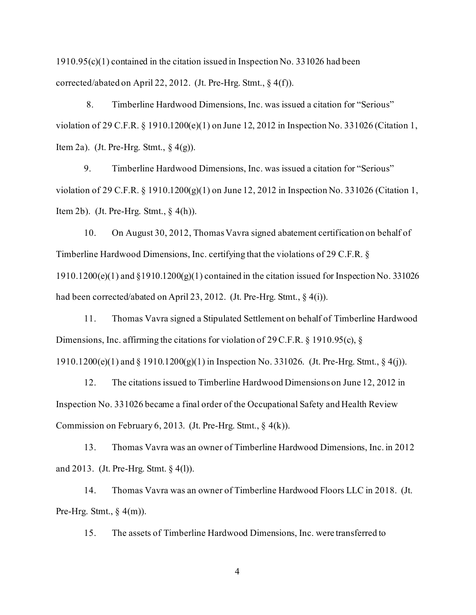1910.95(c)(1) contained in the citation issued in Inspection No. 331026 had been corrected/abated on April 22, 2012. (Jt. Pre-Hrg. Stmt., § 4(f)).

8. Timberline Hardwood Dimensions, Inc. was issued a citation for "Serious" violation of 29 C.F.R. § 1910.1200(e)(1) on June 12, 2012 in Inspection No. 331026 (Citation 1, Item 2a). (Jt. Pre-Hrg. Stmt.,  $\S$  4(g)).

9. Timberline Hardwood Dimensions, Inc. was issued a citation for "Serious" violation of 29 C.F.R. § 1910.1200(g)(1) on June 12, 2012 in Inspection No. 331026 (Citation 1, Item 2b). (Jt. Pre-Hrg. Stmt.,  $\S$  4(h)).

10. On August 30, 2012, Thomas Vavra signed abatement certification on behalf of Timberline Hardwood Dimensions, Inc. certifying that the violations of 29 C.F.R. § 1910.1200(e)(1) and §1910.1200(g)(1) contained in the citation issued for Inspection No. 331026 had been corrected/abated on April 23, 2012. (Jt. Pre-Hrg. Stmt., § 4(i)).

11. Thomas Vavra signed a Stipulated Settlement on behalf of Timberline Hardwood Dimensions, Inc. affirming the citations for violation of 29 C.F.R. § 1910.95(c), § 1910.1200(e)(1) and § 1910.1200(g)(1) in Inspection No. 331026. (Jt. Pre-Hrg. Stmt., § 4(j)).

12. The citations issued to Timberline Hardwood Dimensions on June 12, 2012 in Inspection No. 331026 became a final order of the Occupational Safety and Health Review Commission on February 6, 2013. (Jt. Pre-Hrg. Stmt.,  $\S$  4(k)).

13. Thomas Vavra was an owner of Timberline Hardwood Dimensions, Inc. in 2012 and 2013. (Jt. Pre-Hrg. Stmt. § 4(l)).

14. Thomas Vavra was an owner of Timberline Hardwood Floors LLC in 2018. (Jt. Pre-Hrg. Stmt.,  $\S$  4(m)).

15. The assets of Timberline Hardwood Dimensions, Inc. were transferred to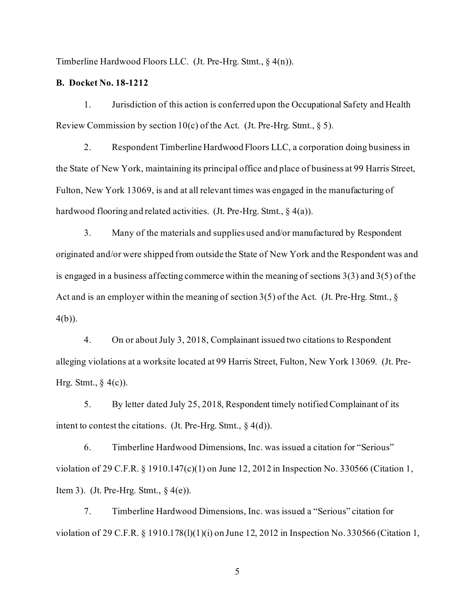Timberline Hardwood Floors LLC. (Jt. Pre-Hrg. Stmt., § 4(n)).

## **B. Docket No. 18-1212**

1. Jurisdiction of this action is conferred upon the Occupational Safety and Health Review Commission by section 10(c) of the Act. (Jt. Pre-Hrg. Stmt.,  $\S$  5).

2. Respondent Timberline Hardwood Floors LLC, a corporation doing business in the State of New York, maintaining its principal office and place of business at 99 Harris Street, Fulton, New York 13069, is and at all relevant times was engaged in the manufacturing of hardwood flooring and related activities. (Jt. Pre-Hrg. Stmt., § 4(a)).

3. Many of the materials and supplies used and/or manufactured by Respondent originated and/or were shipped from outside the State of New York and the Respondent was and is engaged in a business affecting commerce within the meaning of sections 3(3) and 3(5) of the Act and is an employer within the meaning of section 3(5) of the Act. (Jt. Pre-Hrg. Stmt., § 4(b)).

4. On or about July 3, 2018, Complainant issued two citations to Respondent alleging violations at a worksite located at 99 Harris Street, Fulton, New York 13069. (Jt. Pre-Hrg. Stmt.,  $\S$  4(c)).

5. By letter dated July 25, 2018, Respondent timely notified Complainant of its intent to contest the citations. (Jt. Pre-Hrg. Stmt.,  $\S$  4(d)).

6. Timberline Hardwood Dimensions, Inc. was issued a citation for "Serious" violation of 29 C.F.R. § 1910.147(c)(1) on June 12, 2012 in Inspection No. 330566 (Citation 1, Item 3). (Jt. Pre-Hrg. Stmt.,  $\S$  4(e)).

7. Timberline Hardwood Dimensions, Inc. was issued a "Serious" citation for violation of 29 C.F.R. § 1910.178(l)(1)(i) on June 12, 2012 in Inspection No. 330566 (Citation 1,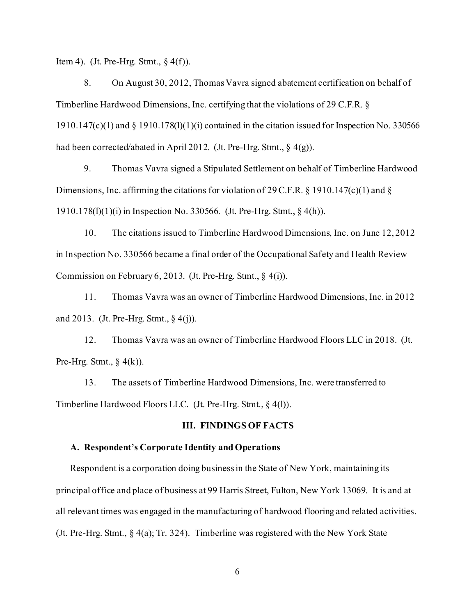Item 4). (Jt. Pre-Hrg. Stmt.,  $\S$  4(f)).

8. On August 30, 2012, Thomas Vavra signed abatement certification on behalf of Timberline Hardwood Dimensions, Inc. certifying that the violations of 29 C.F.R. § 1910.147(c)(1) and § 1910.178(l)(1)(i) contained in the citation issued for Inspection No. 330566 had been corrected/abated in April 2012. (Jt. Pre-Hrg. Stmt., § 4(g)).

9. Thomas Vavra signed a Stipulated Settlement on behalf of Timberline Hardwood Dimensions, Inc. affirming the citations for violation of 29 C.F.R. § 1910.147(c)(1) and § 1910.178(l)(1)(i) in Inspection No. 330566. (Jt. Pre-Hrg. Stmt., § 4(h)).

10. The citations issued to Timberline Hardwood Dimensions, Inc. on June 12, 2012 in Inspection No. 330566 became a final order of the Occupational Safety and Health Review Commission on February 6, 2013. (Jt. Pre-Hrg. Stmt., § 4(i)).

11. Thomas Vavra was an owner of Timberline Hardwood Dimensions, Inc. in 2012 and 2013. (Jt. Pre-Hrg. Stmt., § 4(j)).

12. Thomas Vavra was an owner of Timberline Hardwood Floors LLC in 2018. (Jt. Pre-Hrg. Stmt.,  $\S$  4(k)).

13. The assets of Timberline Hardwood Dimensions, Inc. were transferred to Timberline Hardwood Floors LLC. (Jt. Pre-Hrg. Stmt., § 4(l)).

## **III. FINDINGS OF FACTS**

#### **A. Respondent's Corporate Identity and Operations**

Respondent is a corporation doing business in the State of New York, maintaining its principal office and place of business at 99 Harris Street, Fulton, New York 13069. It is and at all relevant times was engaged in the manufacturing of hardwood flooring and related activities. (Jt. Pre-Hrg. Stmt., § 4(a); Tr. 324). Timberline was registered with the New York State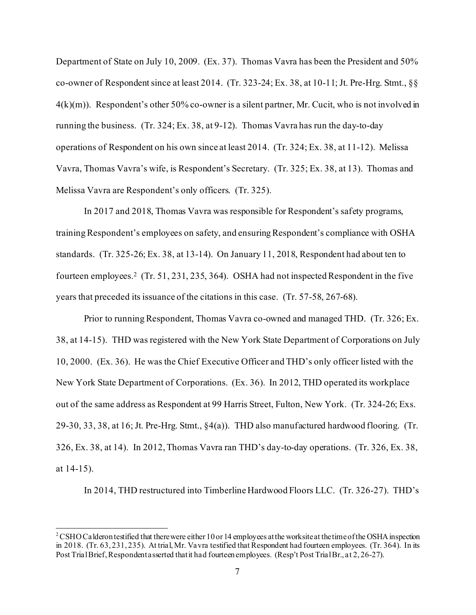Department of State on July 10, 2009. (Ex. 37). Thomas Vavra has been the President and 50% co-owner of Respondent since at least 2014. (Tr. 323-24; Ex. 38, at 10-11; Jt. Pre-Hrg. Stmt., §§  $4(k)(m)$ . Respondent's other 50% co-owner is a silent partner, Mr. Cucit, who is not involved in running the business. (Tr. 324; Ex. 38, at 9-12). Thomas Vavra has run the day-to-day operations of Respondent on his own since at least 2014. (Tr. 324; Ex. 38, at 11-12). Melissa Vavra, Thomas Vavra's wife, is Respondent's Secretary. (Tr. 325; Ex. 38, at 13). Thomas and Melissa Vavra are Respondent's only officers. (Tr. 325).

In 2017 and 2018, Thomas Vavra was responsible for Respondent's safety programs, training Respondent's employees on safety, and ensuring Respondent's compliance with OSHA standards. (Tr. 325-26; Ex. 38, at 13-14). On January 11, 2018, Respondent had about ten to fourteen employees. [2](#page-6-0) (Tr. 51, 231, 235, 364). OSHA had not inspected Respondent in the five years that preceded its issuance of the citations in this case. (Tr. 57-58, 267-68).

Prior to running Respondent, Thomas Vavra co-owned and managed THD. (Tr. 326; Ex. 38, at 14-15). THD was registered with the New York State Department of Corporations on July 10, 2000. (Ex. 36). He was the Chief Executive Officer and THD's only officer listed with the New York State Department of Corporations. (Ex. 36). In 2012, THD operated its workplace out of the same address as Respondent at 99 Harris Street, Fulton, New York. (Tr. 324-26; Exs. 29-30, 33, 38, at 16; Jt. Pre-Hrg. Stmt., §4(a)). THD also manufactured hardwood flooring. (Tr. 326, Ex. 38, at 14). In 2012, Thomas Vavra ran THD's day-to-day operations. (Tr. 326, Ex. 38, at 14-15).

In 2014, THD restructured into Timberline Hardwood Floors LLC. (Tr. 326-27). THD's

<span id="page-6-0"></span><sup>&</sup>lt;sup>2</sup> CSHO Calderon testified that there were either 10 or 14 employees at the worksite at the time of the OSHA inspection in 2018. (Tr. 63, 231, 235). At trial, Mr. Vavra testified that Respondent had fourteen employees. (Tr. 364). In its Post Trial Brief, Respondent asserted that it had fourteen employees. (Resp't Post Trial Br., at 2, 26-27).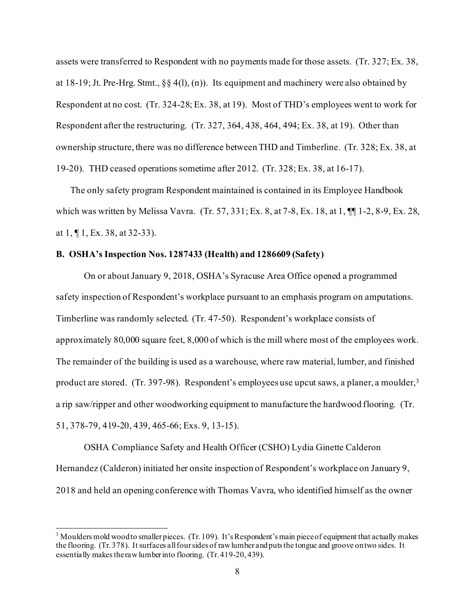assets were transferred to Respondent with no payments made for those assets. (Tr. 327; Ex. 38, at 18-19; Jt. Pre-Hrg. Stmt., §§ 4(l), (n)). Its equipment and machinery were also obtained by Respondent at no cost. (Tr. 324-28; Ex. 38, at 19). Most of THD's employees went to work for Respondent after the restructuring. (Tr. 327, 364, 438, 464, 494; Ex. 38, at 19). Other than ownership structure, there was no difference between THD and Timberline. (Tr. 328; Ex. 38, at 19-20). THD ceased operations sometime after 2012. (Tr. 328; Ex. 38, at 16-17).

The only safety program Respondent maintained is contained in its Employee Handbook which was written by Melissa Vavra. (Tr. 57, 331; Ex. 8, at 7-8, Ex. 18, at 1, ¶¶ 1-2, 8-9, Ex. 28, at 1, ¶ 1, Ex. 38, at 32-33).

## **B. OSHA's Inspection Nos. 1287433 (Health) and 1286609 (Safety)**

On or about January 9, 2018, OSHA's Syracuse Area Office opened a programmed safety inspection of Respondent's workplace pursuant to an emphasis program on amputations. Timberline was randomly selected. (Tr. 47-50). Respondent's workplace consists of approximately 80,000 square feet, 8,000 of which is the mill where most of the employees work. The remainder of the building is used as a warehouse, where raw material, lumber, and finished product are stored. (Tr. 397-98). Respondent's employees use upcut saws, a planer, a moulder,<sup>3</sup> a rip saw/ripper and other woodworking equipment to manufacture the hardwood flooring. (Tr. 51, 378-79, 419-20, 439, 465-66; Exs. 9, 13-15).

OSHA Compliance Safety and Health Officer (CSHO) Lydia Ginette Calderon Hernandez (Calderon) initiated her onsite inspection of Respondent's workplace on January 9, 2018 and held an opening conference with Thomas Vavra, who identified himself as the owner

<span id="page-7-0"></span><sup>&</sup>lt;sup>3</sup> Moulders mold wood to smaller pieces. (Tr. 109). It's Respondent's main piece of equipment that actually makes the flooring. (Tr. 378). It surfaces all four sides of raw lumber and puts the tongue and groove on two sides. It essentially makes the raw lumber into flooring. (Tr. 419-20, 439).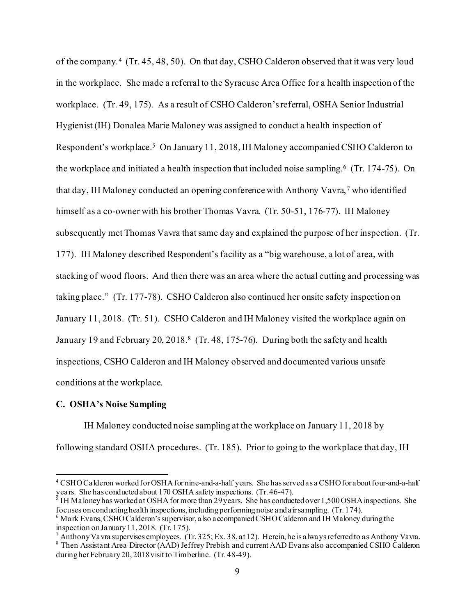of the company. [4](#page-8-0) (Tr. 45, 48, 50). On that day, CSHO Calderon observed that it was very loud in the workplace. She made a referral to the Syracuse Area Office for a health inspection of the workplace. (Tr. 49, 175). As a result of CSHO Calderon's referral, OSHA Senior Industrial Hygienist (IH) Donalea Marie Maloney was assigned to conduct a health inspection of Respondent's workplace.[5](#page-8-1) On January 11, 2018, IH Maloney accompanied CSHO Calderon to the workplace and initiated a health inspection that included noise sampling.<sup>6</sup> (Tr. 174-75). On that day, IH Maloney conducted an opening conference with Anthony Vavra, [7](#page-8-3) who identified himself as a co-owner with his brother Thomas Vavra. (Tr. 50-51, 176-77). IH Maloney subsequently met Thomas Vavra that same day and explained the purpose of her inspection. (Tr. 177). IH Maloney described Respondent's facility as a "big warehouse, a lot of area, with stacking of wood floors. And then there was an area where the actual cutting and processing was taking place." (Tr. 177-78). CSHO Calderon also continued her onsite safety inspection on January 11, 2018. (Tr. 51). CSHO Calderon and IH Maloney visited the workplace again on January 19 and February 20, 2018.<sup>8</sup> (Tr. 48, 175-76). During both the safety and health inspections, CSHO Calderon and IH Maloney observed and documented various unsafe conditions at the workplace.

#### **C. OSHA's Noise Sampling**

IH Maloney conducted noise sampling at the workplace on January 11, 2018 by following standard OSHA procedures. (Tr. 185). Prior to going to the workplace that day, IH

<span id="page-8-0"></span><sup>4</sup> CSHO Calderon worked for OSHA for nine-and-a-half years. She has served as a CSHO for about four-and-a-half years. She has conducted about 170 OSHA safety inspections. (Tr. 46-47).<br><sup>5</sup> IH Maloney has worked at OSHA for more than 29 years. She has conducted over 1,500 OSHA inspections. She

<span id="page-8-1"></span>focuses on conducting health inspections, including performing noise and air sampling. (Tr. 174).

<span id="page-8-2"></span><sup>6</sup> Mark Evans, CSHO Calderon's supervisor, also accompanied CSHO Calderon and IH Maloney during the inspection on January 11, 2018. (Tr. 175).

 $^7$  Anthony Vavra supervises employees. (Tr. 325; Ex. 38, at 12). Herein, he is always referred to as Anthony Vavra.

<span id="page-8-4"></span><span id="page-8-3"></span><sup>8</sup> Then Assistant Area Director (AAD) Jeffrey Prebish and current AAD Evans also accompanied CSHO Calderon during her February 20, 2018 visit to Timberline. (Tr. 48-49).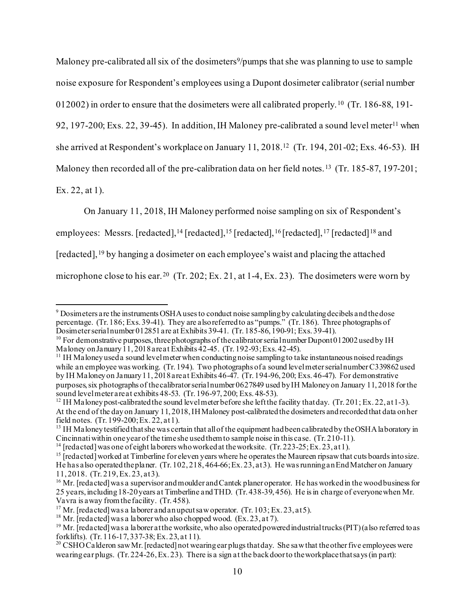Maloney pre-calibrated all six of the dosimeters<sup>9</sup>/pumps that she was planning to use to sample noise exposure for Respondent's employees using a Dupont dosimeter calibrator (serial number

012002) in order to ensure that the dosimeters were all calibrated properly. [10](#page-9-1) (Tr. 186-88, 191-

92, 197-200; Exs. 22, 39-45). In addition, IH Maloney pre-calibrated a sound level meter<sup>[11](#page-9-2)</sup> when

she arrived at Respondent's workplace on January 11, 2018.[12](#page-9-3) (Tr. 194, 201-02; Exs. 46-53). IH

Maloney then recorded all of the pre-calibration data on her field notes. [13](#page-9-4) (Tr. 185-87, 197-201;

Ex. 22, at 1).

On January 11, 2018, IH Maloney performed noise sampling on six of Respondent's

employees: Messrs. [redacted],  $^{14}$  $^{14}$  $^{14}$  [redacted],  $^{15}$  [redacted],  $^{16}$  $^{16}$  $^{16}$  [redacted],  $^{17}$  $^{17}$  $^{17}$  [redacted]  $^{18}$  $^{18}$  $^{18}$  and

[redacted],[19](#page-9-10) by hanging a dosimeter on each employee's waist and placing the attached

microphone close to his ear.<sup>20</sup> (Tr. 202; Ex. 21, at 1-4, Ex. 23). The dosimeters were worn by

<span id="page-9-5"></span><sup>14</sup> [redacted] was one of eight laborers who worked at the worksite. (Tr. 223-25; Ex. 23, at 1).

<span id="page-9-0"></span><sup>9</sup> Dosimeters are the instruments OSHA uses to conduct noise sampling by calculating decibels and thedose percentage. (Tr. 186; Exs. 39-41). They are also referred to as "pumps." (Tr. 186). Three photographs of Dosimeter serial number 012851 are at Exhibits 39-41. (Tr. 185-86, 190-91; Exs. 39-41).

<span id="page-9-1"></span><sup>&</sup>lt;sup>10</sup> For demonstrative purposes, three photographs of the calibrator serial number Dupont 012002 used by IH Maloney on January 11, 2018 are at Exhibits 42-45. (Tr. 192-93; Exs. 42-45).

<span id="page-9-2"></span><sup>&</sup>lt;sup>11</sup> IH Maloney used a sound level meter when conducting noise sampling to take instantaneous noised readings while an employee was working. (Tr. 194). Two photographs of a sound level meter serial number C339862 used by IH Maloney on January 11, 2018 are at Exhibits 46-47. (Tr. 194-96, 200; Exs. 46-47). For demonstrative purposes, six photographs of the calibrator serial number 0627849 used by IH Maloney on January 11, 2018 for the sound level meter are at exhibits 48-53. (Tr. 196-97, 200; Exs. 48-53).

<span id="page-9-3"></span><sup>&</sup>lt;sup>12</sup> IH Maloney post-calibrated the sound level meter before she left the facility that day. (Tr. 201; Ex. 22, at 1-3). At the end of the day on January 11, 2018, IH Maloney post-calibrated the dosimeters and recorded that data on her field notes. (Tr. 199-200: Ex. 22. at 1).

<span id="page-9-4"></span><sup>&</sup>lt;sup>13</sup> IH Maloney testified that she was certain that all of the equipment had been calibrated by the OSHA laboratory in Cincinnati within one year of the time she used them to sample noise in this case. (Tr. 210-11).

<span id="page-9-6"></span><sup>&</sup>lt;sup>15</sup> [redacted] worked at Timberline for eleven years where he operates the Maureen ripsaw that cuts boards into size. He has also operated the planer. (Tr. 102, 218, 464-66; Ex. 23, at 3). He was running an End Matcher on January 11, 2018. (Tr. 219, Ex. 23, at 3).

<span id="page-9-7"></span><sup>&</sup>lt;sup>16</sup> Mr. [redacted] was a supervisor and moulder and Cantek planer operator. He has worked in the wood business for 25 years, including 18-20 years at Timberline and THD. (Tr. 438-39, 456). He is in charge of everyone when Mr. Vavra is a way from the facility. (Tr. 458).

<span id="page-9-10"></span><span id="page-9-9"></span>

<span id="page-9-8"></span><sup>&</sup>lt;sup>17</sup> Mr. [redacted] was a laborer and an upcut saw operator. (Tr. 103; Ex. 23, at 5).<br><sup>18</sup> Mr. [redacted] was a laborer who also chopped wood. (Ex. 23, at 7).<br><sup>19</sup> Mr. [redacted] was a laborer at the worksite, who also op

<span id="page-9-11"></span><sup>&</sup>lt;sup>20</sup> CSHO Calderon saw Mr. [redacted] not wearing ear plugs that day. She saw that the other five employees were wearing ear plugs. (Tr. 224-26, Ex. 23). There is a sign at the back door to the workplace that says (in part):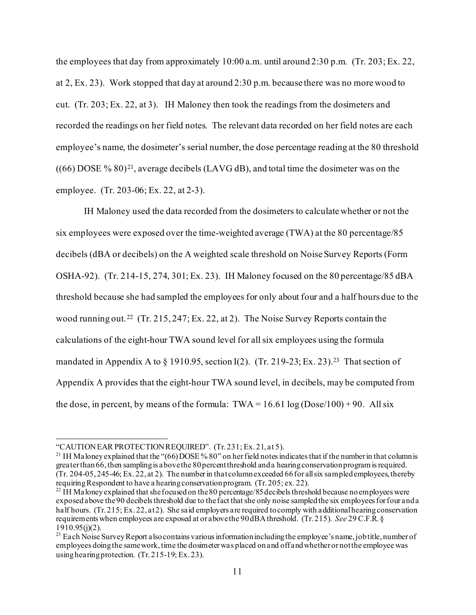the employees that day from approximately 10:00 a.m. until around 2:30 p.m. (Tr. 203; Ex. 22, at 2, Ex. 23). Work stopped that day at around 2:30 p.m. because there was no more wood to cut. (Tr. 203; Ex. 22, at 3). IH Maloney then took the readings from the dosimeters and recorded the readings on her field notes. The relevant data recorded on her field notes are each employee's name, the dosimeter's serial number, the dose percentage reading at the 80 threshold  $((66)$  DOSE % 80)<sup>[21](#page-10-0)</sup>, average decibels (LAVG dB), and total time the dosimeter was on the employee. (Tr. 203-06; Ex. 22, at 2-3).

IH Maloney used the data recorded from the dosimeters to calculate whether or not the six employees were exposed over the time-weighted average (TWA) at the 80 percentage/85 decibels (dBA or decibels) on the A weighted scale threshold on Noise Survey Reports (Form OSHA-92). (Tr. 214-15, 274, 301; Ex. 23). IH Maloney focused on the 80 percentage/85 dBA threshold because she had sampled the employees for only about four and a half hours due to the wood running out.[22](#page-10-1) (Tr. 215, 247; Ex. 22, at 2). The Noise Survey Reports contain the calculations of the eight-hour TWA sound level for all six employees using the formula mandated in Appendix A to  $\S$  1910.95, section I(2). (Tr. 219-23; Ex. 23).<sup>23</sup> That section of Appendix A provides that the eight-hour TWA sound level, in decibels, may be computed from the dose, in percent, by means of the formula:  $TWA = 16.61 \log (Dose/100) + 90$ . All six

<span id="page-10-0"></span><sup>&</sup>quot;CAUTION EAR PROTECTION REQUIRED". (Tr. 231; Ex. 21, at 5).<br><sup>21</sup> IH Maloney explained that the "(66) DOSE % 80" on her field notes indicates that if the number in that column is greater than 66, then sampling is above the 80 percent threshold and a hearing conservation program is required. (Tr. 204-05, 245-46; Ex. 22, at 2). The number in that column exceeded 66 for all six sampled employees, thereby requiring Respondent to have a hearing conservation program. (Tr. 205; ex. 22).

<span id="page-10-1"></span><sup>&</sup>lt;sup>22</sup> IH Maloney explained that she focused on the 80 percentage/85 decibels threshold because no employees were exposed above the 90 decibels threshold due to the fact that she only noise sampled the six employees for four and a half hours. (Tr. 215; Ex. 22, at 2). She said employers are required to comply with additional hearing conservation requirements when employees are exposed at or above the 90 dBAthreshold. (Tr. 215). *See* 29 C.F.R. §  $1910.95(j)(2)$ .

<span id="page-10-2"></span><sup>&</sup>lt;sup>23</sup> Each Noise Survey Report also contains various information including the employee's name, job title, number of employees doing the same work, time the dosimeter was placed on and off and whether or not the employee was using hearing protection. (Tr. 215-19; Ex. 23).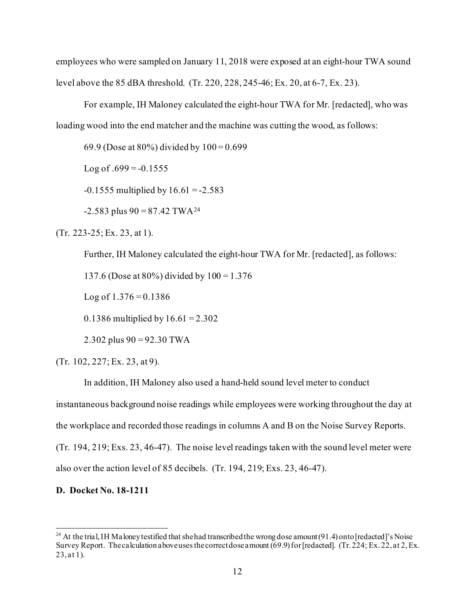employees who were sampled on January 11, 2018 were exposed at an eight-hour TWA sound level above the 85 dBA threshold. (Tr. 220, 228, 245-46; Ex. 20, at 6-7, Ex. 23).

For example, IH Maloney calculated the eight-hour TWA for Mr. [redacted], who was loading wood into the end matcher and the machine was cutting the wood, as follows:

69.9 (Dose at  $80\%$ ) divided by  $100 = 0.699$ 

Log of  $.699 = -0.1555$ 

 $-0.1555$  multiplied by  $16.61 = -2.583$ 

 $-2.583$  plus  $90 = 87.42$  TWA<sup>[24](#page-11-0)</sup>

(Tr. 223-25; Ex. 23, at 1).

Further, IH Maloney calculated the eight-hour TWA for Mr. [redacted], as follows:

137.6 (Dose at 80%) divided by 100 = 1.376

Log of  $1.376 = 0.1386$ 

0.1386 multiplied by  $16.61 = 2.302$ 

2.302 plus  $90 = 92.30$  TWA

(Tr. 102, 227; Ex. 23, at 9).

In addition, IH Maloney also used a hand-held sound level meter to conduct

instantaneous background noise readings while employees were working throughout the day at

the workplace and recorded those readings in columns A and B on the Noise Survey Reports.

(Tr. 194, 219; Exs. 23, 46-47). The noise level readings taken with the sound level meter were also over the action level of 85 decibels. (Tr. 194, 219; Exs. 23, 46-47).

#### **D. Docket No. 18-1211**

<span id="page-11-0"></span><sup>&</sup>lt;sup>24</sup> At the trial, IH Maloney testified that she had transcribed the wrong dose amount (91.4) onto [redacted]'s Noise Survey Report. The calculation above uses the correct dose amount (69.9) for [redacted]. (Tr. 224; Ex. 22, at 2, Ex. 23, at 1).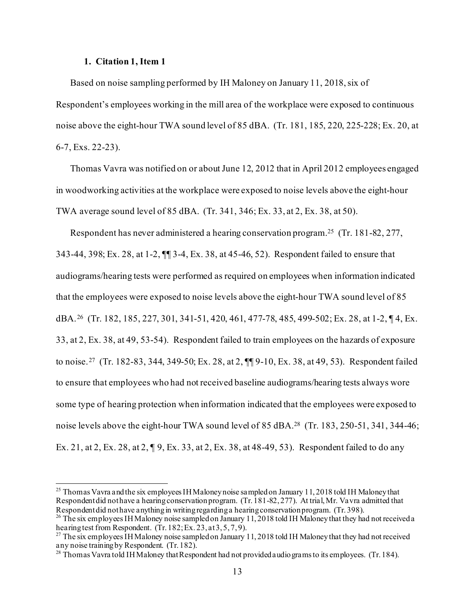### **1. Citation 1, Item 1**

Based on noise sampling performed by IH Maloney on January 11, 2018, six of Respondent's employees working in the mill area of the workplace were exposed to continuous noise above the eight-hour TWA sound level of 85 dBA. (Tr. 181, 185, 220, 225-228; Ex. 20, at 6-7, Exs. 22-23).

Thomas Vavra was notified on or about June 12, 2012 that in April 2012 employees engaged in woodworking activities at the workplace were exposed to noise levels above the eight-hour TWA average sound level of 85 dBA. (Tr. 341, 346; Ex. 33, at 2, Ex. 38, at 50).

Respondent has never administered a hearing conservation program.[25](#page-12-0) (Tr. 181-82, 277, 343-44, 398; Ex. 28, at 1-2, ¶¶ 3-4, Ex. 38, at 45-46, 52). Respondent failed to ensure that audiograms/hearing tests were performed as required on employees when information indicated that the employees were exposed to noise levels above the eight-hour TWA sound level of 85 dBA.[26](#page-12-1) (Tr. 182, 185, 227, 301, 341-51, 420, 461, 477-78, 485, 499-502; Ex. 28, at 1-2, ¶ 4, Ex. 33, at 2, Ex. 38, at 49, 53-54). Respondent failed to train employees on the hazards of exposure to noise. [27](#page-12-2) (Tr. 182-83, 344, 349-50; Ex. 28, at 2, ¶¶ 9-10, Ex. 38, at 49, 53). Respondent failed to ensure that employees who had not received baseline audiograms/hearing tests always wore some type of hearing protection when information indicated that the employees were exposed to noise levels above the eight-hour TWA sound level of 85 dBA.<sup>28</sup> (Tr. 183, 250-51, 341, 344-46; Ex. 21, at 2, Ex. 28, at 2, ¶ 9, Ex. 33, at 2, Ex. 38, at 48-49, 53). Respondent failed to do any

<span id="page-12-0"></span><sup>&</sup>lt;sup>25</sup> Thomas Vavra and the six employees IH Maloney noise sampled on January 11, 2018 told IH Maloney that Respondent did not have a hearing conservation program. (Tr. 181-82, 277). At trial, Mr. Vavra admitted that Respondent did not have anything in writing regarding a hearing conservation program. (Tr. 398).

<span id="page-12-1"></span><sup>&</sup>lt;sup>26</sup> The six employees IH Maloney noise sampled on January 11, 2018 told IH Maloney that they had not received a hearing test from Respondent. (Tr. 182; Ex. 23, at 3, 5, 7, 9).

<span id="page-12-2"></span><sup>&</sup>lt;sup>27</sup> The six employees IH Maloney noise sampled on January 11, 2018 told IH Maloney that they had not received any noise training by Respondent. (Tr. 182).

<span id="page-12-3"></span><sup>&</sup>lt;sup>28</sup> Thomas Vavra told IH Maloney that Respondent had not provided audio grams to its employees. (Tr. 184).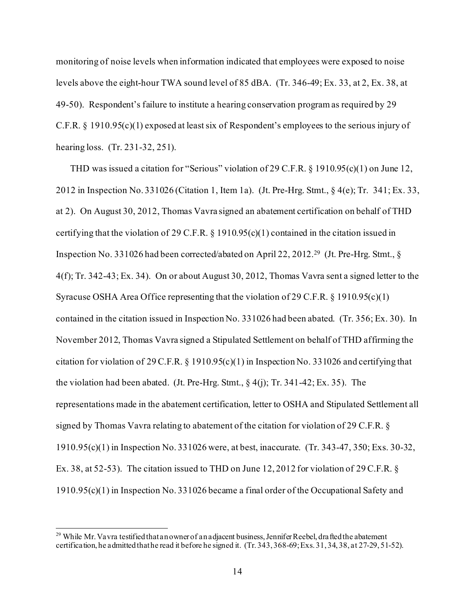monitoring of noise levels when information indicated that employees were exposed to noise levels above the eight-hour TWA sound level of 85 dBA. (Tr. 346-49; Ex. 33, at 2, Ex. 38, at 49-50). Respondent's failure to institute a hearing conservation program as required by 29 C.F.R. § 1910.95(c)(1) exposed at least six of Respondent's employees to the serious injury of hearing loss. (Tr. 231-32, 251).

THD was issued a citation for "Serious" violation of 29 C.F.R. § 1910.95(c)(1) on June 12, 2012 in Inspection No. 331026 (Citation 1, Item 1a). (Jt. Pre-Hrg. Stmt., § 4(e); Tr. 341; Ex. 33, at 2). On August 30, 2012, Thomas Vavra signed an abatement certification on behalf of THD certifying that the violation of 29 C.F.R. § 1910.95(c)(1) contained in the citation issued in Inspection No. 331026 had been corrected/abated on April 22, 2012.[29](#page-13-0) (Jt. Pre-Hrg. Stmt., § 4(f); Tr. 342-43; Ex. 34). On or about August 30, 2012, Thomas Vavra sent a signed letter to the Syracuse OSHA Area Office representing that the violation of 29 C.F.R. § 1910.95(c)(1) contained in the citation issued in Inspection No. 331026 had been abated. (Tr. 356; Ex. 30). In November 2012, Thomas Vavra signed a Stipulated Settlement on behalf of THD affirming the citation for violation of 29 C.F.R. § 1910.95(c)(1) in Inspection No. 331026 and certifying that the violation had been abated. (Jt. Pre-Hrg. Stmt.,  $\S$  4(j); Tr. 341-42; Ex. 35). The representations made in the abatement certification, letter to OSHA and Stipulated Settlement all signed by Thomas Vavra relating to abatement of the citation for violation of 29 C.F.R. § 1910.95(c)(1) in Inspection No. 331026 were, at best, inaccurate. (Tr. 343-47, 350; Exs. 30-32, Ex. 38, at 52-53). The citation issued to THD on June 12, 2012 for violation of 29 C.F.R. § 1910.95(c)(1) in Inspection No. 331026 became a final order of the Occupational Safety and

<span id="page-13-0"></span><sup>&</sup>lt;sup>29</sup> While Mr. Vavra testified that an owner of an adjacent business, Jennifer Reebel, drafted the abatement certification, he admitted that he read it before he signed it. (Tr. 343, 368-69; Exs. 31, 34, 38, at 27-29, 51-52).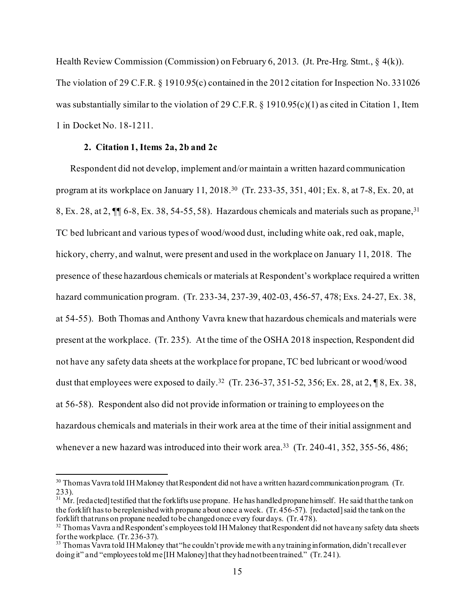Health Review Commission (Commission) on February 6, 2013. (Jt. Pre-Hrg. Stmt., § 4(k)). The violation of 29 C.F.R. § 1910.95(c) contained in the 2012 citation for Inspection No. 331026 was substantially similar to the violation of 29 C.F.R. § 1910.95(c)(1) as cited in Citation 1, Item 1 in Docket No. 18-1211.

#### **2. Citation 1, Items 2a, 2b and 2c**

Respondent did not develop, implement and/or maintain a written hazard communication program at its workplace on January 11, 2018.[30](#page-14-0) (Tr. 233-35, 351, 401; Ex. 8, at 7-8, Ex. 20, at 8, Ex. 28, at 2,  $\P$  6-8, Ex. 38, 54-55, 58). Hazardous chemicals and materials such as propane,<sup>[31](#page-14-1)</sup> TC bed lubricant and various types of wood/wood dust, including white oak, red oak, maple, hickory, cherry, and walnut, were present and used in the workplace on January 11, 2018. The presence of these hazardous chemicals or materials at Respondent's workplace required a written hazard communication program. (Tr. 233-34, 237-39, 402-03, 456-57, 478; Exs. 24-27, Ex. 38, at 54-55). Both Thomas and Anthony Vavra knew that hazardous chemicals and materials were present at the workplace. (Tr. 235). At the time of the OSHA 2018 inspection, Respondent did not have any safety data sheets at the workplace for propane, TC bed lubricant or wood/wood dust that employees were exposed to daily.<sup>32</sup> (Tr. 236-37, 351-52, 356; Ex. 28, at 2,  $\sqrt{8}$ , Ex. 38, at 56-58). Respondent also did not provide information or training to employees on the hazardous chemicals and materials in their work area at the time of their initial assignment and whenever a new hazard was introduced into their work area.<sup>[33](#page-14-3)</sup> (Tr. 240-41, 352, 355-56, 486;

<span id="page-14-0"></span><sup>&</sup>lt;sup>30</sup> Thomas Vavra told IH Maloney that Respondent did not have a written hazard communication program. (Tr. 233).

<span id="page-14-1"></span> $31$  Mr. [redacted] testified that the forklifts use propane. He has handled propane himself. He said that the tank on the forklift has to be replenished with propane about once a week. (Tr. 456-57). [redacted] said the tank on the forklift that runs on propane needed to be changed once every four days. (Tr.  $478$ ).

<span id="page-14-2"></span> $32$  Thomas Vavra and Respondent's employees told IH Maloney that Respondent did not have any safety data sheets for the workplace. (Tr. 236-37).

<span id="page-14-3"></span> $^{33}$  Thomas Vavra told IH Maloney that "he couldn't provide me with any training information, didn't recall ever doing it" and "employees told me [IH Maloney] that they had not been trained." (Tr. 241).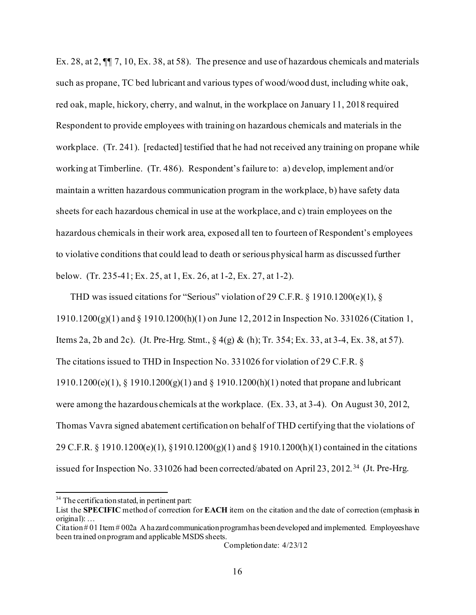Ex. 28, at 2, ¶¶ 7, 10, Ex. 38, at 58). The presence and use of hazardous chemicals and materials such as propane, TC bed lubricant and various types of wood/wood dust, including white oak, red oak, maple, hickory, cherry, and walnut, in the workplace on January 11, 2018 required Respondent to provide employees with training on hazardous chemicals and materials in the workplace. (Tr. 241). [redacted] testified that he had not received any training on propane while working at Timberline. (Tr. 486). Respondent's failure to: a) develop, implement and/or maintain a written hazardous communication program in the workplace, b) have safety data sheets for each hazardous chemical in use at the workplace, and c) train employees on the hazardous chemicals in their work area, exposed all ten to fourteen of Respondent's employees to violative conditions that could lead to death or serious physical harm as discussed further below. (Tr. 235-41; Ex. 25, at 1, Ex. 26, at 1-2, Ex. 27, at 1-2).

THD was issued citations for "Serious" violation of 29 C.F.R. § 1910.1200(e)(1), § 1910.1200(g)(1) and § 1910.1200(h)(1) on June 12, 2012 in Inspection No. 331026 (Citation 1, Items 2a, 2b and 2c). (Jt. Pre-Hrg. Stmt., § 4(g) & (h); Tr. 354; Ex. 33, at 3-4, Ex. 38, at 57). The citations issued to THD in Inspection No. 331026 for violation of 29 C.F.R. §  $1910.1200(e)(1)$ , §  $1910.1200(g)(1)$  and §  $1910.1200(h)(1)$  noted that propane and lubricant were among the hazardous chemicals at the workplace. (Ex. 33, at 3-4). On August 30, 2012, Thomas Vavra signed abatement certification on behalf of THD certifying that the violations of 29 C.F.R. § 1910.1200(e)(1), §1910.1200(g)(1) and § 1910.1200(h)(1) contained in the citations issued for Inspection No. 331026 had been corrected/abated on April 23, 2012. [34](#page-15-0) (Jt. Pre-Hrg.

Citation # 01 Item # 002a A hazard communication program has been developed and implemented. Employees have been trained on program and applicable MSDS sheets.

<span id="page-15-0"></span><sup>&</sup>lt;sup>34</sup> The certification stated, in pertinent part:

List the **SPECIFIC** method of correction for **EACH** item on the citation and the date of correction (emphasis in original): …

Completion date: 4/23/12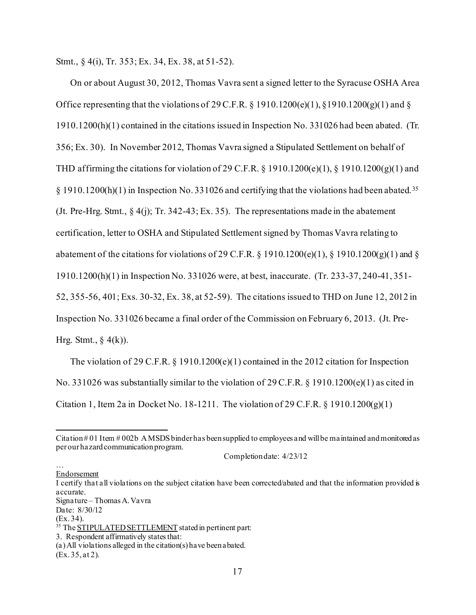Stmt., § 4(i), Tr. 353; Ex. 34, Ex. 38, at 51-52).

On or about August 30, 2012, Thomas Vavra sent a signed letter to the Syracuse OSHA Area Office representing that the violations of 29 C.F.R.  $\S$  1910.1200(e)(1),  $\S$ 1910.1200(g)(1) and  $\S$ 1910.1200(h)(1) contained in the citations issued in Inspection No. 331026 had been abated. (Tr. 356; Ex. 30). In November 2012, Thomas Vavra signed a Stipulated Settlement on behalf of THD affirming the citations for violation of 29 C.F.R.  $\S$  1910.1200(e)(1),  $\S$  1910.1200(g)(1) and § 1910.1200(h)(1) in Inspection No. 331026 and certifying that the violations had been abated. [35](#page-16-0) (Jt. Pre-Hrg. Stmt., § 4(j); Tr. 342-43; Ex. 35). The representations made in the abatement certification, letter to OSHA and Stipulated Settlement signed by Thomas Vavra relating to abatement of the citations for violations of 29 C.F.R. § 1910.1200(e)(1), § 1910.1200(g)(1) and § 1910.1200(h)(1) in Inspection No. 331026 were, at best, inaccurate. (Tr. 233-37, 240-41, 351- 52, 355-56, 401; Exs. 30-32, Ex. 38, at 52-59). The citations issued to THD on June 12, 2012 in Inspection No. 331026 became a final order of the Commission on February 6, 2013. (Jt. Pre-Hrg. Stmt.,  $\S$  4(k)).

The violation of 29 C.F.R.  $\S$  1910.1200(e)(1) contained in the 2012 citation for Inspection No. 331026 was substantially similar to the violation of 29 C.F.R. § 1910.1200(e)(1) as cited in Citation 1, Item 2a in Docket No. 18-1211. The violation of 29 C.F.R.  $\S$  1910.1200(g)(1)

… Endorsement

I certify that all violations on the subject citation have been corrected/abated and that the information provided is accurate. Signature – Thomas A. Vavra

Date: 8/30/12<br>(Ex.34).

Citation # 01 Item # 002b A MSDS binder has been supplied to employees and will be maintained and monitored as per our hazard communication program.

Completion date: 4/23/12

<span id="page-16-0"></span><sup>&</sup>lt;sup>35</sup> The STIPULATED SETTLEMENT stated in pertinent part:

<sup>3.</sup> Respondent affirmatively states that:

<sup>(</sup>a) All violations alleged in the citation(s) have been abated. (Ex. 35, at 2).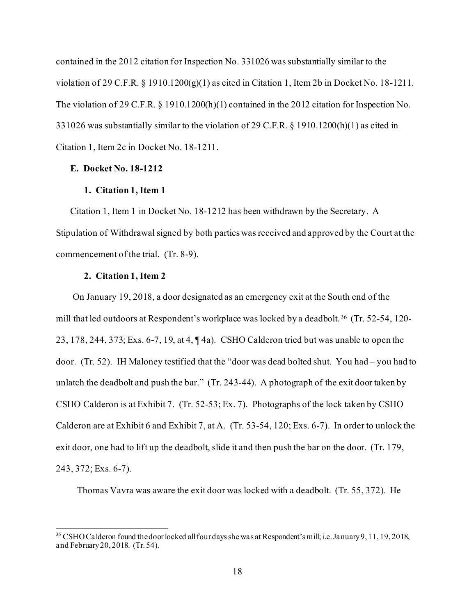contained in the 2012 citation for Inspection No. 331026 was substantially similar to the violation of 29 C.F.R. § 1910.1200(g)(1) as cited in Citation 1, Item 2b in Docket No. 18-1211. The violation of 29 C.F.R. § 1910.1200(h)(1) contained in the 2012 citation for Inspection No. 331026 was substantially similar to the violation of 29 C.F.R. § 1910.1200(h)(1) as cited in Citation 1, Item 2c in Docket No. 18-1211.

## **E. Docket No. 18-1212**

## **1. Citation 1, Item 1**

Citation 1, Item 1 in Docket No. 18-1212 has been withdrawn by the Secretary. A Stipulation of Withdrawal signed by both parties was received and approved by the Court at the commencement of the trial. (Tr. 8-9).

## **2. Citation 1, Item 2**

On January 19, 2018, a door designated as an emergency exit at the South end of the mill that led outdoors at Respondent's workplace was locked by a deadbolt. [36](#page-17-0) (Tr. 52-54, 120- 23, 178, 244, 373; Exs. 6-7, 19, at 4, ¶ 4a). CSHO Calderon tried but was unable to open the door. (Tr. 52). IH Maloney testified that the "door was dead bolted shut. You had – you had to unlatch the deadbolt and push the bar." (Tr. 243-44). A photograph of the exit door taken by CSHO Calderon is at Exhibit 7. (Tr. 52-53; Ex. 7). Photographs of the lock taken by CSHO Calderon are at Exhibit 6 and Exhibit 7, at A. (Tr. 53-54, 120; Exs. 6-7). In order to unlock the exit door, one had to lift up the deadbolt, slide it and then push the bar on the door. (Tr. 179, 243, 372; Exs. 6-7).

Thomas Vavra was aware the exit door was locked with a deadbolt. (Tr. 55, 372). He

<span id="page-17-0"></span><sup>&</sup>lt;sup>36</sup> CSHO Calderon found the door locked all four days she was at Respondent's mill; i.e. January 9, 11, 19, 2018, and February 20, 2018. (Tr. 54).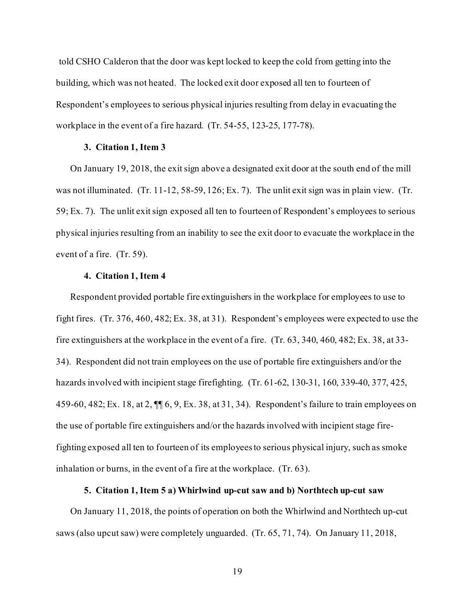told CSHO Calderon that the door was kept locked to keep the cold from getting into the building, which was not heated. The locked exit door exposed all ten to fourteen of Respondent's employees to serious physical injuries resulting from delay in evacuating the workplace in the event of a fire hazard. (Tr. 54-55, 123-25, 177-78).

## **3. Citation 1, Item 3**

On January 19, 2018, the exit sign above a designated exit door at the south end of the mill was not illuminated. (Tr. 11-12, 58-59, 126; Ex. 7). The unlit exit sign was in plain view. (Tr. 59; Ex. 7). The unlit exit sign exposed all ten to fourteen of Respondent's employees to serious physical injuries resulting from an inability to see the exit door to evacuate the workplace in the event of a fire. (Tr. 59).

## **4. Citation 1, Item 4**

Respondent provided portable fire extinguishers in the workplace for employees to use to fight fires. (Tr. 376, 460, 482; Ex. 38, at 31). Respondent's employees were expected to use the fire extinguishers at the workplace in the event of a fire. (Tr. 63, 340, 460, 482; Ex. 38, at 33- 34). Respondent did not train employees on the use of portable fire extinguishers and/or the hazards involved with incipient stage firefighting. (Tr. 61-62, 130-31, 160, 339-40, 377, 425, 459-60, 482; Ex. 18, at 2, ¶¶ 6, 9, Ex. 38, at 31, 34). Respondent's failure to train employees on the use of portable fire extinguishers and/or the hazards involved with incipient stage firefighting exposed all ten to fourteen of its employees to serious physical injury, such as smoke inhalation or burns, in the event of a fire at the workplace. (Tr. 63).

## **5. Citation 1, Item 5 a) Whirlwind up-cut saw and b) Northtech up-cut saw**

On January 11, 2018, the points of operation on both the Whirlwind and Northtech up-cut saws (also upcut saw) were completely unguarded. (Tr. 65, 71, 74). On January 11, 2018,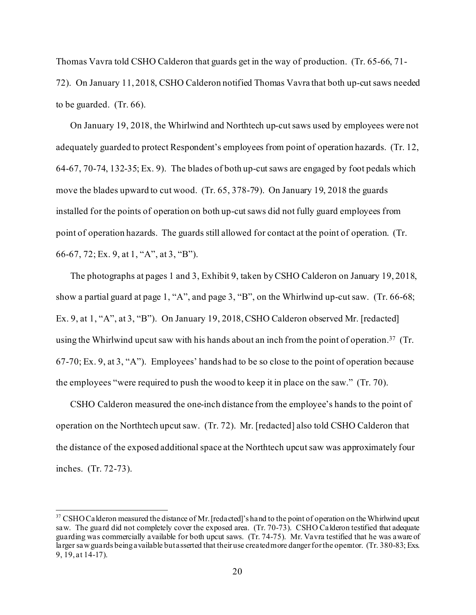Thomas Vavra told CSHO Calderon that guards get in the way of production. (Tr. 65-66, 71- 72). On January 11, 2018, CSHO Calderon notified Thomas Vavra that both up-cutsaws needed to be guarded. (Tr. 66).

On January 19, 2018, the Whirlwind and Northtech up-cut saws used by employees were not adequately guarded to protect Respondent's employees from point of operation hazards. (Tr. 12, 64-67, 70-74, 132-35; Ex. 9). The blades of both up-cut saws are engaged by foot pedals which move the blades upward to cut wood. (Tr. 65, 378-79). On January 19, 2018 the guards installed for the points of operation on both up-cut saws did not fully guard employees from point of operation hazards. The guards still allowed for contact at the point of operation. (Tr. 66-67, 72; Ex. 9, at 1, "A", at 3, "B").

The photographs at pages 1 and 3, Exhibit 9, taken by CSHO Calderon on January 19, 2018, show a partial guard at page 1, "A", and page 3, "B", on the Whirlwind up-cut saw. (Tr. 66-68; Ex. 9, at 1, "A", at 3, "B"). On January 19, 2018, CSHO Calderon observed Mr. [redacted] using the Whirlwind upcut saw with his hands about an inch from the point of operation.<sup>37</sup> (Tr. 67-70; Ex. 9, at 3, "A"). Employees' hands had to be so close to the point of operation because the employees "were required to push the wood to keep it in place on the saw." (Tr. 70).

CSHO Calderon measured the one-inch distance from the employee's hands to the point of operation on the Northtech upcut saw. (Tr. 72). Mr. [redacted] also told CSHO Calderon that the distance of the exposed additional space at the Northtech upcut saw was approximately four inches. (Tr. 72-73).

<span id="page-19-0"></span><sup>&</sup>lt;sup>37</sup> CSHO Calderon measured the distance of Mr. [redacted]'s hand to the point of operation on the Whirlwind upcut saw. The guard did not completely cover the exposed area. (Tr. 70-73). CSHO Calderon testified that adequate guarding was commercially available for both upcut saws. (Tr. 74-75). Mr. Vavra testified that he was aware of larger saw guards being available but asserted that their use created more danger for the operator. (Tr. 380-83; Exs. 9, 19, at 14-17).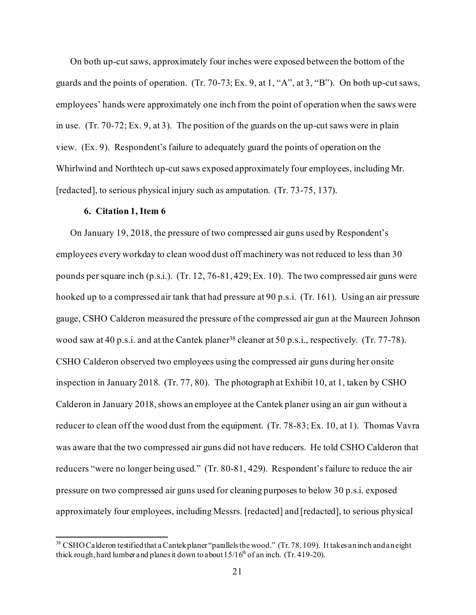On both up-cut saws, approximately four inches were exposed between the bottom of the guards and the points of operation. (Tr. 70-73; Ex. 9, at 1, "A", at 3, "B"). On both up-cut saws, employees' hands were approximately one inch from the point of operation when the saws were in use. (Tr. 70-72; Ex. 9, at 3). The position of the guards on the up-cut saws were in plain view. (Ex. 9). Respondent's failure to adequately guard the points of operation on the Whirlwind and Northtech up-cut saws exposed approximately four employees, including Mr. [redacted], to serious physical injury such as amputation. (Tr. 73-75, 137).

#### **6. Citation 1, Item 6**

On January 19, 2018, the pressure of two compressed air guns used by Respondent's employees every workday to clean wood dust off machinery was not reduced to less than 30 pounds per square inch (p.s.i.). (Tr. 12, 76-81, 429; Ex. 10). The two compressed air guns were hooked up to a compressed air tank that had pressure at 90 p.s.i. (Tr. 161). Using an air pressure gauge, CSHO Calderon measured the pressure of the compressed air gun at the Maureen Johnson wood saw at 40 p.s.i. and at the Cantek planer<sup>38</sup> cleaner at 50 p.s.i., respectively. (Tr. 77-78). CSHO Calderon observed two employees using the compressed air guns during her onsite inspection in January 2018. (Tr. 77, 80). The photograph at Exhibit 10, at 1, taken by CSHO Calderon in January 2018, shows an employee at the Cantek planer using an air gun without a reducer to clean off the wood dust from the equipment. (Tr. 78-83; Ex. 10, at 1). Thomas Vavra was aware that the two compressed air guns did not have reducers. He told CSHO Calderon that reducers "were no longer being used." (Tr. 80-81, 429). Respondent's failure to reduce the air pressure on two compressed air guns used for cleaning purposes to below 30 p.s.i. exposed approximately four employees, including Messrs. [redacted] and [redacted], to serious physical

<span id="page-20-0"></span><sup>&</sup>lt;sup>38</sup> CSHO Calderon testified that a Cantek planer "parallels the wood." (Tr. 78, 109). It takes an inch and an eight thick rough, hard lumber and planes it down to about  $15/16^{th}$  of an inch. (Tr. 419-20).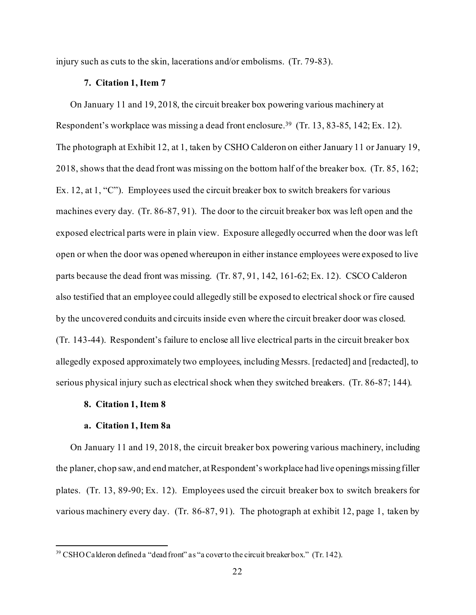injury such as cuts to the skin, lacerations and/or embolisms. (Tr. 79-83).

### **7. Citation 1, Item 7**

On January 11 and 19, 2018, the circuit breaker box powering various machinery at Respondent's workplace was missing a dead front enclosure.[39](#page-21-0) (Tr. 13, 83-85, 142; Ex. 12). The photograph at Exhibit 12, at 1, taken by CSHO Calderon on either January 11 or January 19, 2018, shows that the dead front was missing on the bottom half of the breaker box. (Tr. 85, 162; Ex. 12, at 1, "C"). Employees used the circuit breaker box to switch breakers for various machines every day. (Tr. 86-87, 91). The door to the circuit breaker box was left open and the exposed electrical parts were in plain view. Exposure allegedly occurred when the door was left open or when the door was opened whereupon in either instance employees were exposed to live parts because the dead front was missing. (Tr. 87, 91, 142, 161-62; Ex. 12). CSCO Calderon also testified that an employee could allegedly still be exposed to electrical shock or fire caused by the uncovered conduits and circuits inside even where the circuit breaker door was closed. (Tr. 143-44). Respondent's failure to enclose all live electrical parts in the circuit breaker box allegedly exposed approximately two employees, including Messrs. [redacted] and [redacted], to serious physical injury such as electrical shock when they switched breakers. (Tr. 86-87; 144).

#### **8. Citation 1, Item 8**

## **a. Citation 1, Item 8a**

On January 11 and 19, 2018, the circuit breaker box powering various machinery, including the planer, chop saw, and end matcher, at Respondent's workplace had live openings missing filler plates. (Tr. 13, 89-90; Ex. 12). Employees used the circuit breaker box to switch breakers for various machinery every day. (Tr. 86-87, 91). The photograph at exhibit 12, page 1, taken by

<span id="page-21-0"></span><sup>&</sup>lt;sup>39</sup> CSHO Calderon defined a "dead front" as "a cover to the circuit breaker box." (Tr. 142).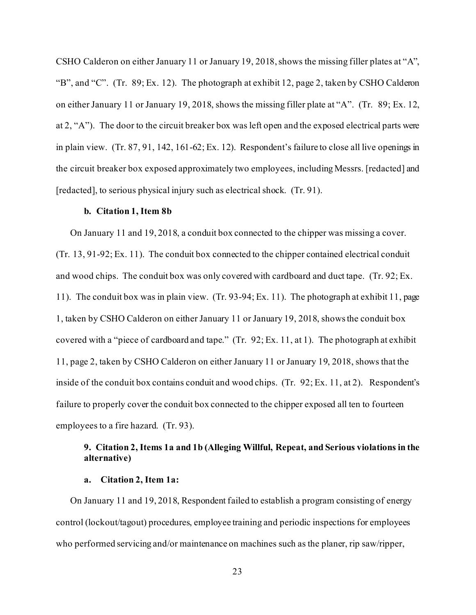CSHO Calderon on either January 11 or January 19, 2018, shows the missing filler plates at "A", "B", and "C". (Tr. 89; Ex. 12). The photograph at exhibit 12, page 2, taken by CSHO Calderon on either January 11 or January 19, 2018, shows the missing filler plate at "A". (Tr. 89; Ex. 12, at 2, "A"). The door to the circuit breaker box was left open and the exposed electrical parts were in plain view. (Tr. 87, 91, 142, 161-62; Ex. 12). Respondent's failure to close all live openings in the circuit breaker box exposed approximately two employees, including Messrs. [redacted] and [redacted], to serious physical injury such as electrical shock. (Tr. 91).

## **b. Citation 1, Item 8b**

On January 11 and 19, 2018, a conduit box connected to the chipper was missing a cover. (Tr. 13, 91-92; Ex. 11). The conduit box connected to the chipper contained electrical conduit and wood chips. The conduit box was only covered with cardboard and duct tape. (Tr. 92; Ex. 11). The conduit box was in plain view. (Tr. 93-94; Ex. 11). The photograph at exhibit 11, page 1, taken by CSHO Calderon on either January 11 or January 19, 2018, shows the conduit box covered with a "piece of cardboard and tape." (Tr. 92; Ex. 11, at 1). The photograph at exhibit 11, page 2, taken by CSHO Calderon on either January 11 or January 19, 2018, shows that the inside of the conduit box contains conduit and wood chips. (Tr. 92; Ex. 11, at 2). Respondent's failure to properly cover the conduit box connected to the chipper exposed all ten to fourteen employees to a fire hazard. (Tr. 93).

# **9. Citation 2, Items 1a and 1b (Alleging Willful, Repeat, and Serious violations in the alternative)**

## **a. Citation 2, Item 1a:**

On January 11 and 19, 2018, Respondent failed to establish a program consisting of energy control (lockout/tagout) procedures, employee training and periodic inspections for employees who performed servicing and/or maintenance on machines such as the planer, rip saw/ripper,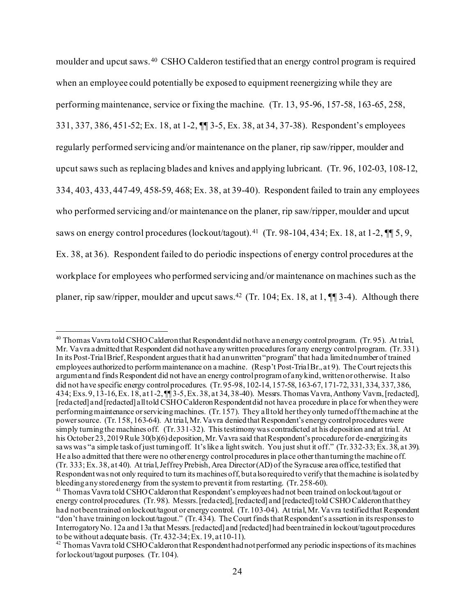moulder and upcut saws. [40](#page-23-0) CSHO Calderon testified that an energy control program is required when an employee could potentially be exposed to equipment reenergizing while they are performing maintenance, service or fixing the machine. (Tr. 13, 95-96, 157-58, 163-65, 258, 331, 337, 386, 451-52; Ex. 18, at 1-2, ¶¶ 3-5, Ex. 38, at 34, 37-38). Respondent's employees regularly performed servicing and/or maintenance on the planer, rip saw/ripper, moulder and upcut saws such as replacing blades and knives and applying lubricant. (Tr. 96, 102-03, 108-12, 334, 403, 433, 447-49, 458-59, 468; Ex. 38, at 39-40). Respondent failed to train any employees who performed servicing and/or maintenance on the planer, rip saw/ripper, moulder and upcut saws on energy control procedures (lockout/tagout). <sup>41</sup> (Tr. 98-104, 434; Ex. 18, at 1-2,  $\P$  5, 9, Ex. 38, at 36). Respondent failed to do periodic inspections of energy control procedures at the workplace for employees who performed servicing and/or maintenance on machines such as the planer, rip saw/ripper, moulder and upcut saws.[42](#page-23-2) (Tr. 104; Ex. 18, at 1, ¶¶ 3-4). Although there

<span id="page-23-0"></span><sup>&</sup>lt;sup>40</sup> Thomas Vavra told CSHO Calderon that Respondent did not have an energy control program. (Tr. 95). At trial, Mr. Vavra admitted that Respondent did not have any written procedures for any energy control program. (Tr. 331). In its Post-Trial Brief, Respondent argues that it had an unwritten "program" that had a limited number of trained employees authorized to perform maintenance on a machine. (Resp't Post-Trial Br., at 9). The Court rejects this argument and finds Respondent did not have an energy control program of any kind, written or otherwise. It also did not have specific energy control procedures. (Tr. 95-98, 102-14, 157-58, 163-67, 171-72, 331, 334, 337, 386, 434; Exs. 9, 13-16, Ex. 18, at 1-2, ¶¶ 3-5, Ex. 38, at 34, 38-40). Messrs. Thomas Vavra, Anthony Vavra, [redacted], [redacted] and [redacted] all told CSHO Calderon Respondent did not have a procedure in place for when they were performing maintenance or servicing machines. (Tr. 157). They all told her they only turned off the machine at the power source. (Tr. 158, 163-64). At trial, Mr. Vavra denied that Respondent's energy control procedures were simply turning the machines off. (Tr. 331-32). This testimony was contradicted at his deposition and at trial. At his October 23, 2019 Rule 30(b)(6) deposition, Mr. Va vra said that Respondent's procedure for de-energizing its saws was "a simple task of just turning off. It's like a light switch. You just shut it off." (Tr. 332-33; Ex. 38, at 39). He also admitted that there were no other energy control procedures in place other than turning the machine off. (Tr. 333; Ex. 38, at 40). At trial, Jeffrey Prebish, Area Director (AD) of the Syracuse area office, testified that Respondent was not only required to turn its machines off, but also required to verify that the machine is isolated by bleeding any stored energy from the system to prevent it from restarting. (Tr. 258-60).

<span id="page-23-1"></span> $\frac{41}{1}$  Thomas Vavra told CSHO Calderon that Respondent's employees had not been trained on lockout/tagout or energy control procedures. (Tr. 98). Messrs. [redacted], [redacted] and [redacted] told CSHO Calderon that they had not been trained on lockout/tagout or energy control. (Tr. 103-04). At trial, Mr. Vavra testified that Respondent "don't have training on lockout/tagout." (Tr. 434). The Court finds that Respondent's assertion in its responses to Interrogatory No. 12a and 13a that Messrs. [redacted] and [redacted] had been trained in lockout/tagout procedures to be without a dequate basis. (Tr. 432-34; Ex. 19, at 10-11).

<span id="page-23-2"></span><sup>&</sup>lt;sup>42</sup> Thomas Vavra told CSHO Calderon that Respondent had not performed any periodic inspections of its machines for lockout/tagout purposes. (Tr. 104).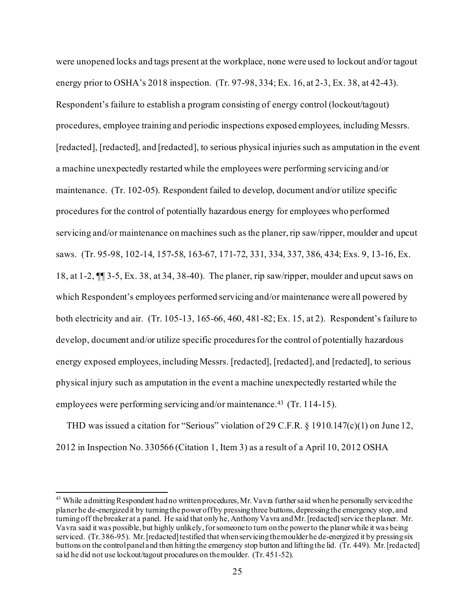were unopened locks and tags present at the workplace, none were used to lockout and/or tagout energy prior to OSHA's 2018 inspection. (Tr. 97-98, 334; Ex. 16, at 2-3, Ex. 38, at 42-43). Respondent's failure to establish a program consisting of energy control (lockout/tagout) procedures, employee training and periodic inspections exposed employees, including Messrs. [redacted], [redacted], and [redacted], to serious physical injuries such as amputation in the event a machine unexpectedly restarted while the employees were performing servicing and/or maintenance. (Tr. 102-05). Respondent failed to develop, document and/or utilize specific procedures for the control of potentially hazardous energy for employees who performed servicing and/or maintenance on machines such as the planer, rip saw/ripper, moulder and upcut saws. (Tr. 95-98, 102-14, 157-58, 163-67, 171-72, 331, 334, 337, 386, 434; Exs. 9, 13-16, Ex. 18, at 1-2, ¶¶ 3-5, Ex. 38, at 34, 38-40). The planer, rip saw/ripper, moulder and upcut saws on which Respondent's employees performed servicing and/or maintenance were all powered by both electricity and air. (Tr. 105-13, 165-66, 460, 481-82; Ex. 15, at 2). Respondent's failure to develop, document and/or utilize specific procedures for the control of potentially hazardous energy exposed employees, including Messrs. [redacted], [redacted], and [redacted], to serious physical injury such as amputation in the event a machine unexpectedly restarted while the employees were performing servicing and/or maintenance.<sup>43</sup> (Tr. 114-15).

THD was issued a citation for "Serious" violation of 29 C.F.R. § 1910.147(c)(1) on June 12, 2012 in Inspection No. 330566 (Citation 1, Item 3) as a result of a April 10, 2012 OSHA

<span id="page-24-0"></span><sup>&</sup>lt;sup>43</sup> While admitting Respondent had no written procedures, Mr. Vavra further said when he personally serviced the planer he de-energized it by turning the power off by pressing three buttons, depressing the emergency stop, and turning off the breaker at a panel. He said that only he, Anthony Vavra and Mr. [redacted] service the planer. Mr. Vavra said it was possible, but highly unlikely, for someone to turn on the power to the planer while it was being serviced. (Tr. 386-95). Mr. [redacted] testified that when servicing the moulder he de-energized it by pressing six buttons on the control panel and then hitting the emergency stop button and lifting the lid. (Tr. 449). Mr. [redacted] said he did not use lockout/tagout procedures on the moulder. (Tr. 451-52).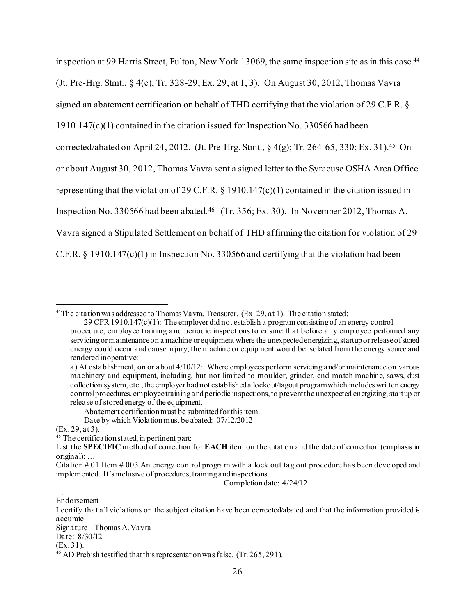inspection at 99 Harris Street, Fulton, New York 13069, the same inspection site as in this case. [44](#page-25-0) (Jt. Pre-Hrg. Stmt., § 4(e); Tr. 328-29; Ex. 29, at 1, 3). On August 30, 2012, Thomas Vavra signed an abatement certification on behalf of THD certifying that the violation of 29 C.F.R. § 1910.147(c)(1) contained in the citation issued for Inspection No. 330566 had been corrected/abated on April 24, 2012. (Jt. Pre-Hrg. Stmt.,  $\frac{4}{9}$ ; Tr. 264-65, 330; Ex. 31).<sup>45</sup> On or about August 30, 2012, Thomas Vavra sent a signed letter to the Syracuse OSHA Area Office representing that the violation of 29 C.F.R. § 1910.147(c)(1) contained in the citation issued in Inspection No. 330566 had been abated.<sup>[46](#page-25-2)</sup> (Tr. 356; Ex. 30). In November 2012, Thomas A. Vavra signed a Stipulated Settlement on behalf of THD affirming the citation for violation of 29 C.F.R.  $\S$  1910.147(c)(1) in Inspection No. 330566 and certifying that the violation had been

Completion date: 4/24/12

… **Endorsement** 

<span id="page-25-0"></span><sup>44</sup>The citation was addressed to Thomas Vavra, Treasurer. (Ex. 29, at 1). The citation stated:

<sup>29</sup> CFR 1910.147(c)(1): The employer did not establish a program consisting of an energy control procedure, employee training and periodic inspections to ensure that before any employee performed any servicing or maintenance on a machine or equipment where the unexpected energizing, startup or release of stored energy could occur and cause injury, the machine or equipment would be isolated from the energy source and rendered inoperative:

a) At establishment, on or about 4/10/12: Where employees perform servicing and/or maintenance on various machinery and equipment, including, but not limited to moulder, grinder, end match machine, saws, dust collection system, etc., the employer had not established a lockout/tagout program which includes written energy control procedures, employee training and periodic inspections, to prevent the unexpected energizing, start up or release of stored energy of the equipment.

Abatement certification must be submitted for this item.

Date by which Violation must be abated: 07/12/2012

<sup>(</sup>Ex. 29, at 3).

<span id="page-25-1"></span> $45$  The certification stated, in pertinent part:

List the **SPECIFIC** method of correction for **EACH** item on the citation and the date of correction (emphasis in original): …

Citation  $\#$  01 Item  $\#$  003 An energy control program with a lock out tag out procedure has been developed and implemented. It's inclusive of procedures, training and inspections.

I certify that all violations on the subject citation have been corrected/abated and that the information provided is accurate.

Signature – Thomas A. Vavra

Date: 8/30/12<br>(Ex.31).

<span id="page-25-2"></span> $^{46}$  AD Prebish testified that this representation was false. (Tr. 265, 291).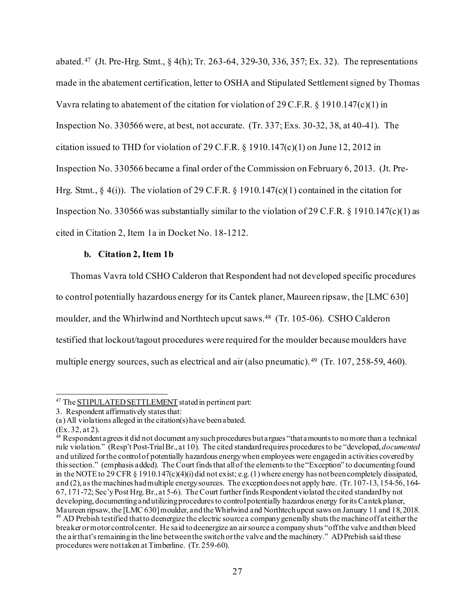abated.[47](#page-26-0) (Jt. Pre-Hrg. Stmt., § 4(h); Tr. 263-64, 329-30, 336, 357; Ex. 32). The representations made in the abatement certification, letter to OSHA and Stipulated Settlement signed by Thomas Vavra relating to abatement of the citation for violation of 29 C.F.R. § 1910.147(c)(1) in Inspection No. 330566 were, at best, not accurate. (Tr. 337; Exs. 30-32, 38, at 40-41). The citation issued to THD for violation of 29 C.F.R.  $\S$  1910.147(c)(1) on June 12, 2012 in Inspection No. 330566 became a final order of the Commission on February 6, 2013. (Jt. Pre-Hrg. Stmt.,  $\S$  4(i)). The violation of 29 C.F.R.  $\S$  1910.147(c)(1) contained in the citation for Inspection No. 330566 was substantially similar to the violation of 29 C.F.R.  $\S$  1910.147(c)(1) as cited in Citation 2, Item 1a in Docket No. 18-1212.

# **b. Citation 2, Item 1b**

Thomas Vavra told CSHO Calderon that Respondent had not developed specific procedures to control potentially hazardous energy for its Cantek planer, Maureen ripsaw, the [LMC 630] moulder, and the Whirlwind and Northtech upcut saws.<sup>48</sup> (Tr. 105-06). CSHO Calderon testified that lockout/tagout procedures were required for the moulder because moulders have multiple energy sources, such as electrical and air (also pneumatic). [49](#page-26-2) (Tr. 107, 258-59, 460).

(Ex. 32, at 2).

<span id="page-26-0"></span><sup>47</sup> The STIPULATED SETTLEMENT stated in pertinent part:

<sup>3.</sup> Respondent affirmatively states that:

<sup>(</sup>a) All violations alleged in the citation(s) have been abated.

<span id="page-26-2"></span><span id="page-26-1"></span> $48$  Respondent a grees it did not document any such procedures but argues "that amounts to no more than a technical rule violation." (Resp't Post-Trial Br., at 10). The cited standard requires procedures to be "developed, *documented*  and utilized for the control of potentially hazardous energy when employees were engaged in activities covered by this section." (emphasis added). The Court finds that all of the elements to the "Exception" to documenting found in the NOTE to 29 CFR § 1910.147(c)(4)(i) did not exist; e.g. (1) where energy has not been completely dissipated, and (2), as the machines had multiple energy sources. The exception does not apply here. (Tr. 107-13, 154-56, 164- 67, 171-72; Sec'y Post Hrg. Br., at 5-6). The Court further finds Respondent violated the cited standard by not developing, documenting and utilizing procedures to control potentially hazardous energy for its Cantek planer,<br>Maureen ripsaw, the [LMC 630] moulder, and the Whirlwind and Northtech upcut saws on January 11 and 18, 2018. <sup>49</sup> AD Prebish testified that to deenergize the electric source a company generally shuts the machine off a teither the breaker or motor control center. He said to deenergize an air source a company shuts "off the valve and then bleed the air that's remaining in the line between the switch or the valve and the machinery." AD Prebish said these procedures were not taken at Timberline. (Tr. 259-60).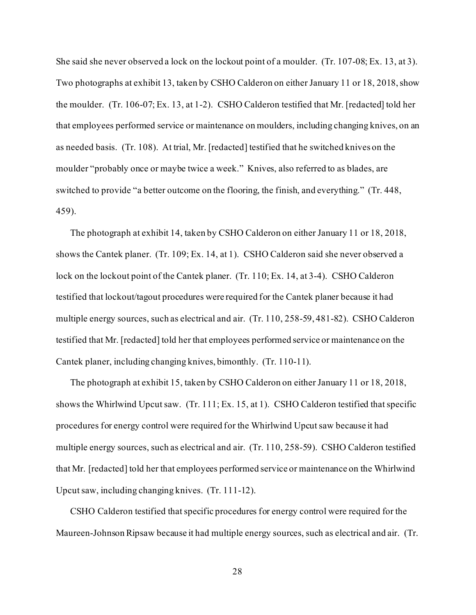She said she never observed a lock on the lockout point of a moulder. (Tr. 107-08; Ex. 13, at 3). Two photographs at exhibit 13, taken by CSHO Calderon on either January 11 or 18, 2018, show the moulder. (Tr. 106-07; Ex. 13, at 1-2). CSHO Calderon testified that Mr. [redacted] told her that employees performed service or maintenance on moulders, including changing knives, on an as needed basis. (Tr. 108). At trial, Mr. [redacted] testified that he switched knives on the moulder "probably once or maybe twice a week." Knives, also referred to as blades, are switched to provide "a better outcome on the flooring, the finish, and everything." (Tr. 448, 459).

The photograph at exhibit 14, taken by CSHO Calderon on either January 11 or 18, 2018, shows the Cantek planer. (Tr. 109; Ex. 14, at 1). CSHO Calderon said she never observed a lock on the lockout point of the Cantek planer. (Tr. 110; Ex. 14, at 3-4). CSHO Calderon testified that lockout/tagout procedures were required for the Cantek planer because it had multiple energy sources, such as electrical and air. (Tr. 110, 258-59, 481-82). CSHO Calderon testified that Mr. [redacted] told her that employees performed service or maintenance on the Cantek planer, including changing knives, bimonthly. (Tr. 110-11).

The photograph at exhibit 15, taken by CSHO Calderon on either January 11 or 18, 2018, shows the Whirlwind Upcut saw. (Tr. 111; Ex. 15, at 1). CSHO Calderon testified that specific procedures for energy control were required for the Whirlwind Upcut saw because it had multiple energy sources, such as electrical and air. (Tr. 110, 258-59). CSHO Calderon testified that Mr. [redacted] told her that employees performed service or maintenance on the Whirlwind Upcut saw, including changing knives. (Tr. 111-12).

CSHO Calderon testified that specific procedures for energy control were required for the Maureen-Johnson Ripsaw because it had multiple energy sources, such as electrical and air. (Tr.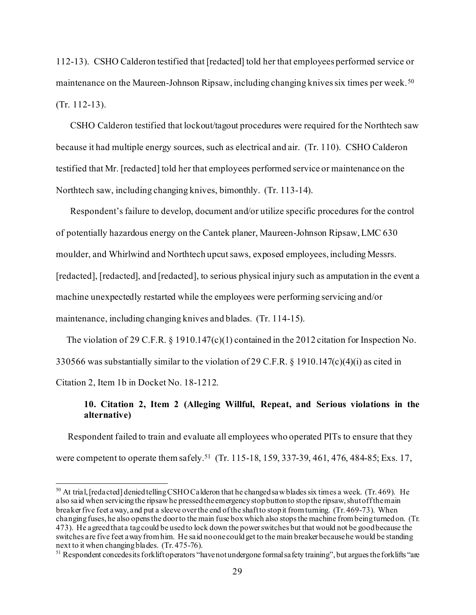112-13). CSHO Calderon testified that [redacted] told her that employees performed service or maintenance on the Maureen-Johnson Ripsaw, including changing knives six times per week.<sup>50</sup> (Tr. 112-13).

CSHO Calderon testified that lockout/tagout procedures were required for the Northtech saw because it had multiple energy sources, such as electrical and air. (Tr. 110). CSHO Calderon testified that Mr. [redacted] told her that employees performed service or maintenance on the Northtech saw, including changing knives, bimonthly. (Tr. 113-14).

Respondent's failure to develop, document and/or utilize specific procedures for the control of potentially hazardous energy on the Cantek planer, Maureen-Johnson Ripsaw, LMC 630 moulder, and Whirlwind and Northtech upcut saws, exposed employees, including Messrs. [redacted], [redacted], and [redacted], to serious physical injury such as amputation in the event a machine unexpectedly restarted while the employees were performing servicing and/or maintenance, including changing knives and blades. (Tr. 114-15).

The violation of 29 C.F.R. § 1910.147(c)(1) contained in the 2012 citation for Inspection No. 330566 was substantially similar to the violation of 29 C.F.R. § 1910.147(c)(4)(i) as cited in Citation 2, Item 1b in Docket No. 18-1212.

# **10. Citation 2, Item 2 (Alleging Willful, Repeat, and Serious violations in the alternative)**

 Respondent failed to train and evaluate all employees who operated PITs to ensure that they were competent to operate them safely.<sup>51</sup> (Tr. 115-18, 159, 337-39, 461, 476, 484-85; Exs. 17,

<span id="page-28-0"></span><sup>&</sup>lt;sup>50</sup> At trial, [redacted] denied telling CSHO Calderon that he changed saw blades six times a week. (Tr. 469). He also said when servicing the ripsaw he pressed the emergency stop button to stop the ripsaw, shut off the main breaker five feet away, and put a sleeve over the end of the shaft to stop it from turning. (Tr. 469-73). When changing fuses, he also opens the door to the main fuse box which also stops the machine from being turned on. (Tr. 473). He agreed that a tag could be used to lock down the power switches but that would not be good because the switches are five feet a way from him. He said no one could get to the main breaker because he would be standing next to it when changing blades. (Tr. 475-76).

<span id="page-28-1"></span><sup>&</sup>lt;sup>51</sup> Respondent concedes its forklift operators "have not undergone formal safety training", but argues the forklifts "are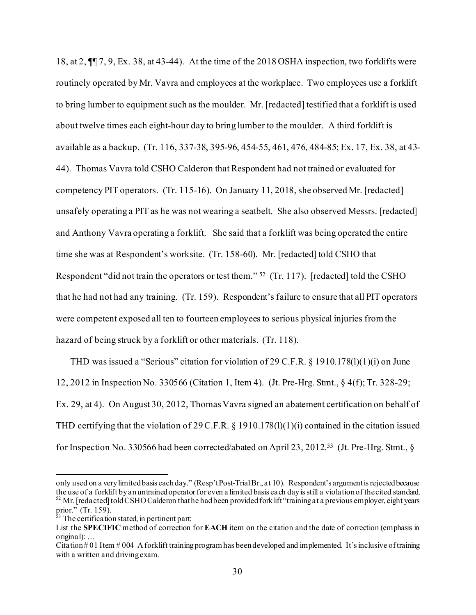18, at 2, ¶¶ 7, 9, Ex. 38, at 43-44). At the time of the 2018 OSHA inspection, two forklifts were routinely operated by Mr. Vavra and employees at the workplace. Two employees use a forklift to bring lumber to equipment such as the moulder. Mr. [redacted] testified that a forklift is used about twelve times each eight-hour day to bring lumber to the moulder. A third forklift is available as a backup. (Tr. 116, 337-38, 395-96, 454-55, 461, 476, 484-85; Ex. 17, Ex. 38, at 43- 44). Thomas Vavra told CSHO Calderon that Respondent had not trained or evaluated for competency PIT operators. (Tr. 115-16). On January 11, 2018, she observed Mr. [redacted] unsafely operating a PIT as he was not wearing a seatbelt. She also observed Messrs. [redacted] and Anthony Vavra operating a forklift. She said that a forklift was being operated the entire time she was at Respondent's worksite. (Tr. 158-60). Mr. [redacted] told CSHO that Respondent "did not train the operators or test them." [52](#page-29-0) (Tr. 117). [redacted] told the CSHO that he had not had any training. (Tr. 159). Respondent's failure to ensure that all PIT operators were competent exposed all ten to fourteen employees to serious physical injuries from the hazard of being struck by a forklift or other materials. (Tr. 118).

THD was issued a "Serious" citation for violation of 29 C.F.R.  $\S$  1910.178(1)(1)(1) on June 12, 2012 in Inspection No. 330566 (Citation 1, Item 4). (Jt. Pre-Hrg. Stmt., § 4(f); Tr. 328-29; Ex. 29, at 4). On August 30, 2012, Thomas Vavra signed an abatement certification on behalf of THD certifying that the violation of 29 C.F.R. § 1910.178(l)(1)(i) contained in the citation issued for Inspection No. 330566 had been corrected/abated on April 23, 2012.[53](#page-29-1) (Jt. Pre-Hrg. Stmt., §

<span id="page-29-0"></span>only used on a very limited basis each day." (Resp't Post-Trial Br., at 10). Respondent's argument is rejected because the use of a forklift by an untrained operator for even a limited basis each day is still a violation of the cited standard.  $52$  Mr. [redacted] told CSHO Calderon that he had been provided forklift "training at a previous employer, eight years prior." (Tr. 159).

<span id="page-29-1"></span> $53$  The certification stated, in pertinent part:

List the **SPECIFIC** method of correction for **EACH** item on the citation and the date of correction (emphasis in original): …

Citation # 01 Item # 004 A forklift training program has been developed and implemented. It's inclusive of training with a written and driving exam.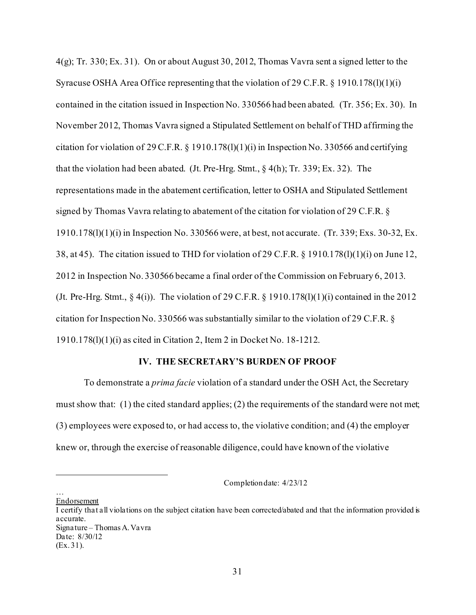4(g); Tr. 330; Ex. 31). On or about August 30, 2012, Thomas Vavra sent a signed letter to the Syracuse OSHA Area Office representing that the violation of 29 C.F.R. § 1910.178(l)(1)(i) contained in the citation issued in Inspection No. 330566 had been abated. (Tr. 356; Ex. 30). In November 2012, Thomas Vavra signed a Stipulated Settlement on behalf of THD affirming the citation for violation of 29 C.F.R.  $\S$  1910.178(1)(1)(i) in Inspection No. 330566 and certifying that the violation had been abated. (Jt. Pre-Hrg. Stmt., § 4(h); Tr. 339; Ex. 32). The representations made in the abatement certification, letter to OSHA and Stipulated Settlement signed by Thomas Vavra relating to abatement of the citation for violation of 29 C.F.R. § 1910.178(l)(1)(i) in Inspection No. 330566 were, at best, not accurate. (Tr. 339; Exs. 30-32, Ex. 38, at 45). The citation issued to THD for violation of 29 C.F.R. § 1910.178(l)(1)(i) on June 12, 2012 in Inspection No. 330566 became a final order of the Commission on February 6, 2013. (Jt. Pre-Hrg. Stmt.,  $\S 4(i)$ ). The violation of 29 C.F.R.  $\S 1910.178(1)(1)(i)$  contained in the 2012 citation for Inspection No. 330566 was substantially similar to the violation of 29 C.F.R. § 1910.178(l)(1)(i) as cited in Citation 2, Item 2 in Docket No. 18-1212.

## **IV. THE SECRETARY'S BURDEN OF PROOF**

To demonstrate a *prima facie* violation of a standard under the OSH Act, the Secretary must show that: (1) the cited standard applies; (2) the requirements of the standard were not met; (3) employees were exposed to, or had access to, the violative condition; and (4) the employer knew or, through the exercise of reasonable diligence, could have known of the violative

Completion date: 4/23/12

… Endorsement

I certify that all violations on the subject citation have been corrected/abated and that the information provided is accurate. Signature – Thomas A. Vavra Date: 8/30/12

<sup>(</sup>Ex. 31).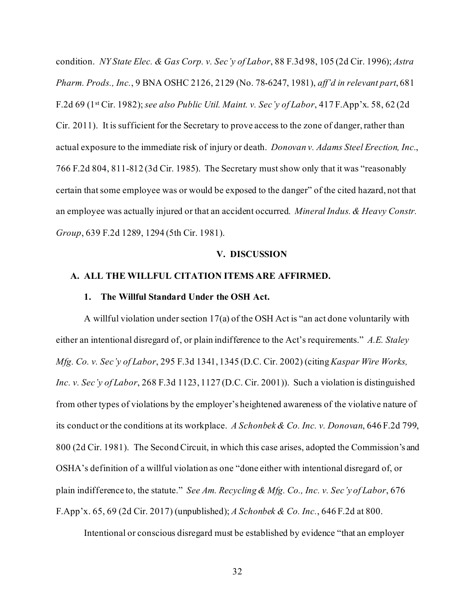condition. *NY State Elec. & Gas Corp. v. Sec'y of Labor*, 88 F.3d 98, 105 (2d Cir. 1996); *Astra Pharm. Prods., Inc.*, 9 BNA OSHC 2126, 2129 (No. 78-6247, 1981), *aff'd in relevant part*, 681 F.2d 69 (1st Cir. 1982); *see also Public Util. Maint. v. Sec'y of Labor*, 417 F.App'x. 58, 62 (2d Cir. 2011). It is sufficient for the Secretary to prove access to the zone of danger, rather than actual exposure to the immediate risk of injury or death. *Donovan v. Adams Steel Erection, Inc.*, 766 F.2d 804, 811-812 (3d Cir. 1985). The Secretary must show only that it was "reasonably certain that some employee was or would be exposed to the danger" of the cited hazard, not that an employee was actually injured or that an accident occurred. *Mineral Indus. & Heavy Constr. Group*, 639 F.2d 1289, 1294 (5th Cir. 1981).

#### **V. DISCUSSION**

#### **A. ALL THE WILLFUL CITATION ITEMS ARE AFFIRMED.**

#### **1. The Willful Standard Under the OSH Act.**

A willful violation under section 17(a) of the OSH Act is "an act done voluntarily with either an intentional disregard of, or plain indifference to the Act's requirements." *A.E. Staley Mfg. Co. v. Sec'y of Labor*, 295 F.3d 1341, 1345 (D.C. Cir. 2002) (citing *Kaspar Wire Works, Inc. v. Sec'y of Labor*, 268 F.3d 1123, 1127 (D.C. Cir. 2001)). Such a violation is distinguished from other types of violations by the employer's heightened awareness of the violative nature of its conduct or the conditions at its workplace. *A Schonbek & Co. Inc. v. Donovan*, 646 F.2d 799, 800 (2d Cir. 1981). The Second Circuit, in which this case arises, adopted the Commission's and OSHA's definition of a willful violation as one "done either with intentional disregard of, or plain indifference to, the statute." *See Am. Recycling & Mfg. Co., Inc. v. Sec'y of Labor*, 676 F.App'x. 65, 69 (2d Cir. 2017) (unpublished); *A Schonbek & Co. Inc.*, 646 F.2d at 800.

Intentional or conscious disregard must be established by evidence "that an employer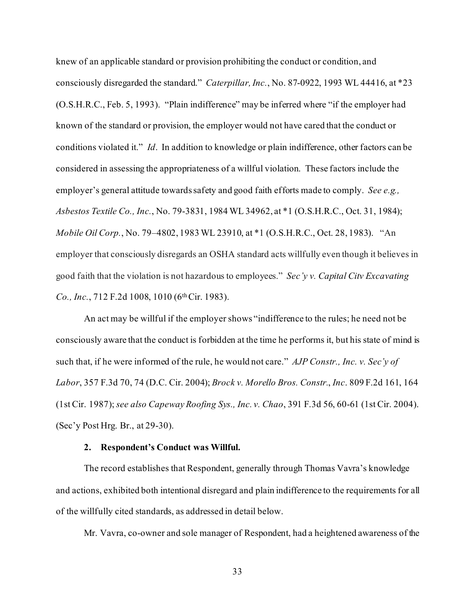knew of an applicable standard or provision prohibiting the conduct or condition, and consciously disregarded the standard." *Caterpillar, Inc.*, No. 87-0922, 1993 WL 44416, at \*23 (O.S.H.R.C., Feb. 5, 1993). "Plain indifference" may be inferred where "if the employer had known of the standard or provision, the employer would not have cared that the conduct or conditions violated it." *Id*. In addition to knowledge or plain indifference, other factors can be considered in assessing the appropriateness of a willful violation. These factors include the employer's general attitude towards safety and good faith efforts made to comply. *See e.g., Asbestos Textile Co., Inc.*, No. 79-3831, 1984 WL 34962, at \*1 (O.S.H.R.C., Oct. 31, 1984); *Mobile Oil Corp.*, No. 79–4802, 1983 WL 23910, at \*1 (O.S.H.R.C., Oct. 28, 1983). "An employer that consciously disregards an OSHA standard acts willfully even though it believes in good faith that the violation is not hazardous to employees." *Sec'y v[. Capital Citv Excavating](https://1.next.westlaw.com/Link/Document/FullText?findType=Y&serNum=1983134346&pubNum=0000350&originatingDoc=Ibf7bf8cfd83711e390d4edf60ce7d742&refType=RP&fi=co_pp_sp_350_1010&originationContext=document&transitionType=DocumentItem&contextData=(sc.Search)#co_pp_sp_350_1010)  Co., Inc.*[, 712 F.2d 1008, 1010 \(6th Cir. 1983\).](https://1.next.westlaw.com/Link/Document/FullText?findType=Y&serNum=1983134346&pubNum=0000350&originatingDoc=Ibf7bf8cfd83711e390d4edf60ce7d742&refType=RP&fi=co_pp_sp_350_1010&originationContext=document&transitionType=DocumentItem&contextData=(sc.Search)#co_pp_sp_350_1010)

An act may be willful if the employer shows "indifference to the rules; he need not be consciously aware that the conduct is forbidden at the time he performs it, but his state of mind is such that, if he were informed of the rule, he would not care." *AJP Constr., Inc. v. Sec'y of Labor*, 357 F.3d 70, 74 (D.C. Cir. 2004); *Brock v. Morello Bros. Constr.*, *Inc*. 809 F.2d 161, 164 (1st Cir. 1987); *see also Capeway Roofing Sys., Inc. v. Chao*, 391 F.3d 56, 60-61 (1st Cir. 2004). (Sec'y Post Hrg. Br., at 29-30).

#### **2. Respondent's Conduct was Willful.**

The record establishes that Respondent, generally through Thomas Vavra's knowledge and actions, exhibited both intentional disregard and plain indifference to the requirements for all of the willfully cited standards, as addressed in detail below.

Mr. Vavra, co-owner and sole manager of Respondent, had a heightened awareness of the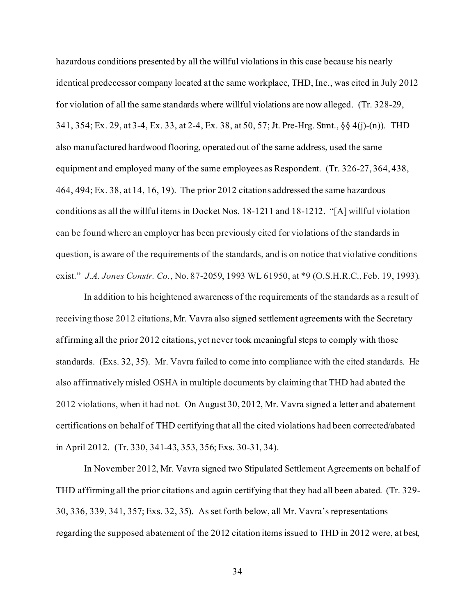hazardous conditions presented by all the willful violations in this case because his nearly identical predecessor company located at the same workplace, THD, Inc., was cited in July 2012 for violation of all the same standards where willful violations are now alleged. (Tr. 328-29, 341, 354; Ex. 29, at 3-4, Ex. 33, at 2-4, Ex. 38, at 50, 57; Jt. Pre-Hrg. Stmt., §§ 4(j)-(n)). THD also manufactured hardwood flooring, operated out of the same address, used the same equipment and employed many of the same employees as Respondent. (Tr. 326-27, 364, 438, 464, 494; Ex. 38, at 14, 16, 19). The prior 2012 citations addressed the same hazardous conditions as all the willful items in Docket Nos. 18-1211 and 18-1212. "[A] willful violation can be found where an employer has been previously cited for violations of the standards in question, is aware of the requirements of the standards, and is on notice that violative conditions exist." *J.A. Jones Constr. Co.*, No. 87-2059, 1993 WL 61950, at \*9 (O.S.H.R.C., Feb. 19, 1993).

In addition to his heightened awareness of the requirements of the standards as a result of receiving those 2012 citations, Mr. Vavra also signed settlement agreements with the Secretary affirming all the prior 2012 citations, yet never took meaningful steps to comply with those standards. (Exs. 32, 35). Mr. Vavra failed to come into compliance with the cited standards. He also affirmatively misled OSHA in multiple documents by claiming that THD had abated the 2012 violations, when it had not. On August 30, 2012, Mr. Vavra signed a letter and abatement certifications on behalf of THD certifying that all the cited violations had been corrected/abated in April 2012. (Tr. 330, 341-43, 353, 356; Exs. 30-31, 34).

In November 2012, Mr. Vavra signed two Stipulated Settlement Agreements on behalf of THD affirming all the prior citations and again certifying that they had all been abated. (Tr. 329- 30, 336, 339, 341, 357; Exs. 32, 35). As set forth below, all Mr. Vavra's representations regarding the supposed abatement of the 2012 citation items issued to THD in 2012 were, at best,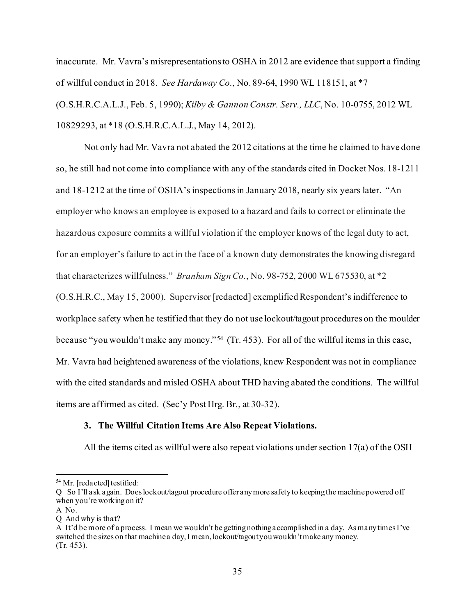inaccurate. Mr. Vavra's misrepresentations to OSHA in 2012 are evidence that support a finding of willful conduct in 2018. *See Hardaway Co.*, No. 89-64, 1990 WL 118151, at \*7 (O.S.H.R.C.A.L.J., Feb. 5, 1990); *Kilby & Gannon Constr. Serv., LLC*, No. 10-0755, 2012 WL 10829293, at \*18 (O.S.H.R.C.A.L.J., May 14, 2012).

Not only had Mr. Vavra not abated the 2012 citations at the time he claimed to have done so, he still had not come into compliance with any of the standards cited in Docket Nos. 18-1211 and 18-1212 at the time of OSHA's inspections in January 2018, nearly six years later. "An employer who knows an employee is exposed to a hazard and fails to correct or eliminate the hazardous exposure commits a willful violation if the employer knows of the legal duty to act, for an employer's failure to act in the face of a known duty demonstrates the knowing disregard that characterizes willfulness." *Branham Sign Co.*, No. 98-752, 2000 WL 675530, at \*2 (O.S.H.R.C., May 15, 2000). Supervisor [redacted] exemplified Respondent's indifference to workplace safety when he testified that they do not use lockout/tagout procedures on the moulder because "you wouldn't make any money." [54](#page-34-0) (Tr. 453). For all of the willful items in this case, Mr. Vavra had heightened awareness of the violations, knew Respondent was not in compliance with the cited standards and misled OSHA about THD having abated the conditions. The willful items are affirmed as cited. (Sec'y Post Hrg. Br., at 30-32).

## **3. The Willful Citation Items Are Also Repeat Violations.**

All the items cited as willful were also repeat violations under section 17(a) of the OSH

<span id="page-34-0"></span><sup>54</sup> Mr. [redacted] testified:

Q So I'll ask again. Doeslockout/tagout procedure offer any more safety to keeping the machine powered off when you're working on it?

A No.

Q And why is that?

A It'd be more of a process. I mean we wouldn't be getting nothing accomplished in a day. As many times I've switched the sizes on that machine a day, I mean, lockout/tagout you wouldn't make any money. (Tr. 453).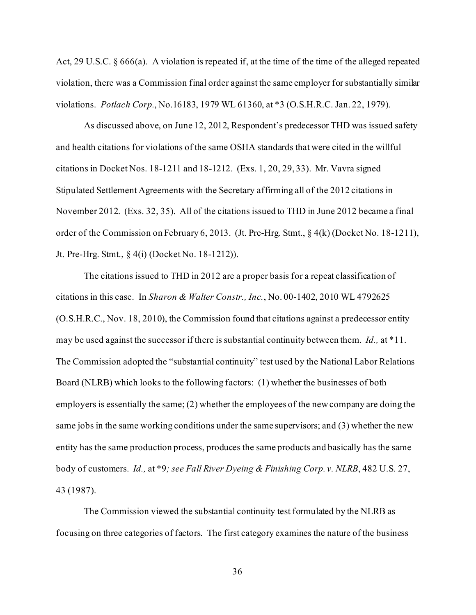Act, 29 U.S.C. § 666(a). A violation is repeated if, at the time of the time of the alleged repeated violation, there was a Commission final order against the same employer for substantially similar violations. *Potlach Corp.*, No.16183, 1979 WL 61360, at \*3 (O.S.H.R.C. Jan. 22, 1979).

As discussed above, on June 12, 2012, Respondent's predecessor THD was issued safety and health citations for violations of the same OSHA standards that were cited in the willful citations in Docket Nos. 18-1211 and 18-1212. (Exs. 1, 20, 29, 33). Mr. Vavra signed Stipulated Settlement Agreements with the Secretary affirming all of the 2012 citations in November 2012. (Exs. 32, 35). All of the citations issued to THD in June 2012 became a final order of the Commission on February 6, 2013. (Jt. Pre-Hrg. Stmt., § 4(k) (Docket No. 18-1211), Jt. Pre-Hrg. Stmt., § 4(i) (Docket No. 18-1212)).

The citations issued to THD in 2012 are a proper basis for a repeat classification of citations in this case. In *Sharon & Walter Constr., Inc.*, No. 00-1402, 2010 WL 4792625 (O.S.H.R.C., Nov. 18, 2010), the Commission found that citations against a predecessor entity may be used against the successor if there is substantial continuity between them. *Id.,* at \*11. The Commission adopted the "substantial continuity" test used by the National Labor Relations Board (NLRB) which looks to the following factors: (1) whether the businesses of both employers is essentially the same; (2) whether the employees of the new company are doing the same jobs in the same working conditions under the same supervisors; and (3) whether the new entity has the same production process, produces the same products and basically has the same body of customers. *Id.,* at \*9*; see Fall River Dyeing & Finishing Corp. v. NLRB*, 482 U.S. 27, 43 (1987).

The Commission viewed the substantial continuity test formulated by the NLRB as focusing on three categories of factors. The first category examines the nature of the business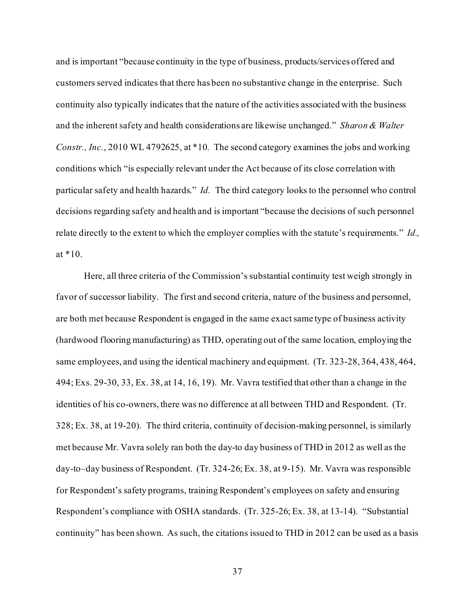and is important "because continuity in the type of business, products/services offered and customers served indicates that there has been no substantive change in the enterprise. Such continuity also typically indicates that the nature of the activities associated with the business and the inherent safety and health considerations are likewise unchanged." *Sharon & Walter Constr., Inc.*, 2010 WL 4792625, at \*10. The second category examines the jobs and working conditions which "is especially relevant under the Act because of its close correlation with particular safety and health hazards." *Id.* The third category looks to the personnel who control decisions regarding safety and health and is important "because the decisions of such personnel relate directly to the extent to which the employer complies with the statute's requirements." *Id.,*  at \*10.

Here, all three criteria of the Commission's substantial continuity test weigh strongly in favor of successor liability. The first and second criteria, nature of the business and personnel, are both met because Respondent is engaged in the same exact same type of business activity (hardwood flooring manufacturing) as THD, operating out of the same location, employing the same employees, and using the identical machinery and equipment. (Tr. 323-28, 364, 438, 464, 494; Exs. 29-30, 33, Ex. 38, at 14, 16, 19). Mr. Vavra testified that other than a change in the identities of his co-owners, there was no difference at all between THD and Respondent. (Tr. 328; Ex. 38, at 19-20). The third criteria, continuity of decision-making personnel, is similarly met because Mr. Vavra solely ran both the day-to day business of THD in 2012 as well as the day-to–day business of Respondent. (Tr. 324-26; Ex. 38, at 9-15). Mr. Vavra was responsible for Respondent's safety programs, training Respondent's employees on safety and ensuring Respondent's compliance with OSHA standards. (Tr. 325-26; Ex. 38, at 13-14). "Substantial continuity" has been shown. As such, the citations issued to THD in 2012 can be used as a basis

37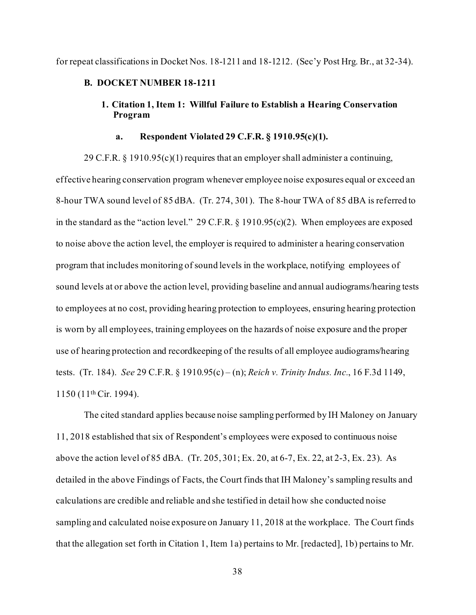for repeat classifications in Docket Nos. 18-1211 and 18-1212. (Sec'y Post Hrg. Br., at 32-34).

### **B. DOCKET NUMBER 18-1211**

## **1. Citation 1, Item 1: Willful Failure to Establish a Hearing Conservation Program**

## **a. Respondent Violated 29 C.F.R. § 1910.95(c)(1).**

29 C.F.R. § 1910.95(c)(1) requires that an employer shall administer a continuing, effective hearing conservation program whenever employee noise exposures equal or exceed an 8-hour TWA sound level of 85 dBA. (Tr. 274, 301). The 8-hour TWA of 85 dBA is referred to in the standard as the "action level." 29 C.F.R.  $\S$  1910.95(c)(2). When employees are exposed to noise above the action level, the employer is required to administer a hearing conservation program that includes monitoring of sound levels in the workplace, notifying employees of sound levels at or above the action level, providing baseline and annual audiograms/hearing tests to employees at no cost, providing hearing protection to employees, ensuring hearing protection is worn by all employees, training employees on the hazards of noise exposure and the proper use of hearing protection and recordkeeping of the results of all employee audiograms/hearing tests. (Tr. 184). *See* 29 C.F.R. § 1910.95(c) – (n); *Reich v. Trinity Indus. Inc.*, 16 F.3d 1149, 1150 (11th Cir. 1994).

The cited standard applies because noise sampling performed by IH Maloney on January 11, 2018 established that six of Respondent's employees were exposed to continuous noise above the action level of 85 dBA. (Tr. 205, 301; Ex. 20, at 6-7, Ex. 22, at 2-3, Ex. 23). As detailed in the above Findings of Facts, the Court finds that IH Maloney's sampling results and calculations are credible and reliable and she testified in detail how she conducted noise sampling and calculated noise exposure on January 11, 2018 at the workplace. The Court finds that the allegation set forth in Citation 1, Item 1a) pertains to Mr. [redacted], 1b) pertains to Mr.

38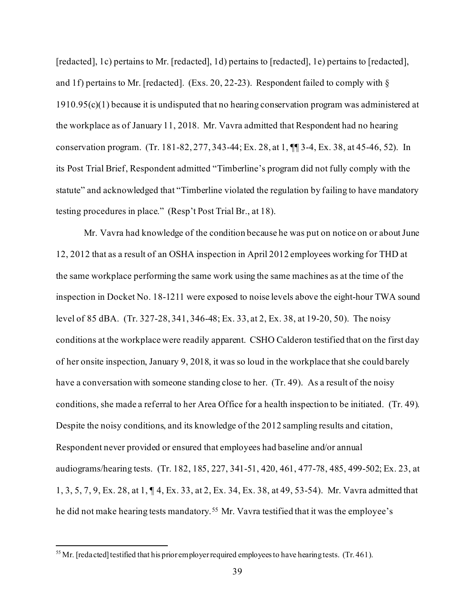[redacted], 1c) pertains to Mr. [redacted], 1d) pertains to [redacted], 1e) pertains to [redacted], and 1f) pertains to Mr. [redacted]. (Exs. 20, 22-23). Respondent failed to comply with § 1910.95(c)(1) because it is undisputed that no hearing conservation program was administered at the workplace as of January 11, 2018. Mr. Vavra admitted that Respondent had no hearing conservation program. (Tr. 181-82, 277, 343-44; Ex. 28, at 1, ¶¶ 3-4, Ex. 38, at 45-46, 52). In its Post Trial Brief, Respondent admitted "Timberline's program did not fully comply with the statute" and acknowledged that "Timberline violated the regulation by failing to have mandatory testing procedures in place." (Resp't Post Trial Br., at 18).

Mr. Vavra had knowledge of the condition because he was put on notice on or about June 12, 2012 that as a result of an OSHA inspection in April 2012 employees working for THD at the same workplace performing the same work using the same machines as at the time of the inspection in Docket No. 18-1211 were exposed to noise levels above the eight-hour TWA sound level of 85 dBA. (Tr. 327-28, 341, 346-48; Ex. 33, at 2, Ex. 38, at 19-20, 50). The noisy conditions at the workplace were readily apparent. CSHO Calderon testified that on the first day of her onsite inspection, January 9, 2018, it was so loud in the workplace that she could barely have a conversation with someone standing close to her. (Tr. 49). As a result of the noisy conditions, she made a referral to her Area Office for a health inspection to be initiated. (Tr. 49). Despite the noisy conditions, and its knowledge of the 2012 sampling results and citation, Respondent never provided or ensured that employees had baseline and/or annual audiograms/hearing tests. (Tr. 182, 185, 227, 341-51, 420, 461, 477-78, 485, 499-502; Ex. 23, at 1, 3, 5, 7, 9, Ex. 28, at 1, ¶ 4, Ex. 33, at 2, Ex. 34, Ex. 38, at 49, 53-54). Mr. Vavra admitted that he did not make hearing tests mandatory. [55](#page-38-0) Mr. Vavra testified that it was the employee's

<span id="page-38-0"></span> $55$  Mr. [redacted] testified that his prior employer required employees to have hearing tests. (Tr. 461).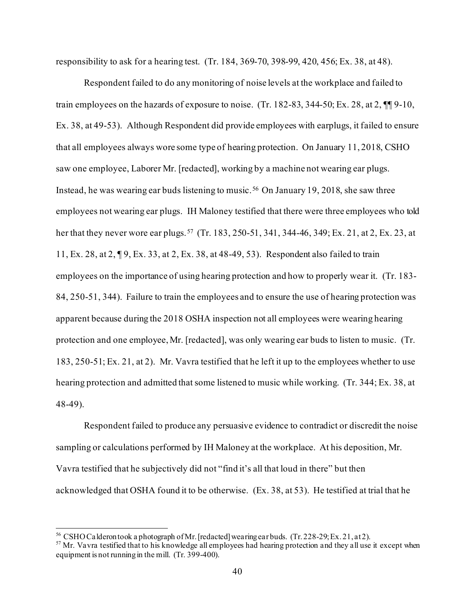responsibility to ask for a hearing test. (Tr. 184, 369-70, 398-99, 420, 456; Ex. 38, at 48).

Respondent failed to do any monitoring of noise levels at the workplace and failed to train employees on the hazards of exposure to noise. (Tr. 182-83, 344-50; Ex. 28, at 2, ¶¶ 9-10, Ex. 38, at 49-53). Although Respondent did provide employees with earplugs, it failed to ensure that all employees always wore some type of hearing protection. On January 11, 2018, CSHO saw one employee, Laborer Mr. [redacted], working by a machine not wearing ear plugs. Instead, he was wearing ear buds listening to music. [56](#page-39-0) On January 19, 2018, she saw three employees not wearing ear plugs. IH Maloney testified that there were three employees who told her that they never wore ear plugs.<sup>[57](#page-39-1)</sup> (Tr. 183, 250-51, 341, 344-46, 349; Ex. 21, at 2, Ex. 23, at 11, Ex. 28, at 2, ¶ 9, Ex. 33, at 2, Ex. 38, at 48-49, 53). Respondent also failed to train employees on the importance of using hearing protection and how to properly wear it. (Tr. 183- 84, 250-51, 344). Failure to train the employees and to ensure the use of hearing protection was apparent because during the 2018 OSHA inspection not all employees were wearing hearing protection and one employee, Mr. [redacted], was only wearing ear buds to listen to music. (Tr. 183, 250-51; Ex. 21, at 2). Mr. Vavra testified that he left it up to the employees whether to use hearing protection and admitted that some listened to music while working. (Tr. 344; Ex. 38, at 48-49).

Respondent failed to produce any persuasive evidence to contradict or discredit the noise sampling or calculations performed by IH Maloney at the workplace. At his deposition, Mr. Vavra testified that he subjectively did not "find it's all that loud in there" but then acknowledged that OSHA found it to be otherwise. (Ex. 38, at 53). He testified at trial that he

<span id="page-39-0"></span><sup>&</sup>lt;sup>56</sup> CSHO Calderon took a photograph of Mr. [redacted] wearing ear buds. (Tr. 228-29; Ex. 21, at 2).<br><sup>57</sup> Mr. Vavra testified that to his knowledge all employees had hearing protection and they all use it except when

<span id="page-39-1"></span>equipment is not running in the mill. (Tr. 399-400).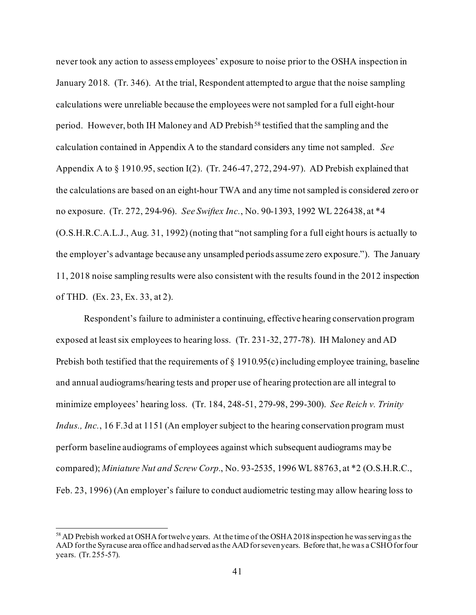never took any action to assess employees' exposure to noise prior to the OSHA inspection in January 2018. (Tr. 346). At the trial, Respondent attempted to argue that the noise sampling calculations were unreliable because the employees were not sampled for a full eight-hour period. However, both IH Maloney and AD Prebish<sup>[58](#page-40-0)</sup> testified that the sampling and the calculation contained in Appendix A to the standard considers any time not sampled. *See*  Appendix A to § 1910.95, section I(2). (Tr. 246-47, 272, 294-97). AD Prebish explained that the calculations are based on an eight-hour TWA and any time not sampled is considered zero or no exposure. (Tr. 272, 294-96). *See Swiftex Inc.*, No. 90-1393, 1992 WL 226438, at \*4 (O.S.H.R.C.A.L.J., Aug. 31, 1992) (noting that "not sampling for a full eight hours is actually to the employer's advantage because any unsampled periods assume zero exposure."). The January 11, 2018 noise sampling results were also consistent with the results found in the 2012 inspection of THD. (Ex. 23, Ex. 33, at 2).

Respondent's failure to administer a continuing, effective hearing conservation program exposed at least six employees to hearing loss. (Tr. 231-32, 277-78). IH Maloney and AD Prebish both testified that the requirements of § 1910.95(c) including employee training, baseline and annual audiograms/hearing tests and proper use of hearing protection are all integral to minimize employees' hearing loss. (Tr. 184, 248-51, 279-98, 299-300). *See Reich v. Trinity Indus., Inc.*, 16 F.3d at 1151 (An employer subject to the hearing conservation program must perform baseline audiograms of employees against which subsequent audiograms may be compared); *Miniature Nut and Screw Corp.*, No. 93-2535, 1996 WL 88763, at \*2 (O.S.H.R.C., Feb. 23, 1996) (An employer's failure to conduct audiometric testing may allow hearing loss to

<span id="page-40-0"></span><sup>&</sup>lt;sup>58</sup> AD Prebish worked at OSHA for twelve years. At the time of the OSHA 2018 inspection he was serving as the AAD for the Syracuse area office and had served as the AAD for seven years. Before that, he was a CSHO for four years. (Tr. 255-57).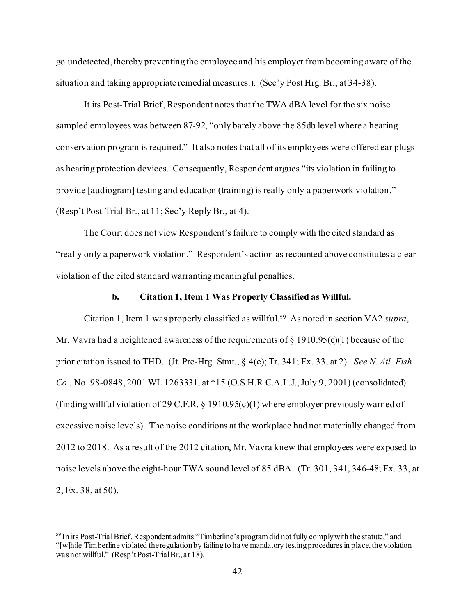go undetected, thereby preventing the employee and his employer from becoming aware of the situation and taking appropriate remedial measures.). (Sec'y Post Hrg. Br., at 34-38).

It its Post-Trial Brief, Respondent notes that the TWA dBA level for the six noise sampled employees was between 87-92, "only barely above the 85db level where a hearing conservation program is required." It also notes that all of its employees were offered ear plugs as hearing protection devices. Consequently, Respondent argues "its violation in failing to provide [audiogram] testing and education (training) is really only a paperwork violation." (Resp't Post-Trial Br., at 11; Sec'y Reply Br., at 4).

The Court does not view Respondent's failure to comply with the cited standard as "really only a paperwork violation." Respondent's action as recounted above constitutes a clear violation of the cited standard warranting meaningful penalties.

### **b. Citation 1, Item 1 Was Properly Classified as Willful.**

Citation 1, Item 1 was properly classified as willful.[59](#page-41-0) As noted in section VA2 *supra*, Mr. Vavra had a heightened awareness of the requirements of  $\S$  1910.95(c)(1) because of the prior citation issued to THD. (Jt. Pre-Hrg. Stmt., § 4(e); Tr. 341; Ex. 33, at 2). *See N. Atl. Fish Co.*, No. 98-0848, 2001 WL 1263331, at \*15 (O.S.H.R.C.A.L.J., July 9, 2001) (consolidated) (finding willful violation of 29 C.F.R. § 1910.95(c)(1) where employer previously warned of excessive noise levels). The noise conditions at the workplace had not materially changed from 2012 to 2018. As a result of the 2012 citation, Mr. Vavra knew that employees were exposed to noise levels above the eight-hour TWA sound level of 85 dBA. (Tr. 301, 341, 346-48; Ex. 33, at 2, Ex. 38, at 50).

<span id="page-41-0"></span><sup>&</sup>lt;sup>59</sup> In its Post-Trial Brief, Respondent admits "Timberline's program did not fully comply with the statute," and "[w]hile Timberline violated the regulation by failing to have mandatory testing procedures in place, the violation was not willful." (Resp't Post-Trial Br., at 18).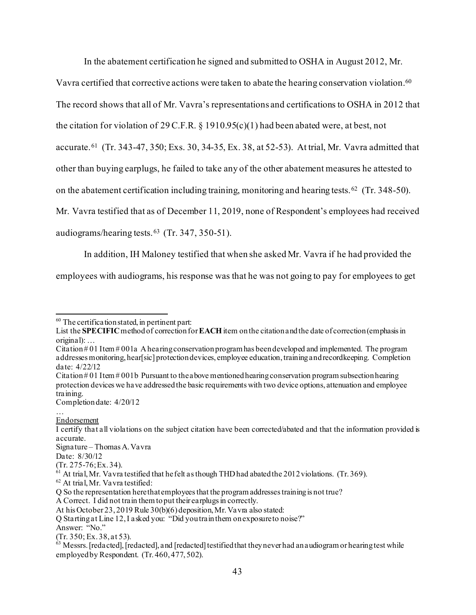In the abatement certification he signed and submitted to OSHA in August 2012, Mr.

Vavra certified that corrective actions were taken to abate the hearing conservation violation.[60](#page-42-0)  The record shows that all of Mr. Vavra's representations and certifications to OSHA in 2012 that the citation for violation of 29 C.F.R. § 1910.95(c)(1) had been abated were, at best, not accurate.[61](#page-42-1) (Tr. 343-47, 350; Exs. 30, 34-35, Ex. 38, at 52-53). At trial, Mr. Vavra admitted that other than buying earplugs, he failed to take any of the other abatement measures he attested to on the abatement certification including training, monitoring and hearing tests.<sup>[62](#page-42-2)</sup> (Tr. 348-50). Mr. Vavra testified that as of December 11, 2019, none of Respondent's employees had received audiograms/hearing tests.[63](#page-42-3) (Tr. 347, 350-51).

In addition, IH Maloney testified that when she asked Mr. Vavra if he had provided the

employees with audiograms, his response was that he was not going to pay for employees to get

Completion date: 4/20/12

<span id="page-42-0"></span> $60$  The certification stated, in pertinent part:

List the **SPECIFIC** method of correction for**EACH**item on the citation and the date of correction(emphasis in original): …

Citation  $\# 01$  Item  $\# 001$  a A hearing conservation program has been developed and implemented. The program addresses monitoring, hear[sic] protection devices, employee education, training and recordkeeping. Completion date: 4/22/12

Citation # 01 Item # 001b Pursuant to the above mentioned hearing conservation program subsection hearing protection devices we have addressed the basic requirements with two device options, attenuation and employee training.

<sup>…</sup>  Endorsement

I certify that all violations on the subject citation have been corrected/abated and that the information provided is accurate.

Signature – Thomas A. Vavra

Date: 8/30/12<br>(Tr. 275-76; Ex. 34).

<span id="page-42-1"></span> $\frac{61}{61}$  At trial, Mr. Vavra testified that he felt as though THD had abated the 2012 violations. (Tr. 369).  $\frac{62}{61}$  At trial, Mr. Vavra testified:

<span id="page-42-2"></span>Q So the representation here that employees that the program addresses training is not true?

A Correct. I did not train them to put their earplugs in correctly.

At his October 23, 2019 Rule 30(b)(6) deposition, Mr. Vavra also stated:

Q Starting at Line 12, I asked you: "Did you train them on exposure to noise?"

Answer: "No."

<span id="page-42-3"></span>Tr. 350; Ex. 38, at 53).<br>
<sup>63</sup> Messrs. [redacted], [redacted], and [redacted] testified that they never had an audiogram or hearing test while employed by Respondent. (Tr. 460, 477, 502).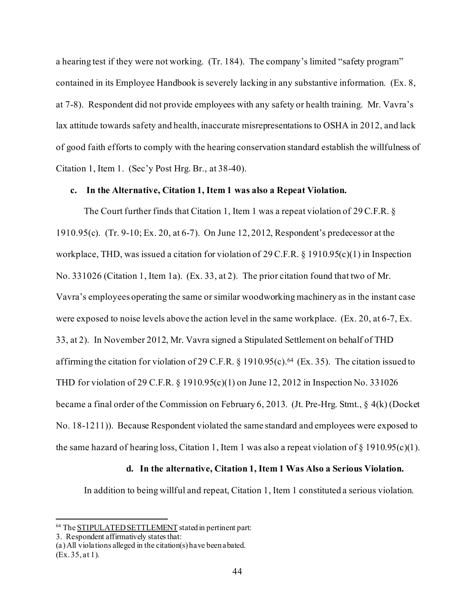a hearing test if they were not working. (Tr. 184). The company's limited "safety program" contained in its Employee Handbook is severely lacking in any substantive information. (Ex. 8, at 7-8). Respondent did not provide employees with any safety or health training. Mr. Vavra's lax attitude towards safety and health, inaccurate misrepresentations to OSHA in 2012, and lack of good faith efforts to comply with the hearing conservation standard establish the willfulness of Citation 1, Item 1. (Sec'y Post Hrg. Br., at 38-40).

### **c. In the Alternative, Citation 1, Item 1 was also a Repeat Violation.**

The Court further finds that Citation 1, Item 1 was a repeat violation of 29 C.F.R. § 1910.95(c). (Tr. 9-10; Ex. 20, at 6-7). On June 12, 2012, Respondent's predecessor at the workplace, THD, was issued a citation for violation of 29 C.F.R. § 1910.95(c)(1) in Inspection No. 331026 (Citation 1, Item 1a). (Ex. 33, at 2). The prior citation found that two of Mr. Vavra's employees operating the same or similar woodworking machinery as in the instant case were exposed to noise levels above the action level in the same workplace. (Ex. 20, at 6-7, Ex. 33, at 2). In November 2012, Mr. Vavra signed a Stipulated Settlement on behalf of THD affirming the citation for violation of 29 C.F.R. § 1910.95(c). [64](#page-43-0) (Ex. 35). The citation issued to THD for violation of 29 C.F.R. § 1910.95(c)(1) on June 12, 2012 in Inspection No. 331026 became a final order of the Commission on February 6, 2013. (Jt. Pre-Hrg. Stmt., § 4(k) (Docket No. 18-1211)). Because Respondent violated the same standard and employees were exposed to the same hazard of hearing loss, Citation 1, Item 1 was also a repeat violation of  $\S$  1910.95(c)(1).

## **d. In the alternative, Citation 1, Item 1 Was Also a Serious Violation.**

In addition to being willful and repeat, Citation 1, Item 1 constituted a serious violation.

<span id="page-43-0"></span><sup>64</sup> The STIPULATED SETTLEMENT stated in pertinent part:

<sup>3.</sup> Respondent affirmatively states that:

<sup>(</sup>a) All violations alleged in the citation(s) have been abated. (Ex. 35, at 1).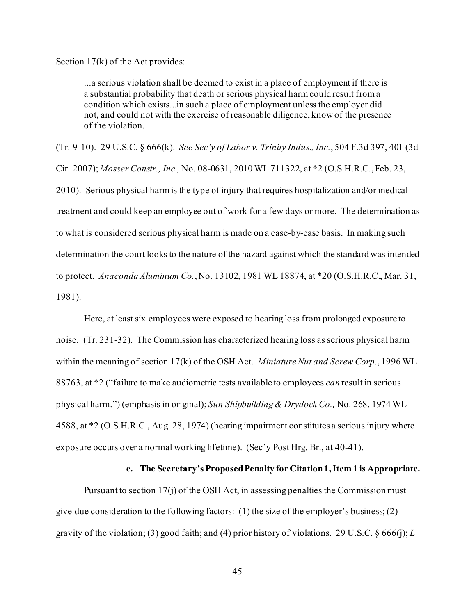Section 17(k) of the Act provides:

...a serious violation shall be deemed to exist in a place of employment if there is a substantial probability that death or serious physical harm could result from a condition which exists...in such a place of employment unless the employer did not, and could not with the exercise of reasonable diligence, know of the presence of the violation.

(Tr. 9-10). 29 U.S.C. § 666(k). *See Sec'y of Labor v. Trinity Indus., Inc.*, 504 F.3d 397, 401 (3d Cir. 2007); *Mosser Constr., Inc.,* No. 08-0631, 2010 WL 711322, at \*2 (O.S.H.R.C., Feb. 23, 2010). Serious physical harm is the type of injury that requires hospitalization and/or medical treatment and could keep an employee out of work for a few days or more. The determination as to what is considered serious physical harm is made on a case-by-case basis. In making such determination the court looks to the nature of the hazard against which the standard was intended to protect. *Anaconda Aluminum Co.*, No. 13102, 1981 WL 18874, at \*20 (O.S.H.R.C., Mar. 31, 1981).

Here, at least six employees were exposed to hearing loss from prolonged exposure to noise. (Tr. 231-32). The Commission has characterized hearing loss as serious physical harm within the meaning of section 17(k) of the OSH Act. *Miniature Nut and Screw Corp.*, 1996 WL 88763, at \*2 ("failure to make audiometric tests available to employees *can* result in serious physical harm.") (emphasis in original); *[Sun Shipbuilding & Drydock Co.,](http://www.westlaw.com/Link/Document/FullText?findType=Y&serNum=1974160655&pubNum=0003227&originatingDoc=I33c60232fa2c11d99439b076ef9ec4de&refType=CA&fi=co_pp_sp_3227_1183&originationContext=document&vr=3.0&rs=cblt1.0&transitionType=DocumentItem&contextData=(sc.Search)#co_pp_sp_3227_1183)* No. 268, 1974 WL [4588, at \\*2](http://www.westlaw.com/Link/Document/FullText?findType=Y&serNum=1974160655&pubNum=0003227&originatingDoc=I33c60232fa2c11d99439b076ef9ec4de&refType=CA&fi=co_pp_sp_3227_1183&originationContext=document&vr=3.0&rs=cblt1.0&transitionType=DocumentItem&contextData=(sc.Search)#co_pp_sp_3227_1183) (O.S.H.R.C., Aug. 28, 1974) (hearing impairment constitutes a serious injury where exposure occurs over a normal working lifetime). (Sec'y Post Hrg. Br., at 40-41).

### **e. The Secretary's Proposed Penalty for Citation 1, Item 1 is Appropriate.**

Pursuant to section 17(j) of the OSH Act, in assessing penalties the Commission must give due consideration to the following factors: (1) the size of the employer's business; (2) gravity of the violation; (3) good faith; and (4) prior history of violations. 29 U.S.C. § 666(j); *L*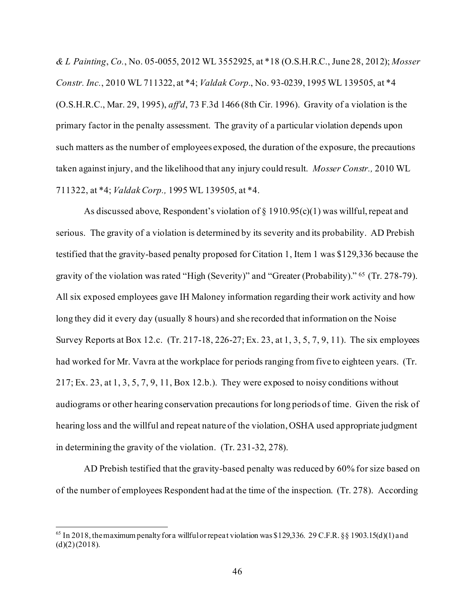*& L Painting*, *Co.*, No. 05-0055, 2012 WL 3552925, at \*18 (O.S.H.R.C., June 28, 2012); *Mosser Constr. Inc.*, 2010 WL 711322, at \*4; *Valdak Corp.*, No. 93-0239, 1995 WL 139505, at \*4 (O.S.H.R.C., Mar. 29, 1995), *aff'd*, 73 F.3d 1466 (8th Cir. 1996). Gravity of a violation is the primary factor in the penalty assessment. The gravity of a particular violation depends upon such matters as the number of employees exposed, the duration of the exposure, the precautions taken against injury, and the likelihood that any injury could result. *Mosser Constr.,* 2010 WL 711322, at \*4; *Valdak Corp.,* 1995 WL 139505, at \*4.

As discussed above, Respondent's violation of  $\S 1910.95(c)(1)$  was willful, repeat and serious. The gravity of a violation is determined by its severity and its probability. AD Prebish testified that the gravity-based penalty proposed for Citation 1, Item 1 was \$129,336 because the gravity of the violation was rated "High (Severity)" and "Greater (Probability)." [65](#page-45-0) (Tr. 278-79). All six exposed employees gave IH Maloney information regarding their work activity and how long they did it every day (usually 8 hours) and she recorded that information on the Noise Survey Reports at Box 12.c. (Tr. 217-18, 226-27; Ex. 23, at 1, 3, 5, 7, 9, 11). The six employees had worked for Mr. Vavra at the workplace for periods ranging from five to eighteen years. (Tr.  $217$ ; Ex. 23, at 1, 3, 5, 7, 9, 11, Box 12.b.). They were exposed to noisy conditions without audiograms or other hearing conservation precautions for long periods of time. Given the risk of hearing loss and the willful and repeat nature of the violation, OSHA used appropriate judgment in determining the gravity of the violation. (Tr. 231-32, 278).

AD Prebish testified that the gravity-based penalty was reduced by 60% for size based on of the number of employees Respondent had at the time of the inspection. (Tr. 278). According

<span id="page-45-0"></span><sup>&</sup>lt;sup>65</sup> In 2018, the maximum penalty for a willful or repeat violation was \$129,336. 29 C.F.R. §§ 1903.15(d)(1) and  $(d)(2)(2018)$ .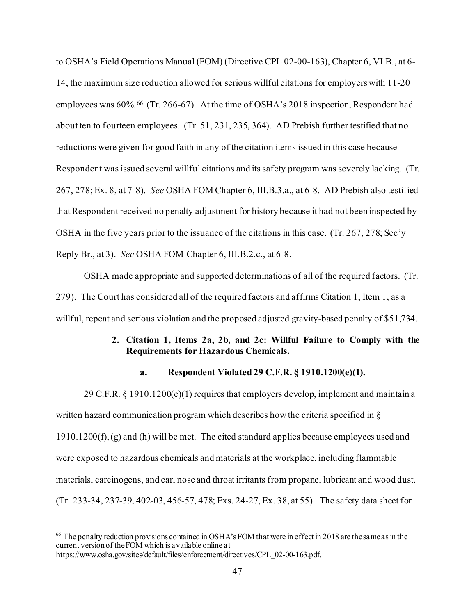to OSHA's Field Operations Manual (FOM) (Directive CPL 02-00-163), Chapter 6, VI.B., at 6- 14, the maximum size reduction allowed for serious willful citations for employers with 11-20 employees was 60%. [66](#page-46-0) (Tr. 266-67). At the time of OSHA's 2018 inspection, Respondent had about ten to fourteen employees. (Tr. 51, 231, 235, 364). AD Prebish further testified that no reductions were given for good faith in any of the citation items issued in this case because Respondent was issued several willful citations and its safety program was severely lacking. (Tr. 267, 278; Ex. 8, at 7-8). *See* OSHA FOM Chapter 6, III.B.3.a., at 6-8. AD Prebish also testified that Respondent received no penalty adjustment for history because it had not been inspected by OSHA in the five years prior to the issuance of the citations in this case. (Tr. 267, 278; Sec'y Reply Br., at 3). *See* OSHA FOM Chapter 6, III.B.2.c., at 6-8.

OSHA made appropriate and supported determinations of all of the required factors. (Tr. 279). The Court has considered all of the required factors and affirms Citation 1, Item 1, as a willful, repeat and serious violation and the proposed adjusted gravity-based penalty of \$51,734.

# **2. Citation 1, Items 2a, 2b, and 2c: Willful Failure to Comply with the Requirements for Hazardous Chemicals.**

## **a. Respondent Violated 29 C.F.R. § 1910.1200(e)(1).**

29 C.F.R.  $\S$  1910.1200(e)(1) requires that employers develop, implement and maintain a written hazard communication program which describes how the criteria specified in §  $1910.1200(f)$ , (g) and (h) will be met. The cited standard applies because employees used and were exposed to hazardous chemicals and materials at the workplace, including flammable materials, carcinogens, and ear, nose and throat irritants from propane, lubricant and wood dust. (Tr. 233-34, 237-39, 402-03, 456-57, 478; Exs. 24-27, Ex. 38, at 55). The safety data sheet for

<span id="page-46-0"></span><sup>&</sup>lt;sup>66</sup> The penalty reduction provisions contained in OSHA's FOM that were in effect in 2018 are the same as in the current version of the FOM which is available online at [https://www.osha.gov/sites/default/files/enforcement/directives/CPL\\_02-00-163.pdf](https://www.osha.gov/sites/default/files/enforcement/directives/CPL_02-00-163.pdf).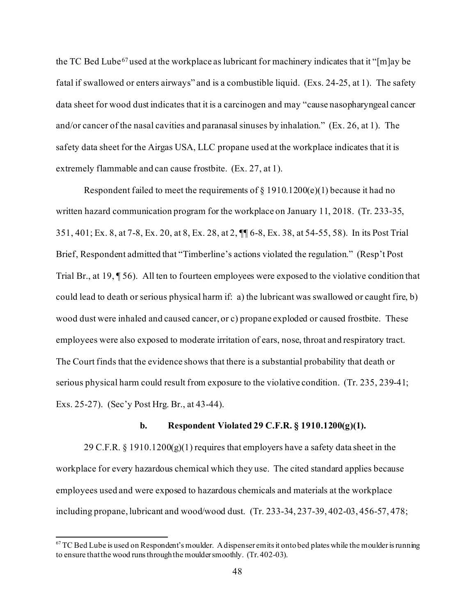the TC Bed Lube<sup>[67](#page-47-0)</sup> used at the workplace as lubricant for machinery indicates that it "[m]ay be fatal if swallowed or enters airways" and is a combustible liquid. (Exs. 24-25, at 1). The safety data sheet for wood dust indicates that it is a carcinogen and may "cause nasopharyngeal cancer and/or cancer of the nasal cavities and paranasal sinuses by inhalation." (Ex. 26, at 1). The safety data sheet for the Airgas USA, LLC propane used at the workplace indicates that it is extremely flammable and can cause frostbite. (Ex. 27, at 1).

Respondent failed to meet the requirements of  $\S$  1910.1200(e)(1) because it had no written hazard communication program for the workplace on January 11, 2018. (Tr. 233-35, 351, 401; Ex. 8, at 7-8, Ex. 20, at 8, Ex. 28, at 2, ¶¶ 6-8, Ex. 38, at 54-55, 58). In its Post Trial Brief, Respondent admitted that "Timberline's actions violated the regulation." (Resp't Post Trial Br., at 19, ¶ 56). All ten to fourteen employees were exposed to the violative condition that could lead to death or serious physical harm if: a) the lubricant was swallowed or caught fire, b) wood dust were inhaled and caused cancer, or c) propane exploded or caused frostbite. These employees were also exposed to moderate irritation of ears, nose, throat and respiratory tract. The Court finds that the evidence shows that there is a substantial probability that death or serious physical harm could result from exposure to the violative condition. (Tr. 235, 239-41; Exs. 25-27). (Sec'y Post Hrg. Br., at 43-44).

### **b. Respondent Violated 29 C.F.R. § 1910.1200(g)(1).**

29 C.F.R. § 1910.1200(g)(1) requires that employers have a safety data sheet in the workplace for every hazardous chemical which they use. The cited standard applies because employees used and were exposed to hazardous chemicals and materials at the workplace including propane, lubricant and wood/wood dust. (Tr. 233-34, 237-39, 402-03, 456-57, 478;

<span id="page-47-0"></span> $67$  TC Bed Lube is used on Respondent's moulder. A dispenser emits it onto bed plates while the moulder is running to ensure that the wood runs through the moulder smoothly. (Tr. 402-03).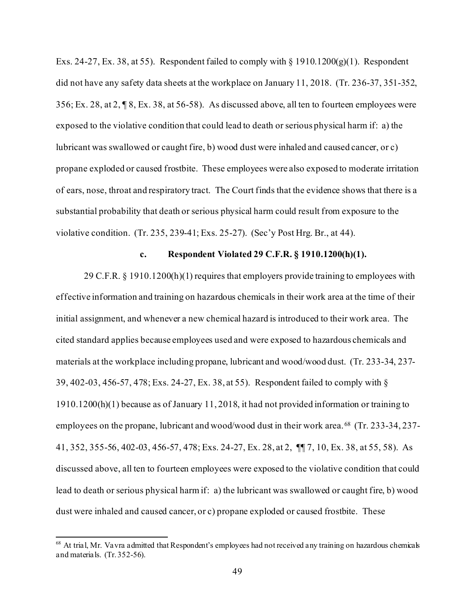Exs. 24-27, Ex. 38, at 55). Respondent failed to comply with  $\S$  1910.1200(g)(1). Respondent did not have any safety data sheets at the workplace on January 11, 2018. (Tr. 236-37, 351-352, 356; Ex. 28, at 2, ¶ 8, Ex. 38, at 56-58). As discussed above, all ten to fourteen employees were exposed to the violative condition that could lead to death or serious physical harm if: a) the lubricant was swallowed or caught fire, b) wood dust were inhaled and caused cancer, or c) propane exploded or caused frostbite. These employees were also exposed to moderate irritation of ears, nose, throat and respiratory tract. The Court finds that the evidence shows that there is a substantial probability that death or serious physical harm could result from exposure to the violative condition. (Tr. 235, 239-41; Exs. 25-27). (Sec'y Post Hrg. Br., at 44).

## **c. Respondent Violated 29 C.F.R. § 1910.1200(h)(1).**

29 C.F.R. § 1910.1200(h)(1) requires that employers provide training to employees with effective information and training on hazardous chemicals in their work area at the time of their initial assignment, and whenever a new chemical hazard is introduced to their work area. The cited standard applies because employees used and were exposed to hazardous chemicals and materials at the workplace including propane, lubricant and wood/wood dust. (Tr. 233-34, 237- 39, 402-03, 456-57, 478; Exs. 24-27, Ex. 38, at 55). Respondent failed to comply with § 1910.1200(h)(1) because as of January 11, 2018, it had not provided information or training to employees on the propane, lubricant and wood/wood dust in their work area. [68](#page-48-0) (Tr. 233-34, 237- 41, 352, 355-56, 402-03, 456-57, 478; Exs. 24-27, Ex. 28, at 2, ¶¶ 7, 10, Ex. 38, at 55, 58). As discussed above, all ten to fourteen employees were exposed to the violative condition that could lead to death or serious physical harm if: a) the lubricant was swallowed or caught fire, b) wood dust were inhaled and caused cancer, or c) propane exploded or caused frostbite. These

<span id="page-48-0"></span><sup>&</sup>lt;sup>68</sup> At trial, Mr. Vavra admitted that Respondent's employees had not received any training on hazardous chemicals and materials. (Tr. 352-56).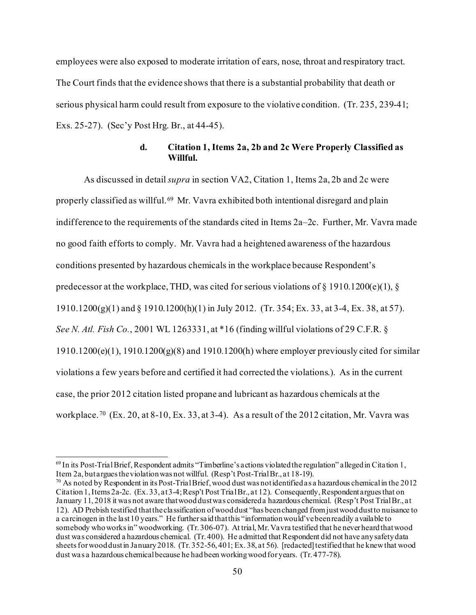employees were also exposed to moderate irritation of ears, nose, throat and respiratory tract. The Court finds that the evidence shows that there is a substantial probability that death or serious physical harm could result from exposure to the violative condition. (Tr. 235, 239-41; Exs. 25-27). (Sec'y Post Hrg. Br., at 44-45).

## **d. Citation 1, Items 2a, 2b and 2c Were Properly Classified as Willful.**

As discussed in detail *supra* in section VA2, Citation 1, Items 2a, 2b and 2c were properly classified as willful.<sup>[69](#page-49-0)</sup> Mr. Vavra exhibited both intentional disregard and plain indifference to the requirements of the standards cited in Items 2a–2c. Further, Mr. Vavra made no good faith efforts to comply. Mr. Vavra had a heightened awareness of the hazardous conditions presented by hazardous chemicals in the workplace because Respondent's predecessor at the workplace, THD, was cited for serious violations of  $\S$  1910.1200(e)(1),  $\S$ 1910.1200(g)(1) and § 1910.1200(h)(1) in July 2012. (Tr. 354; Ex. 33, at 3-4, Ex. 38, at 57). *See N. Atl. Fish Co.*, 2001 WL 1263331, at \*16 (finding willful violations of 29 C.F.R. §  $1910.1200(e)(1)$ ,  $1910.1200(g)(8)$  and  $1910.1200(h)$  where employer previously cited for similar violations a few years before and certified it had corrected the violations.). As in the current case, the prior 2012 citation listed propane and lubricant as hazardous chemicals at the workplace.<sup>[70](#page-49-1)</sup> (Ex. 20, at 8-10, Ex. 33, at 3-4). As a result of the 2012 citation, Mr. Vavra was

<span id="page-49-0"></span><sup>&</sup>lt;sup>69</sup> In its Post-Trial Brief, Respondent admits "Timberline's actions violated the regulation" alleged in Citation 1, Item 2a, but argues the violation was not willful. (Resp't Post-Trial Br., at 18-19).

<span id="page-49-1"></span><sup>&</sup>lt;sup>70</sup> As noted by Respondent in its Post-Trial Brief, wood dust was not identified as a hazardous chemical in the 2012 Citation 1, Items 2a-2c. (Ex. 33, at 3-4; Resp't Post Trial Br., at 12). Consequently, Respondent argues that on January 11, 2018 it was not aware that wood dust was considered a hazardous chemical. (Resp't Post Trial Br., at 12). AD Prebish testified that the classification of wood dust "has been changed from just wood dust to nuisance to a carcinogen in the last 10 years." He further said that this "information would've been readily available to somebody who works in" woodworking. (Tr. 306-07). At trial, Mr. Vavra testified that he never heard that wood dust was considered a hazardous chemical. (Tr. 400). He admitted that Respondent did not have any safety data sheets for wood dust in January 2018. (Tr. 352-56, 401; Ex. 38, at 56). [redacted] testified that he knew that wood dust was a hazardous chemical because he had been working wood for years. (Tr. 477-78).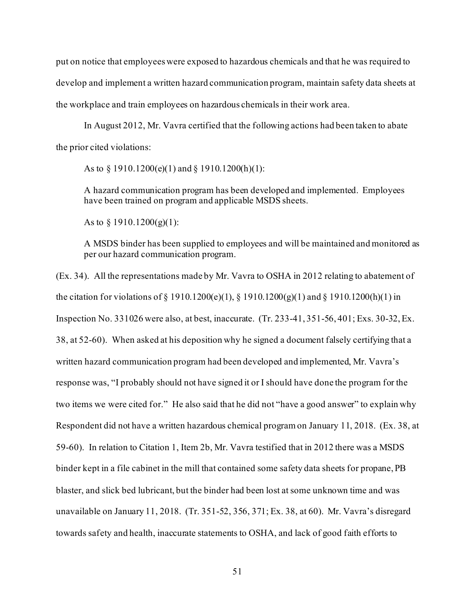put on notice that employees were exposed to hazardous chemicals and that he was required to develop and implement a written hazard communication program, maintain safety data sheets at the workplace and train employees on hazardous chemicals in their work area.

In August 2012, Mr. Vavra certified that the following actions had been taken to abate the prior cited violations:

As to § 1910.1200(e)(1) and § 1910.1200(h)(1):

A hazard communication program has been developed and implemented. Employees have been trained on program and applicable MSDS sheets.

As to  $\S 1910.1200(g)(1)$ :

A MSDS binder has been supplied to employees and will be maintained and monitored as per our hazard communication program.

(Ex. 34). All the representations made by Mr. Vavra to OSHA in 2012 relating to abatement of the citation for violations of § 1910.1200(e)(1), § 1910.1200(g)(1) and § 1910.1200(h)(1) in Inspection No. 331026 were also, at best, inaccurate. (Tr. 233-41, 351-56, 401; Exs. 30-32, Ex. 38, at 52-60). When asked at his deposition why he signed a document falsely certifying that a written hazard communication program had been developed and implemented, Mr. Vavra's response was, "I probably should not have signed it or I should have done the program for the two items we were cited for." He also said that he did not "have a good answer" to explain why Respondent did not have a written hazardous chemical program on January 11, 2018. (Ex. 38, at 59-60). In relation to Citation 1, Item 2b, Mr. Vavra testified that in 2012 there was a MSDS binder kept in a file cabinet in the mill that contained some safety data sheets for propane, PB blaster, and slick bed lubricant, but the binder had been lost at some unknown time and was unavailable on January 11, 2018. (Tr. 351-52, 356, 371; Ex. 38, at 60). Mr. Vavra's disregard towards safety and health, inaccurate statements to OSHA, and lack of good faith efforts to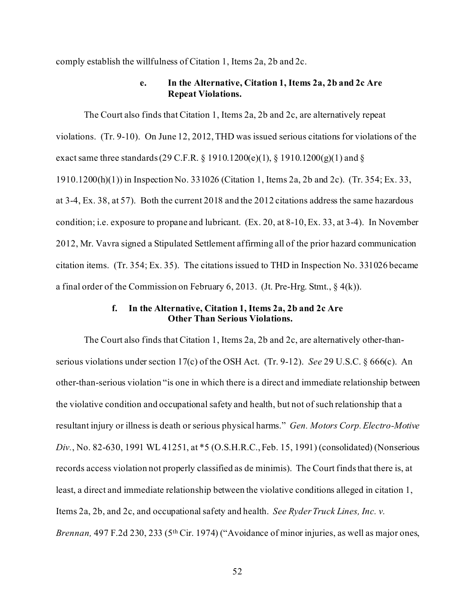comply establish the willfulness of Citation 1, Items 2a, 2b and 2c.

## **e. In the Alternative, Citation 1, Items 2a, 2b and 2c Are Repeat Violations.**

The Court also finds that Citation 1, Items 2a, 2b and 2c, are alternatively repeat violations. (Tr. 9-10). On June 12, 2012, THD was issued serious citations for violations of the exact same three standards (29 C.F.R. § 1910.1200(e)(1), § 1910.1200(g)(1) and § 1910.1200(h)(1)) in Inspection No. 331026 (Citation 1, Items 2a, 2b and 2c). (Tr. 354; Ex. 33, at 3-4, Ex. 38, at 57). Both the current 2018 and the 2012 citations address the same hazardous condition; i.e. exposure to propane and lubricant. (Ex. 20, at 8-10, Ex. 33, at 3-4). In November 2012, Mr. Vavra signed a Stipulated Settlement affirming all of the prior hazard communication citation items. (Tr. 354; Ex. 35). The citations issued to THD in Inspection No. 331026 became a final order of the Commission on February 6, 2013. (Jt. Pre-Hrg. Stmt.,  $\S 4(k)$ ).

## **f. In the Alternative, Citation 1, Items 2a, 2b and 2c Are Other Than Serious Violations.**

The Court also finds that Citation 1, Items 2a, 2b and 2c, are alternatively other-thanserious violations under section 17(c) of the OSH Act. (Tr. 9-12). *See* 29 U.S.C. § 666(c). An other-than-serious violation "is one in which there is a direct and immediate relationship between the violative condition and occupational safety and health, but not of such relationship that a resultant injury or illness is death or serious physical harms." *Gen. Motors Corp. Electro-Motive Div.*, No. 82-630, 1991 WL 41251, at \*5 (O.S.H.R.C., Feb. 15, 1991) (consolidated) (Nonserious records access violation not properly classified as de minimis). The Court finds that there is, at least, a direct and immediate relationship between the violative conditions alleged in citation 1, Items 2a, 2b, and 2c, and occupational safety and health. *See Ryder Truck Lines, Inc. v. Brennan,* 497 F.2d 230, 233 (5th Cir. 1974) ("Avoidance of minor injuries, as well as major ones,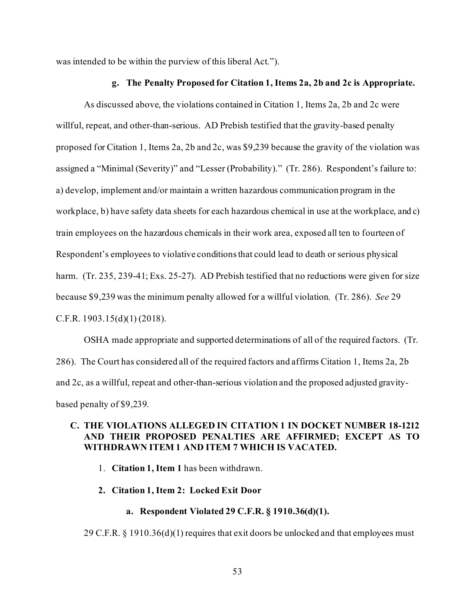was intended to be within the purview of this liberal Act.").

### **g. The Penalty Proposed for Citation 1, Items 2a, 2b and 2c is Appropriate.**

As discussed above, the violations contained in Citation 1, Items 2a, 2b and 2c were willful, repeat, and other-than-serious. AD Prebish testified that the gravity-based penalty proposed for Citation 1, Items 2a, 2b and 2c, was \$9,239 because the gravity of the violation was assigned a "Minimal (Severity)" and "Lesser (Probability)." (Tr. 286). Respondent's failure to: a) develop, implement and/or maintain a written hazardous communication program in the workplace, b) have safety data sheets for each hazardous chemical in use at the workplace, and c) train employees on the hazardous chemicals in their work area, exposed all ten to fourteen of Respondent's employees to violative conditions that could lead to death or serious physical harm. (Tr. 235, 239-41; Exs. 25-27). AD Prebish testified that no reductions were given for size because \$9,239 was the minimum penalty allowed for a willful violation. (Tr. 286). *See* 29 C.F.R. 1903.15(d)(1) (2018).

OSHA made appropriate and supported determinations of all of the required factors. (Tr. 286). The Court has considered all of the required factors and affirms Citation 1, Items 2a, 2b and 2c, as a willful, repeat and other-than-serious violation and the proposed adjusted gravitybased penalty of \$9,239.

## **C. THE VIOLATIONS ALLEGED IN CITATION 1 IN DOCKET NUMBER 18-1212 AND THEIR PROPOSED PENALTIES ARE AFFIRMED; EXCEPT AS TO WITHDRAWN ITEM 1 AND ITEM 7 WHICH IS VACATED.**

- 1. **Citation 1, Item 1** has been withdrawn.
- **2. Citation 1, Item 2: Locked Exit Door**

### **a. Respondent Violated 29 C.F.R. § 1910.36(d)(1).**

29 C.F.R. § 1910.36(d)(1) requires that exit doors be unlocked and that employees must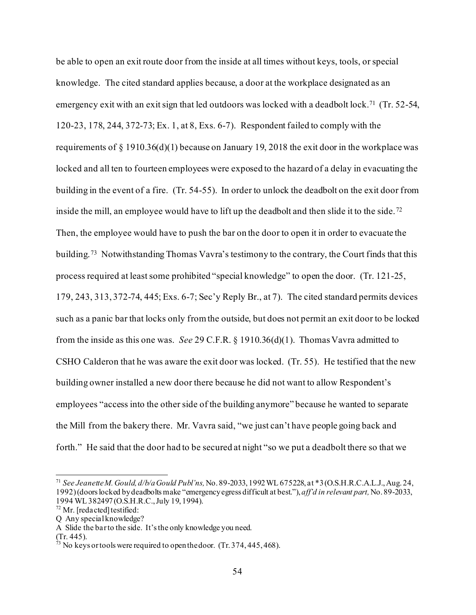be able to open an exit route door from the inside at all times without keys, tools, or special knowledge. The cited standard applies because, a door at the workplace designated as an emergency exit with an exit sign that led outdoors was locked with a deadbolt lock. [71](#page-53-0) (Tr. 52-54, 120-23, 178, 244, 372-73; Ex. 1, at 8, Exs. 6-7). Respondent failed to comply with the requirements of § 1910.36(d)(1) because on January 19, 2018 the exit door in the workplace was locked and all ten to fourteen employees were exposed to the hazard of a delay in evacuating the building in the event of a fire. (Tr. 54-55). In order to unlock the deadbolt on the exit door from inside the mill, an employee would have to lift up the deadbolt and then slide it to the side.<sup>72</sup> Then, the employee would have to push the bar on the door to open it in order to evacuate the building.[73](#page-53-2) Notwithstanding Thomas Vavra's testimony to the contrary, the Court finds that this process required at least some prohibited "special knowledge" to open the door. (Tr. 121-25, 179, 243, 313, 372-74, 445; Exs. 6-7; Sec'y Reply Br., at 7). The cited standard permits devices such as a panic bar that locks only from the outside, but does not permit an exit door to be locked from the inside as this one was. *See* 29 C.F.R. § 1910.36(d)(1). Thomas Vavra admitted to CSHO Calderon that he was aware the exit door was locked. (Tr. 55). He testified that the new building owner installed a new door there because he did not want to allow Respondent's employees "access into the other side of the building anymore" because he wanted to separate the Mill from the bakery there. Mr. Vavra said, "we just can't have people going back and forth." He said that the door had to be secured at night "so we put a deadbolt there so that we

<span id="page-53-0"></span><sup>71</sup> *See Jeanette M. Gould, d/b/a Gould Publ'ns,*No. 89-2033, 1992 WL 675228, at \*3 (O.S.H.R.C.A.L.J., Aug. 24, 1992) (doors locked by deadbolts make "emergency egress difficult at best."), *aff'd in relevant part,* No. 89-2033, 1994 WL 382497 (O.S.H.R.C., July 19, 1994).

<span id="page-53-1"></span> $72$  Mr. [redacted] testified:

Q Any special knowledge?

A Slide the bar to the side. It's the only knowledge you need.

<span id="page-53-2"></span><sup>(</sup>Tr. 445).

 $^{73}$  No keys or tools were required to open the door. (Tr. 374, 445, 468).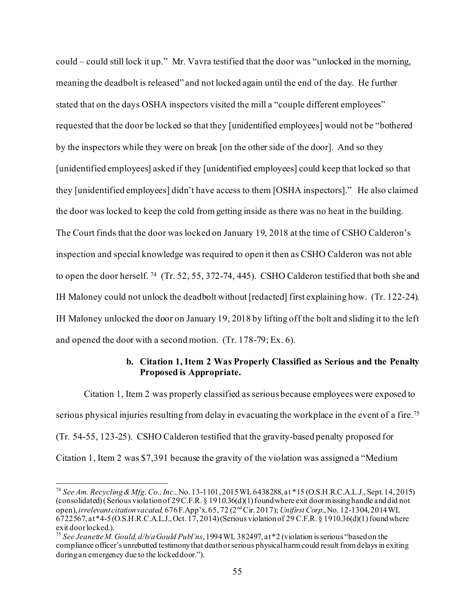could – could still lock it up." Mr. Vavra testified that the door was "unlocked in the morning, meaning the deadbolt is released" and not locked again until the end of the day. He further stated that on the days OSHA inspectors visited the mill a "couple different employees" requested that the door be locked so that they [unidentified employees] would not be "bothered by the inspectors while they were on break [on the other side of the door]. And so they [unidentified employees] asked if they [unidentified employees] could keep that locked so that they [unidentified employees] didn't have access to them [OSHA inspectors]." He also claimed the door was locked to keep the cold from getting inside as there was no heat in the building. The Court finds that the door was locked on January 19, 2018 at the time of CSHO Calderon's inspection and special knowledge was required to open it then as CSHO Calderon was not able to open the door herself. <sup>74</sup> (Tr. 52, 55, 372-74, 445). CSHO Calderon testified that both she and IH Maloney could not unlock the deadbolt without [redacted] first explaining how. (Tr. 122-24). IH Maloney unlocked the door on January 19, 2018 by lifting off the bolt and sliding it to the left and opened the door with a second motion. (Tr. 178-79; Ex. 6).

## **b. Citation 1, Item 2 Was Properly Classified as Serious and the Penalty Proposed is Appropriate.**

Citation 1, Item 2 was properly classified as serious because employees were exposed to serious physical injuries resulting from delay in evacuating the workplace in the event of a fire.<sup>[75](#page-54-1)</sup> (Tr. 54-55, 123-25). CSHO Calderon testified that the gravity-based penalty proposed for Citation 1, Item 2 was \$7,391 because the gravity of the violation was assigned a "Medium

<span id="page-54-0"></span><sup>74</sup> *See Am. Recycling & Mfg. Co., Inc.,* No. 13-1101, 2015 WL 6438288, at \*15 (O.S.H.R.C.A.L.J., Sept. 14, 2015) (consolidated) (Serious violation of 29 C.F.R. § 1910.36(d)(1) found where exit door missing handle and did not open), *irrelevant citation vacated,* 676 F.App'x. 65, 72 (2ndCir. 2017); *Unifirst Corp*., No. 12-1304, 2014 WL 6722567, at \*4-5 (O.S.H.R.C.A.L.J., Oct. 17, 2014) (Serious violation of 29 C.F.R. § 1910.36(d)(1) found where exit door locked.).

<span id="page-54-1"></span><sup>75</sup> *See Jeanette M. Gould, d/b/a Gould Publ'ns*, 1994 WL 382497, at \*2 (violation is serious "based on the compliance officer's unrebutted testimony that death or serious physical harm could result from delays in exiting during an emergency due to the locked door.").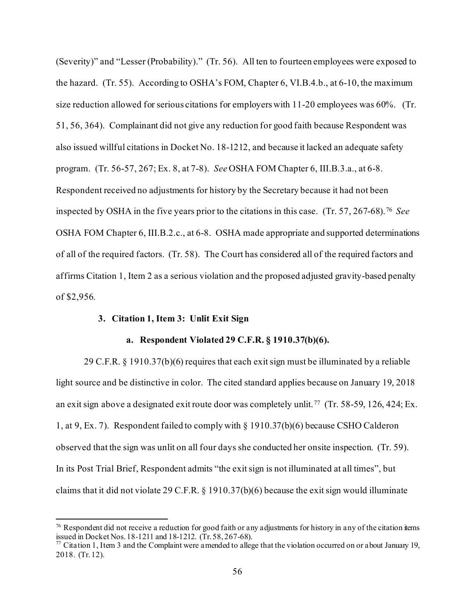(Severity)" and "Lesser (Probability)." (Tr. 56). All ten to fourteen employees were exposed to the hazard. (Tr. 55). According to OSHA's FOM, Chapter 6, VI.B.4.b., at 6-10, the maximum size reduction allowed for serious citations for employers with 11-20 employees was 60%. (Tr. 51, 56, 364). Complainant did not give any reduction for good faith because Respondent was also issued willful citations in Docket No. 18-1212, and because it lacked an adequate safety program. (Tr. 56-57, 267; Ex. 8, at 7-8). *See* OSHA FOM Chapter 6, III.B.3.a., at 6-8. Respondent received no adjustments for history by the Secretary because it had not been inspected by OSHA in the five years prior to the citations in this case. (Tr. 57, 267-68).[76](#page-55-0) *See* OSHA FOM Chapter 6, III.B.2.c., at 6-8. OSHA made appropriate and supported determinations of all of the required factors. (Tr. 58). The Court has considered all of the required factors and affirms Citation 1, Item 2 as a serious violation and the proposed adjusted gravity-based penalty of \$2,956.

### **3. Citation 1, Item 3: Unlit Exit Sign**

### **a. Respondent Violated 29 C.F.R. § 1910.37(b)(6).**

29 C.F.R. § 1910.37(b)(6) requires that each exit sign must be illuminated by a reliable light source and be distinctive in color. The cited standard applies because on January 19, 2018 an exit sign above a designated exit route door was completely unlit. [77](#page-55-1) (Tr. 58-59, 126, 424; Ex. 1, at 9, Ex. 7). Respondent failed to comply with § 1910.37(b)(6) because CSHO Calderon observed that the sign was unlit on all four days she conducted her onsite inspection. (Tr. 59). In its Post Trial Brief, Respondent admits "the exit sign is not illuminated at all times", but claims that it did not violate 29 C.F.R. § 1910.37(b)(6) because the exit sign would illuminate

<span id="page-55-0"></span> $76$  Respondent did not receive a reduction for good faith or any adjustments for history in any of the citation items issued in Docket Nos. 18-1211 and 18-1212. (Tr. 58, 267-68).<br><sup>77</sup> Citation 1, Item 3 and the Complaint were amended to allege that the violation occurred on or about January 19,

<span id="page-55-1"></span><sup>2018. (</sup>Tr. 12).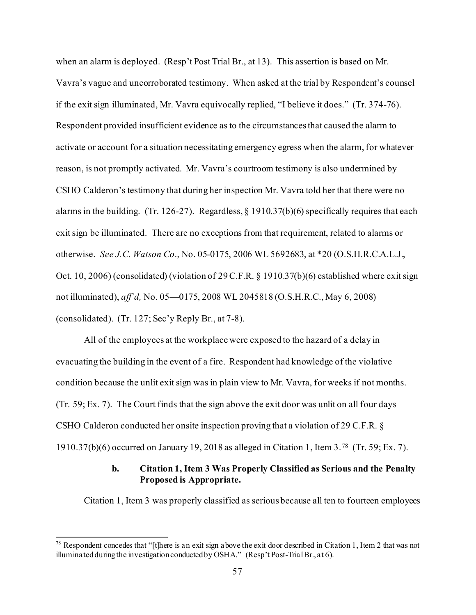when an alarm is deployed. (Resp't Post Trial Br., at 13). This assertion is based on Mr. Vavra's vague and uncorroborated testimony. When asked at the trial by Respondent's counsel if the exit sign illuminated, Mr. Vavra equivocally replied, "I believe it does." (Tr. 374-76). Respondent provided insufficient evidence as to the circumstances that caused the alarm to activate or account for a situation necessitating emergency egress when the alarm, for whatever reason, is not promptly activated. Mr. Vavra's courtroom testimony is also undermined by CSHO Calderon's testimony that during her inspection Mr. Vavra told her that there were no alarms in the building. (Tr. 126-27). Regardless, § 1910.37(b)(6) specifically requires that each exit sign be illuminated. There are no exceptions from that requirement, related to alarms or otherwise. *See J.C. Watson Co*., No. 05-0175, 2006 WL 5692683, at \*20 (O.S.H.R.C.A.L.J., Oct. 10, 2006) (consolidated) (violation of 29 C.F.R. § 1910.37(b)(6) established where exit sign not illuminated), *aff'd,* No. 05—0175, 2008 WL 2045818 (O.S.H.R.C., May 6, 2008) (consolidated). (Tr. 127; Sec'y Reply Br., at 7-8).

All of the employees at the workplace were exposed to the hazard of a delay in evacuating the building in the event of a fire. Respondent had knowledge of the violative condition because the unlit exit sign was in plain view to Mr. Vavra, for weeks if not months. (Tr. 59; Ex. 7). The Court finds that the sign above the exit door was unlit on all four days CSHO Calderon conducted her onsite inspection proving that a violation of 29 C.F.R. § 1910.37(b)(6) occurred on January 19, 2018 as alleged in Citation 1, Item 3.[78](#page-56-0) (Tr. 59; Ex. 7).

# **b. Citation 1, Item 3 Was Properly Classified as Serious and the Penalty Proposed is Appropriate.**

Citation 1, Item 3 was properly classified as serious because all ten to fourteen employees

<span id="page-56-0"></span> $78$  Respondent concedes that "[t]here is an exit sign above the exit door described in Citation 1, Item 2 that was not illuminated during the investigation conducted by OSHA." (Resp't Post-Trial Br., at 6).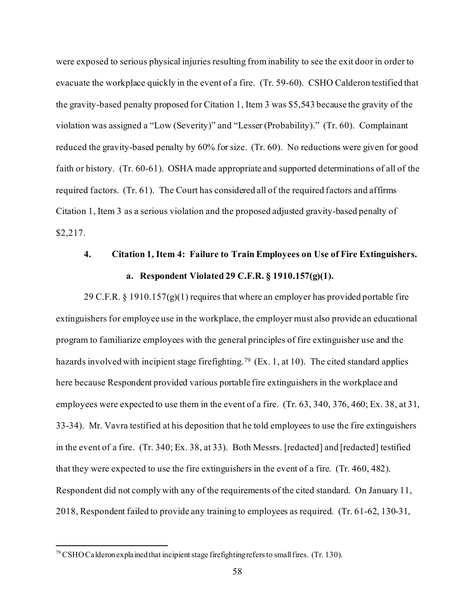were exposed to serious physical injuries resulting frominability to see the exit door in order to evacuate the workplace quickly in the event of a fire. (Tr. 59-60). CSHO Calderon testified that the gravity-based penalty proposed for Citation 1, Item 3 was \$5,543 because the gravity of the violation was assigned a "Low (Severity)" and "Lesser (Probability)." (Tr. 60). Complainant reduced the gravity-based penalty by 60% for size. (Tr. 60). No reductions were given for good faith or history. (Tr. 60-61). OSHA made appropriate and supported determinations of all of the required factors. (Tr. 61). The Court has considered all of the required factors and affirms Citation 1, Item 3 as a serious violation and the proposed adjusted gravity-based penalty of \$2,217.

# **4. Citation 1, Item 4: Failure to Train Employees on Use of Fire Extinguishers. a. Respondent Violated 29 C.F.R. § 1910.157(g)(1).**

29 C.F.R. § 1910.157 $(g)(1)$  requires that where an employer has provided portable fire extinguishers for employee use in the workplace, the employer must also provide an educational program to familiarize employees with the general principles of fire extinguisher use and the hazards involved with incipient stage firefighting.<sup>[79](#page-57-0)</sup> (Ex. 1, at 10). The cited standard applies here because Respondent provided various portable fire extinguishers in the workplace and employees were expected to use them in the event of a fire. (Tr. 63, 340, 376, 460; Ex. 38, at 31, 33-34). Mr. Vavra testified at his deposition that he told employees to use the fire extinguishers in the event of a fire. (Tr. 340; Ex. 38, at 33). Both Messrs. [redacted] and [redacted] testified that they were expected to use the fire extinguishers in the event of a fire. (Tr. 460, 482). Respondent did not comply with any of the requirements of the cited standard. On January 11, 2018, Respondent failed to provide any training to employees as required. (Tr. 61-62, 130-31,

<span id="page-57-0"></span> $79$  CSHO Calderon explained that incipient stage firefighting refers to small fires. (Tr. 130).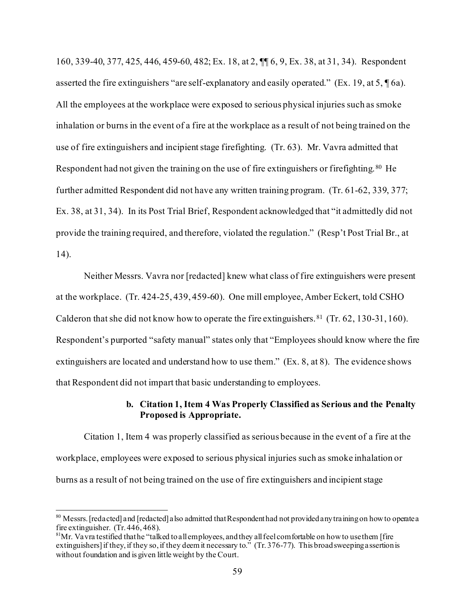160, 339-40, 377, 425, 446, 459-60, 482; Ex. 18, at 2, ¶¶ 6, 9, Ex. 38, at 31, 34). Respondent asserted the fire extinguishers "are self-explanatory and easily operated." (Ex. 19, at 5, ¶ 6a). All the employees at the workplace were exposed to serious physical injuries such as smoke inhalation or burns in the event of a fire at the workplace as a result of not being trained on the use of fire extinguishers and incipient stage firefighting. (Tr. 63). Mr. Vavra admitted that Respondent had not given the training on the use of fire extinguishers or firefighting.<sup>[80](#page-58-0)</sup> He further admitted Respondent did not have any written training program. (Tr. 61-62, 339, 377; Ex. 38, at 31, 34). In its Post Trial Brief, Respondent acknowledged that "it admittedly did not provide the training required, and therefore, violated the regulation." (Resp't Post Trial Br., at 14).

Neither Messrs. Vavra nor [redacted] knew what class of fire extinguishers were present at the workplace. (Tr. 424-25, 439, 459-60). One mill employee, Amber Eckert, told CSHO Calderon that she did not know how to operate the fire extinguishers. [81](#page-58-1) (Tr. 62, 130-31, 160). Respondent's purported "safety manual" states only that "Employees should know where the fire extinguishers are located and understand how to use them." (Ex. 8, at 8). The evidence shows that Respondent did not impart that basic understanding to employees.

## **b. Citation 1, Item 4 Was Properly Classified as Serious and the Penalty Proposed is Appropriate.**

Citation 1, Item 4 was properly classified as serious because in the event of a fire at the workplace, employees were exposed to serious physical injuries such as smoke inhalation or burns as a result of not being trained on the use of fire extinguishers and incipient stage

<span id="page-58-0"></span><sup>&</sup>lt;sup>80</sup> Messrs. [redacted] and [redacted] also admitted that Respondent had not provided any training on how to operate a fire extinguisher. (Tr. 446, 468).

<span id="page-58-1"></span> $81$ Mr. Vavra testified that he "talked to all employees, and they all feel comfortable on how to use them [fire extinguishers] if they, if they so, if they deem it necessary to." (Tr. 376-77). This broad sweeping assertion is without foundation and is given little weight by the Court.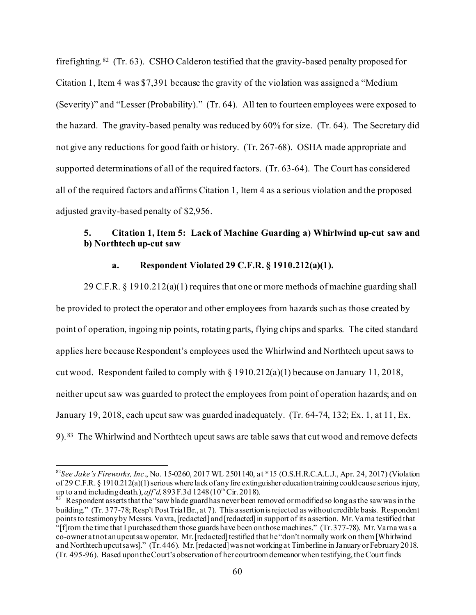firefighting.[82](#page-59-0) (Tr. 63). CSHO Calderon testified that the gravity-based penalty proposed for Citation 1, Item 4 was \$7,391 because the gravity of the violation was assigned a "Medium (Severity)" and "Lesser (Probability)." (Tr. 64). All ten to fourteen employees were exposed to the hazard. The gravity-based penalty was reduced by 60% for size. (Tr. 64). The Secretary did not give any reductions for good faith or history. (Tr. 267-68). OSHA made appropriate and supported determinations of all of the required factors. (Tr. 63-64). The Court has considered all of the required factors and affirms Citation 1, Item 4 as a serious violation and the proposed adjusted gravity-based penalty of \$2,956.

# **5. Citation 1, Item 5: Lack of Machine Guarding a) Whirlwind up-cut saw and b) Northtech up-cut saw**

# **a. Respondent Violated 29 C.F.R. § 1910.212(a)(1).**

29 C.F.R.  $\S$  1910.212(a)(1) requires that one or more methods of machine guarding shall be provided to protect the operator and other employees from hazards such as those created by point of operation, ingoing nip points, rotating parts, flying chips and sparks. The cited standard applies here because Respondent's employees used the Whirlwind and Northtech upcut saws to cut wood. Respondent failed to comply with § 1910.212(a)(1) because on January 11, 2018, neither upcut saw was guarded to protect the employees from point of operation hazards; and on January 19, 2018, each upcut saw was guarded inadequately. (Tr. 64-74, 132; Ex. 1, at 11, Ex. 9). [83](#page-59-1) The Whirlwind and Northtech upcut saws are table saws that cut wood and remove defects

<span id="page-59-0"></span><sup>82</sup>*See Jake's Fireworks, Inc*., No. 15-0260, 2017 WL 2501140, at \*15 (O.S.H.R.C.A.L.J., Apr. 24, 2017) (Violation of 29 C.F.R. § 1910.212(a)(1) serious where lack of any fire extinguisher education training could cause serious injury, up to and including death.),  $aff'd$ , 893 F.3d 1248(10<sup>th</sup> Cir. 2018).

<span id="page-59-1"></span> $\frac{83}{100}$  Respondent asserts that the "saw blade guard has never been removed or modified so long as the saw was in the building." (Tr. 377-78; Resp't Post Trial Br., at 7). This assertion is rejected as without credible basis. Respondent points to testimony by Messrs. Vavra, [redacted] and [redacted] in support of its assertion. Mr. Varna testified that "[f]rom the time that I purchased them those guards have been on those machines." (Tr. 377-78). Mr. Varna was a co-owner at not an upcut saw operator. Mr. [redacted] testified that he "don't normally work on them [Whirlwind and Northtech upcut saws]." (Tr. 446). Mr. [redacted] was not working at Timberline in January or February 2018. (Tr. 495-96). Based upon the Court's observation of her courtroom demeanor when testifying, the Court finds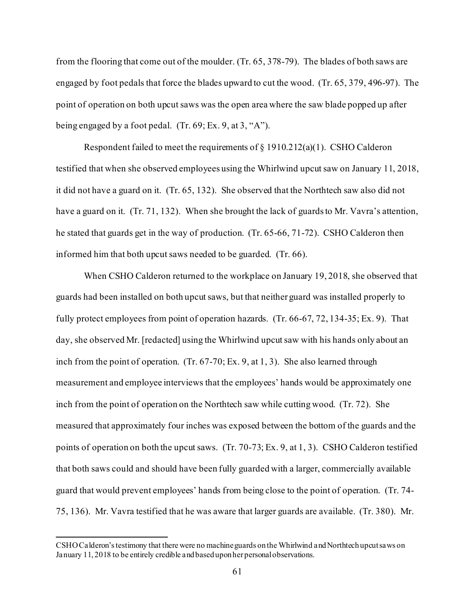from the flooring that come out of the moulder. (Tr. 65, 378-79). The blades of both saws are engaged by foot pedals that force the blades upward to cut the wood. (Tr. 65, 379, 496-97). The point of operation on both upcut saws was the open area where the saw blade popped up after being engaged by a foot pedal. (Tr. 69; Ex. 9, at 3, "A").

Respondent failed to meet the requirements of  $\S 1910.212(a)(1)$ . CSHO Calderon testified that when she observed employees using the Whirlwind upcut saw on January 11, 2018, it did not have a guard on it. (Tr. 65, 132). She observed that the Northtech saw also did not have a guard on it. (Tr. 71, 132). When she brought the lack of guards to Mr. Vavra's attention, he stated that guards get in the way of production. (Tr. 65-66, 71-72). CSHO Calderon then informed him that both upcut saws needed to be guarded. (Tr. 66).

When CSHO Calderon returned to the workplace on January 19, 2018, she observed that guards had been installed on both upcut saws, but that neither guard was installed properly to fully protect employees from point of operation hazards. (Tr. 66-67, 72, 134-35; Ex. 9). That day, she observed Mr. [redacted] using the Whirlwind upcut saw with his hands only about an inch from the point of operation. (Tr. 67-70; Ex. 9, at 1, 3). She also learned through measurement and employee interviews that the employees' hands would be approximately one inch from the point of operation on the Northtech saw while cutting wood. (Tr. 72). She measured that approximately four inches was exposed between the bottom of the guards and the points of operation on both the upcut saws. (Tr. 70-73; Ex. 9, at 1, 3). CSHO Calderon testified that both saws could and should have been fully guarded with a larger, commercially available guard that would prevent employees' hands from being close to the point of operation. (Tr. 74- 75, 136). Mr. Vavra testified that he was aware that larger guards are available. (Tr. 380). Mr.

CSHO Calderon's testimony that there were no machine guards on the Whirlwind and Northtech upcut saws on January 11, 2018 to be entirely credible and based upon her personal observations.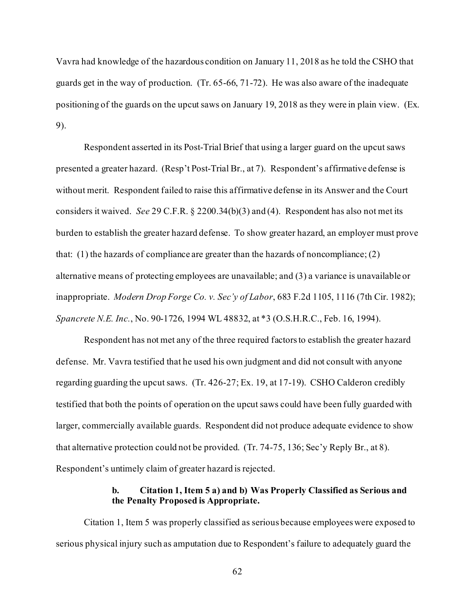Vavra had knowledge of the hazardous condition on January 11, 2018 as he told the CSHO that guards get in the way of production. (Tr. 65-66, 71-72). He was also aware of the inadequate positioning of the guards on the upcut saws on January 19, 2018 as they were in plain view. (Ex. 9).

Respondent asserted in its Post-Trial Brief that using a larger guard on the upcut saws presented a greater hazard. (Resp't Post-Trial Br., at 7). Respondent's affirmative defense is without merit. Respondent failed to raise this affirmative defense in its Answer and the Court considers it waived. *See* 29 C.F.R. § 2200.34(b)(3) and (4). Respondent has also not met its burden to establish the greater hazard defense. To show greater hazard, an employer must prove that: (1) the hazards of compliance are greater than the hazards of noncompliance; (2) alternative means of protecting employees are unavailable; and (3) a variance is unavailable or inappropriate. *[Modern Drop Forge Co. v. Sec'y of Labor](https://1.next.westlaw.com/Link/Document/FullText?findType=Y&serNum=1982133925&pubNum=350&originatingDoc=I4269e6a8fa2911d9b386b232635db992&refType=RP&fi=co_pp_sp_350_1116&originationContext=document&transitionType=DocumentItem&contextData=(sc.DocLink)#co_pp_sp_350_1116)*, 683 F.2d 1105, 1116 (7th Cir. 1982); *Spancrete N.E. Inc.*, No. 90-1726, 1994 WL 48832, at \*3 (O.S.H.R.C., Feb. 16, 1994).

Respondent has not met any of the three required factors to establish the greater hazard defense. Mr. Vavra testified that he used his own judgment and did not consult with anyone regarding guarding the upcut saws. (Tr. 426-27; Ex. 19, at 17-19). CSHO Calderon credibly testified that both the points of operation on the upcut saws could have been fully guarded with larger, commercially available guards. Respondent did not produce adequate evidence to show that alternative protection could not be provided. (Tr. 74-75, 136; Sec'y Reply Br., at 8). Respondent's untimely claim of greater hazard is rejected.

## **b. Citation 1, Item 5 a) and b) Was Properly Classified as Serious and the Penalty Proposed is Appropriate.**

Citation 1, Item 5 was properly classified as serious because employees were exposed to serious physical injury such as amputation due to Respondent's failure to adequately guard the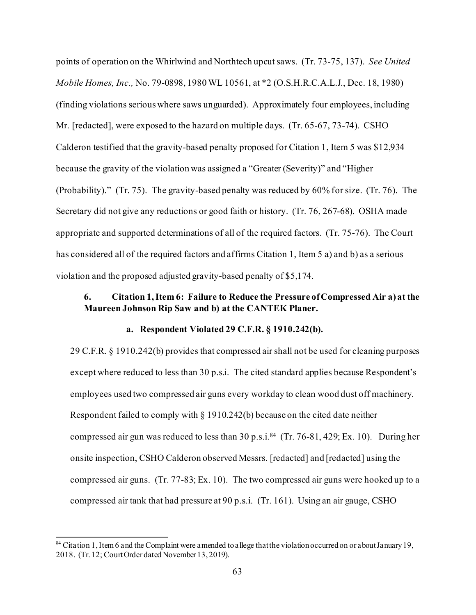points of operation on the Whirlwind and Northtech upcut saws. (Tr. 73-75, 137). *See United Mobile Homes, Inc.,* No. 79-0898, 1980 WL 10561, at \*2 (O.S.H.R.C.A.L.J., Dec. 18, 1980) (finding violations serious where saws unguarded). Approximately four employees, including Mr. [redacted], were exposed to the hazard on multiple days. (Tr. 65-67, 73-74). CSHO Calderon testified that the gravity-based penalty proposed for Citation 1, Item 5 was \$12,934 because the gravity of the violation was assigned a "Greater (Severity)" and "Higher (Probability)." (Tr. 75). The gravity-based penalty was reduced by 60% for size. (Tr. 76). The Secretary did not give any reductions or good faith or history. (Tr. 76, 267-68). OSHA made appropriate and supported determinations of all of the required factors. (Tr. 75-76). The Court has considered all of the required factors and affirms Citation 1, Item 5 a) and b) as a serious violation and the proposed adjusted gravity-based penalty of \$5,174.

# **6. Citation 1, Item 6: Failure to Reduce the Pressure of Compressed Air a) at the Maureen Johnson Rip Saw and b) at the CANTEK Planer.**

## **a. Respondent Violated 29 C.F.R. § 1910.242(b).**

29 C.F.R. § 1910.242(b) provides that compressed air shall not be used for cleaning purposes except where reduced to less than 30 p.s.i. The cited standard applies because Respondent's employees used two compressed air guns every workday to clean wood dust off machinery. Respondent failed to comply with § 1910.242(b) because on the cited date neither compressed air gun was reduced to less than 30 p.s.i.<sup>[84](#page-62-0)</sup> (Tr. 76-81, 429; Ex. 10). During her onsite inspection, CSHO Calderon observed Messrs. [redacted] and [redacted] using the compressed air guns. (Tr. 77-83; Ex. 10). The two compressed air guns were hooked up to a compressed air tank that had pressure at 90 p.s.i. (Tr. 161). Using an air gauge, CSHO

<span id="page-62-0"></span> $84$  Citation 1, Item 6 and the Complaint were amended to allege that the violation occurred on or about January 19, 2018. (Tr. 12; Court Order dated November 13, 2019).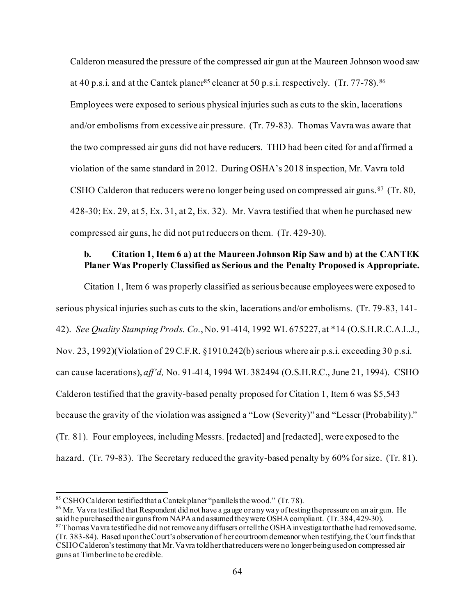Calderon measured the pressure of the compressed air gun at the Maureen Johnson wood saw at 40 p.s.i. and at the Cantek planer<sup>85</sup> cleaner at 50 p.s.i. respectively. (Tr. 77-78). [86](#page-63-1) Employees were exposed to serious physical injuries such as cuts to the skin, lacerations and/or embolisms from excessive air pressure. (Tr. 79-83). Thomas Vavra was aware that the two compressed air guns did not have reducers. THD had been cited for and affirmed a violation of the same standard in 2012. During OSHA's 2018 inspection, Mr. Vavra told CSHO Calderon that reducers were no longer being used on compressed air guns. [87](#page-63-2) (Tr. 80, 428-30; Ex. 29, at 5, Ex. 31, at 2, Ex. 32). Mr. Vavra testified that when he purchased new compressed air guns, he did not put reducers on them. (Tr. 429-30).

# **b. Citation 1, Item 6 a) at the Maureen Johnson Rip Saw and b) at the CANTEK Planer Was Properly Classified as Serious and the Penalty Proposed is Appropriate.**

Citation 1, Item 6 was properly classified as serious because employees were exposed to serious physical injuries such as cuts to the skin, lacerations and/or embolisms. (Tr. 79-83, 141- 42). *See Quality Stamping Prods. Co.*, No. 91-414, 1992 WL 675227, at \*14 (O.S.H.R.C.A.L.J., Nov. 23, 1992)(Violation of 29 C.F.R. §1910.242(b) serious where air p.s.i. exceeding 30 p.s.i. can cause lacerations), *aff'd,* No. 91-414, 1994 WL 382494 (O.S.H.R.C., June 21, 1994). CSHO Calderon testified that the gravity-based penalty proposed for Citation 1, Item 6 was \$5,543 because the gravity of the violation was assigned a "Low (Severity)" and "Lesser (Probability)." (Tr. 81). Four employees, including Messrs. [redacted] and [redacted], were exposed to the hazard. (Tr. 79-83). The Secretary reduced the gravity-based penalty by 60% for size. (Tr. 81).

<span id="page-63-0"></span><sup>&</sup>lt;sup>85</sup> CSHO Calderon testified that a Cantek planer "parallels the wood." (Tr. 78).

<span id="page-63-2"></span><span id="page-63-1"></span> $86$  Mr. Vavra testified that Respondent did not have a gauge or any way of testing the pressure on an air gun. He said he purchased the air guns from NAPA and assumed they were OSHA compliant. (Tr. 384, 429-30).  $87$  Thomas Va vra testified he did not remove any diffusers or tell the OSHA investigator that he had removed some. (Tr. 383-84). Based upon the Court's observation of her courtroom demeanor when testifying, the Court finds that CSHO Calderon's testimony that Mr. Vavra told her that reducers were no longer being used on compressed air

guns at Timberline to be credible.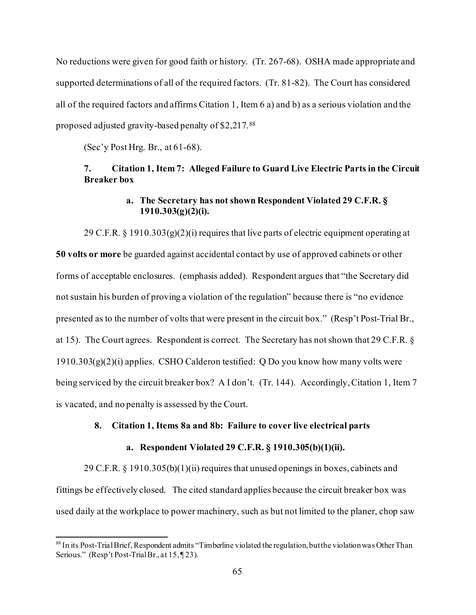No reductions were given for good faith or history. (Tr. 267-68). OSHA made appropriate and supported determinations of all of the required factors. (Tr. 81-82). The Court has considered all of the required factors and affirms Citation 1, Item 6 a) and b) as a serious violation and the proposed adjusted gravity-based penalty of \$2,217.[88](#page-64-0) 

(Sec'y Post Hrg. Br., at 61-68).

# **7. Citation 1, Item 7: Alleged Failure to Guard Live Electric Parts in the Circuit Breaker box**

# **a. The Secretary has not shown Respondent Violated 29 C.F.R. § 1910.303(g)(2)(i).**

29 C.F.R. § 1910.303 $(g)(2)(i)$  requires that live parts of electric equipment operating at **50 volts or more** be guarded against accidental contact by use of approved cabinets or other forms of acceptable enclosures. (emphasis added). Respondent argues that "the Secretary did not sustain his burden of proving a violation of the regulation" because there is "no evidence presented as to the number of volts that were present in the circuit box." (Resp't Post-Trial Br., at 15). The Court agrees. Respondent is correct. The Secretary has not shown that 29 C.F.R. § 1910.303(g)(2)(i) applies. CSHO Calderon testified: Q Do you know how many volts were being serviced by the circuit breaker box? A I don't. (Tr. 144). Accordingly, Citation 1, Item 7 is vacated, and no penalty is assessed by the Court.

## **8. Citation 1, Items 8a and 8b: Failure to cover live electrical parts**

## **a. Respondent Violated 29 C.F.R. § 1910.305(b)(1)(ii).**

29 C.F.R. § 1910.305(b)(1)(ii) requires that unused openings in boxes, cabinets and fittings be effectively closed. The cited standard applies because the circuit breaker box was used daily at the workplace to power machinery, such as but not limited to the planer, chop saw

<span id="page-64-0"></span><sup>&</sup>lt;sup>88</sup> In its Post-Trial Brief, Respondent admits "Timberline violated the regulation, but the violation was Other Than Serious." (Resp't Post-Trial Br., at 15, 123).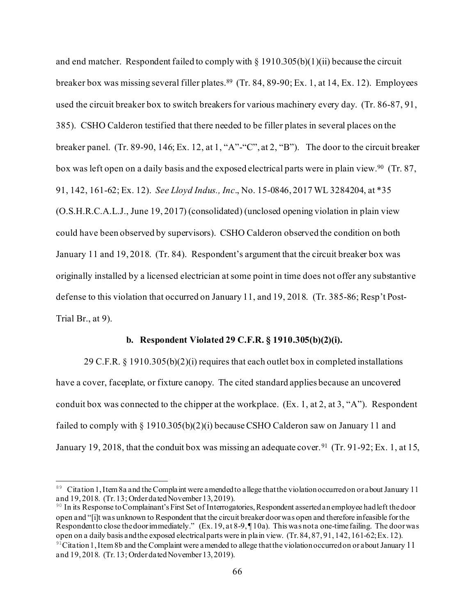and end matcher. Respondent failed to comply with  $\S$  1910.305(b)(1)(ii) because the circuit breaker box was missing several filler plates.<sup>89</sup> (Tr. 84, 89-90; Ex. 1, at 14, Ex. 12). Employees used the circuit breaker box to switch breakersfor various machinery every day. (Tr. 86-87, 91, 385). CSHO Calderon testified that there needed to be filler plates in several places on the breaker panel. (Tr. 89-90, 146; Ex. 12, at 1, "A"-"C", at 2, "B"). The door to the circuit breaker box was left open on a daily basis and the exposed electrical parts were in plain view.<sup>90</sup> (Tr. 87, 91, 142, 161-62; Ex. 12). *See Lloyd Indus., Inc*., No. 15-0846, 2017 WL 3284204, at \*35 (O.S.H.R.C.A.L.J., June 19, 2017) (consolidated) (unclosed opening violation in plain view could have been observed by supervisors). CSHO Calderon observed the condition on both January 11 and 19, 2018. (Tr. 84). Respondent's argument that the circuit breaker box was originally installed by a licensed electrician at some point in time does not offer any substantive defense to this violation that occurred on January 11, and 19, 2018. (Tr. 385-86; Resp't Post-Trial Br., at 9).

### **b. Respondent Violated 29 C.F.R. § 1910.305(b)(2)(i).**

29 C.F.R.  $\S$  1910.305(b)(2)(i) requires that each outlet box in completed installations have a cover, faceplate, or fixture canopy. The cited standard applies because an uncovered conduit box was connected to the chipper at the workplace. (Ex. 1, at 2, at 3, "A"). Respondent failed to comply with  $\S 1910.305(b)(2)(i)$  because CSHO Calderon saw on January 11 and January 19, 2018, that the conduit box was missing an adequate cover. <sup>91</sup> (Tr. 91-92; Ex. 1, at 15,

<span id="page-65-1"></span><sup>90</sup> In its Response to Complainant's First Set of Interrogatories, Respondent asserted an employee had left the door open and "[i]t was unknown to Respondent that the circuit breaker door was open and therefore infeasible for the Respondent to close the door immediately." (Ex. 19, at 8-9, ¶ 10a). This was not a one-time failing. The door was open on a daily basis and the exposed electrical parts were in plain view. (Tr. 84, 87, 91, 142, 161-62; Ex. 12).

<span id="page-65-0"></span><sup>89</sup> Citation 1, Item 8a and the Complaint were amended to allege that the violation occurred on or about January 11 and 19, 2018. (Tr. 13; Order dated November 13, 2019).

<span id="page-65-2"></span><sup>&</sup>lt;sup>91</sup>Citation 1, Item 8b and the Complaint were amended to allege that the violation occurred on or about January 11 and 19, 2018. (Tr. 13; Order dated November 13, 2019).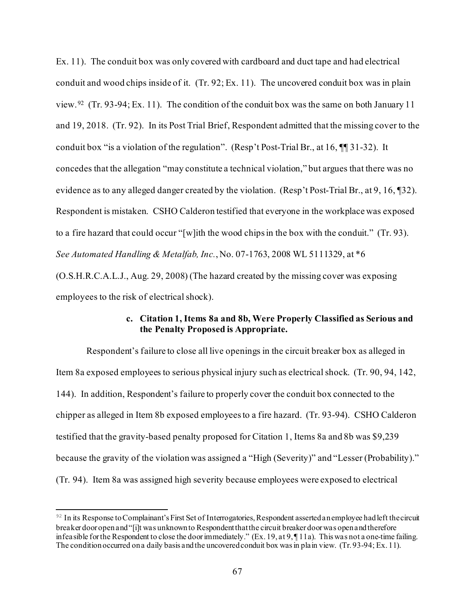Ex. 11). The conduit box was only covered with cardboard and duct tape and had electrical conduit and wood chips inside of it. (Tr. 92; Ex. 11). The uncovered conduit box was in plain view.<sup>[92](#page-66-0)</sup> (Tr. 93-94; Ex. 11). The condition of the conduit box was the same on both January 11 and 19, 2018. (Tr. 92). In its Post Trial Brief, Respondent admitted that the missing cover to the conduit box "is a violation of the regulation". (Resp't Post-Trial Br., at 16, ¶¶ 31-32). It concedes that the allegation "may constitute a technical violation," but argues that there was no evidence as to any alleged danger created by the violation. (Resp't Post-Trial Br., at 9, 16, ¶32). Respondent is mistaken. CSHO Calderon testified that everyone in the workplace was exposed to a fire hazard that could occur "[w]ith the wood chips in the box with the conduit." (Tr. 93). *See Automated Handling & Metalfab, Inc.*, No. 07-1763, 2008 WL 5111329, at \*6 (O.S.H.R.C.A.L.J., Aug. 29, 2008) (The hazard created by the missing cover was exposing employees to the risk of electrical shock).

## **c. Citation 1, Items 8a and 8b, Were Properly Classified as Serious and the Penalty Proposed is Appropriate.**

Respondent's failure to close all live openings in the circuit breaker box as alleged in Item 8a exposed employees to serious physical injury such as electrical shock. (Tr. 90, 94, 142, 144). In addition, Respondent's failure to properly cover the conduit box connected to the chipper as alleged in Item 8b exposed employees to a fire hazard. (Tr. 93-94). CSHO Calderon testified that the gravity-based penalty proposed for Citation 1, Items 8a and 8b was \$9,239 because the gravity of the violation was assigned a "High (Severity)" and "Lesser (Probability)." (Tr. 94). Item 8a was assigned high severity because employees were exposed to electrical

<span id="page-66-0"></span> $92$  In its Response to Complainant's First Set of Interrogatories, Respondent asserted an employee had left the circuit breaker door open and "[i]t was unknown to Respondent that the circuit breaker door was open and therefore infeasible for the Respondent to close the door immediately." (Ex. 19, at 9, ¶ 11a). This was not a one-time failing. The condition occurred on a daily basis and the uncovered conduit box was in plain view. (Tr. 93-94; Ex. 11).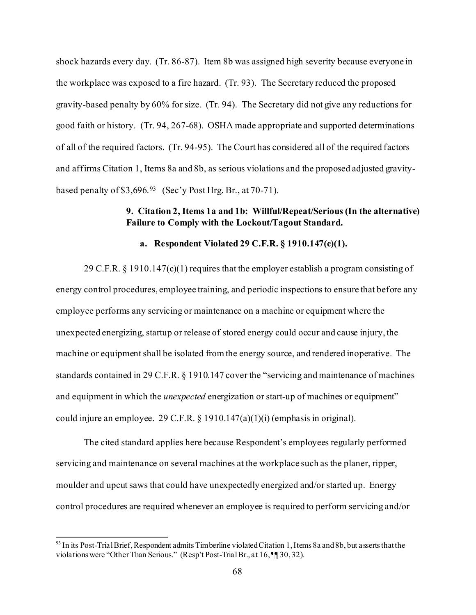shock hazards every day. (Tr. 86-87). Item 8b was assigned high severity because everyone in the workplace was exposed to a fire hazard. (Tr. 93). The Secretary reduced the proposed gravity-based penalty by 60% for size. (Tr. 94). The Secretary did not give any reductions for good faith or history. (Tr. 94, 267-68). OSHA made appropriate and supported determinations of all of the required factors. (Tr. 94-95). The Court has considered all of the required factors and affirms Citation 1, Items 8a and 8b, as serious violations and the proposed adjusted gravitybased penalty of \$3,696.<sup>93</sup> (Sec'y Post Hrg. Br., at 70-71).

# **9. Citation 2, Items 1a and 1b: Willful/Repeat/Serious (In the alternative) Failure to Comply with the Lockout/Tagout Standard.**

# **a. Respondent Violated 29 C.F.R. § 1910.147(c)(1).**

29 C.F.R.  $\S$  1910.147(c)(1) requires that the employer establish a program consisting of energy control procedures, employee training, and periodic inspections to ensure that before any employee performs any servicing or maintenance on a machine or equipment where the unexpected energizing, startup or release of stored energy could occur and cause injury, the machine or equipment shall be isolated from the energy source, and rendered inoperative. The standards contained in 29 C.F.R. § 1910.147 cover the "servicing and maintenance of machines and equipment in which the *unexpected* energization or start-up of machines or equipment" could injure an employee. 29 C.F.R. § 1910.147(a)(1)(i) (emphasis in original).

The cited standard applies here because Respondent's employees regularly performed servicing and maintenance on several machines at the workplace such as the planer, ripper, moulder and upcut saws that could have unexpectedly energized and/or started up. Energy control procedures are required whenever an employee is required to perform servicing and/or

<span id="page-67-0"></span> $93$  In its Post-Trial Brief, Respondent admits Timberline violated Citation 1, Items 8a and 8b, but asserts that the violations were "Other Than Serious." (Resp't Post-Trial Br., at 16, ¶[30,32).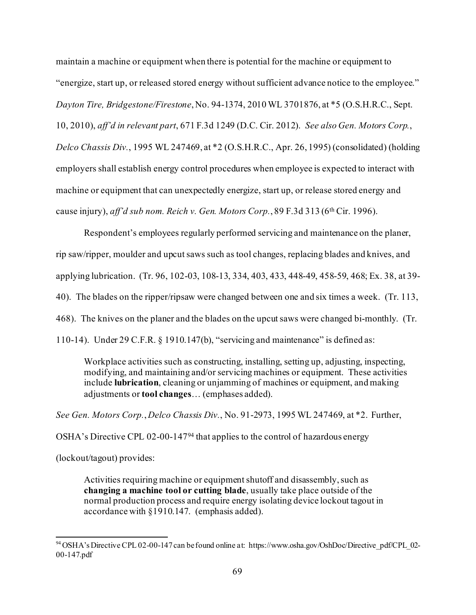maintain a machine or equipment when there is potential for the machine or equipment to "energize, start up, or released stored energy without sufficient advance notice to the employee." *Dayton Tire, Bridgestone/Firestone*, No. 94-1374, 2010 WL 3701876, at \*5 (O.S.H.R.C., Sept. 10, 2010), *aff'd in relevant part*, 671 F.3d 1249 (D.C. Cir. 2012). *See also Gen. Motors Corp.*, *Delco Chassis Div.*, 1995 WL 247469, at \*2 (O.S.H.R.C., Apr. 26, 1995) (consolidated) (holding employers shall establish energy control procedures when employee is expected to interact with machine or equipment that can unexpectedly energize, start up, or release stored energy and cause injury), *aff'd sub nom. Reich v. Gen. Motors Corp.*, 89 F.3d 313 (6<sup>th</sup> Cir. 1996).

Respondent's employees regularly performed servicing and maintenance on the planer, rip saw/ripper, moulder and upcut saws such as tool changes, replacing blades and knives, and applying lubrication. (Tr. 96, 102-03, 108-13, 334, 403, 433, 448-49, 458-59, 468; Ex. 38, at 39- 40). The blades on the ripper/ripsaw were changed between one and six times a week. (Tr. 113, 468). The knives on the planer and the blades on the upcut saws were changed bi-monthly. (Tr. 110-14). Under 29 C.F.R. § 1910.147(b), "servicing and maintenance" is defined as:

Workplace activities such as constructing, installing, setting up, adjusting, inspecting, modifying, and maintaining and/or servicing machines or equipment. These activities include **lubrication**, cleaning or unjamming of machines or equipment, and making adjustments or **tool changes**… (emphases added).

*See Gen. Motors Corp.*, *Delco Chassis Div.*, No. 91-2973, 1995 WL 247469, at \*2. Further,

OSHA's Directive CPL 02-00-147[94](#page-68-0) that applies to the control of hazardous energy

(lockout/tagout) provides:

Activities requiring machine or equipment shutoff and disassembly, such as **changing a machine tool or cutting blade**, usually take place outside of the normal production process and require energy isolating device lockout tagout in accordance with §1910.147. (emphasis added).

<span id="page-68-0"></span><sup>&</sup>lt;sup>94</sup> OSHA's Directive CPL 02-00-147 can be found online at: [https://www.osha.gov/OshDoc/Directive\\_pdf/CPL\\_02-](https://www.osha.gov/OshDoc/Directive_pdf/CPL_02-00-147.pdf) [00-147.pdf](https://www.osha.gov/OshDoc/Directive_pdf/CPL_02-00-147.pdf)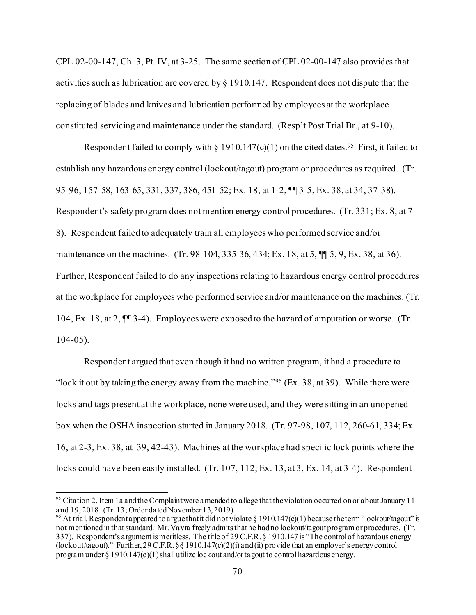CPL 02-00-147, Ch. 3, Pt. IV, at 3-25. The same section of CPL 02-00-147 also provides that activities such as lubrication are covered by § 1910.147. Respondent does not dispute that the replacing of blades and knives and lubrication performed by employees at the workplace constituted servicing and maintenance under the standard. (Resp't Post Trial Br., at 9-10).

Respondent failed to comply with  $\S 1910.147(c)(1)$  on the cited dates.<sup>[95](#page-69-0)</sup> First, it failed to establish any hazardous energy control (lockout/tagout) program or procedures as required. (Tr. 95-96, 157-58, 163-65, 331, 337, 386, 451-52; Ex. 18, at 1-2, ¶¶ 3-5, Ex. 38, at 34, 37-38). Respondent's safety program does not mention energy control procedures. (Tr. 331; Ex. 8, at 7- 8). Respondent failed to adequately train all employees who performed service and/or maintenance on the machines. (Tr. 98-104, 335-36, 434; Ex. 18, at 5,  $\P$  5, 9, Ex. 38, at 36). Further, Respondent failed to do any inspections relating to hazardous energy control procedures at the workplace for employees who performed service and/or maintenance on the machines. (Tr. 104, Ex. 18, at 2, ¶¶ 3-4). Employees were exposed to the hazard of amputation or worse. (Tr.  $104-05$ ).

Respondent argued that even though it had no written program, it had a procedure to "lock it out by taking the energy away from the machine."<sup>96</sup> (Ex. 38, at 39). While there were locks and tags present at the workplace, none were used, and they were sitting in an unopened box when the OSHA inspection started in January 2018. (Tr. 97-98, 107, 112, 260-61, 334; Ex. 16, at 2-3, Ex. 38, at 39, 42-43). Machines at the workplace had specific lock points where the locks could have been easily installed. (Tr. 107, 112; Ex. 13, at 3, Ex. 14, at 3-4). Respondent

<span id="page-69-0"></span><sup>&</sup>lt;sup>95</sup> Citation 2, Item 1a and the Complaint were amended to allege that the violation occurred on or about January 11 and 19, 2018. (Tr. 13; Order dated November 13, 2019).

<span id="page-69-1"></span><sup>&</sup>lt;sup>96</sup> At trial, Respondent appeared to argue that it did not violate § 1910.147(c)(1) because the term "lockout/tagout" is not mentioned in that standard. Mr. Vavra freely admits that he had no lockout/tagout program or procedures. (Tr. 337). Respondent's argument is meritless. The title of 29 C.F.R. § 1910.147 is "The control of hazardous energy (lockout/tagout)." Further, 29 C.F.R. §§ 1910.147(c)(2)(i) and (ii) provide that an employer's energy control program under § 1910.147(c)(1) shall utilize lockout and/or tagout to control hazardous energy.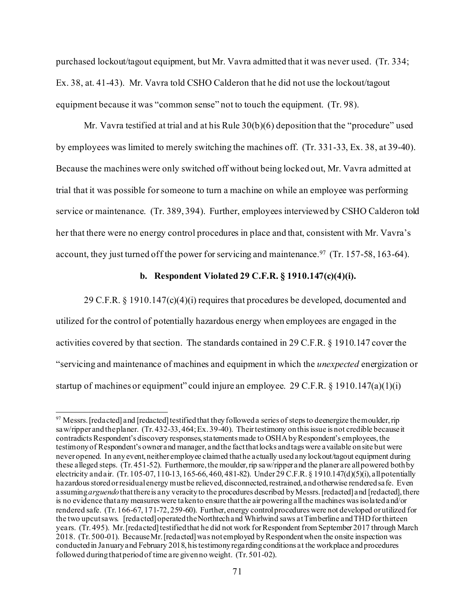purchased lockout/tagout equipment, but Mr. Vavra admitted that it was never used. (Tr. 334; Ex. 38, at. 41-43). Mr. Vavra told CSHO Calderon that he did not use the lockout/tagout equipment because it was "common sense" not to touch the equipment. (Tr. 98).

Mr. Vavra testified at trial and at his Rule 30(b)(6) deposition that the "procedure" used by employees was limited to merely switching the machines off. (Tr. 331-33, Ex. 38, at 39-40). Because the machines were only switched off without being locked out, Mr. Vavra admitted at trial that it was possible for someone to turn a machine on while an employee was performing service or maintenance. (Tr. 389, 394). Further, employees interviewed by CSHO Calderon told her that there were no energy control procedures in place and that, consistent with Mr. Vavra's account, they just turned off the power for servicing and maintenance.<sup>[97](#page-70-0)</sup> (Tr. 157-58, 163-64).

### **b. Respondent Violated 29 C.F.R. § 1910.147(c)(4)(i).**

29 C.F.R. § 1910.147(c)(4)(i) requires that procedures be developed, documented and utilized for the control of potentially hazardous energy when employees are engaged in the activities covered by that section. The standards contained in 29 C.F.R. § 1910.147 cover the "servicing and maintenance of machines and equipment in which the *unexpected* energization or startup of machines or equipment" could injure an employee. 29 C.F.R. § 1910.147(a)(1)(i)

<span id="page-70-0"></span> $97$  Messrs. [redacted] and [redacted] testified that they followed a series of steps to deenergize the moulder, rip saw/ripper and the planer. (Tr. 432-33, 464; Ex. 39-40). Their testimony on this issue is not credible because it contradicts Respondent's discovery responses, statements made to OSHA by Respondent's employees, the testimony of Respondent's owner and manager, and the fact that locks and tags were available on site but were never opened. In any event, neither employee claimed that he actually used any lockout/tagout equipment during these alleged steps. (Tr. 451-52). Furthermore, the moulder, rip saw/ripper and the planer are all powered both by electricity and air. (Tr. 105-07, 110-13, 165-66, 460, 481-82). Under 29 C.F.R. § 1910.147(d)(5)(i), all potentially hazardous stored or residual energy must be relieved, disconnected, restrained, and otherwise rendered safe. Even assuming *arguendo*that there is any veracity to the procedures described by Messrs. [redacted] and [redacted], there is no evidence that any measures were taken to ensure that the air powering all the machines was isolated and/or rendered safe. (Tr. 166-67, 171-72, 259-60). Further, energy control procedures were not developed or utilized for the two upcut saws. [redacted] operated the Northtech and Whirlwind saws at Timberline and THD for thirteen years. (Tr. 495). Mr. [redacted] testified that he did not work for Respondent from September 2017 through March 2018. (Tr. 500-01). Because Mr. [redacted]was not employed by Respondent when the onsite inspection was conducted in January and February 2018, his testimony regarding conditions at the workplace and procedures followed during that period of time are given no weight. (Tr. 501-02).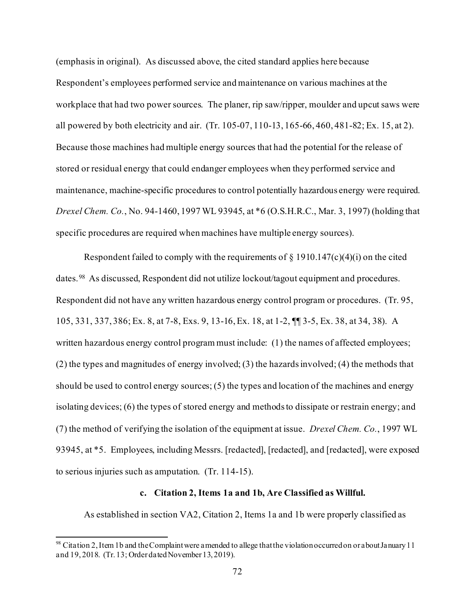(emphasis in original). As discussed above, the cited standard applies here because Respondent's employees performed service and maintenance on various machines at the workplace that had two power sources. The planer, rip saw/ripper, moulder and upcut saws were all powered by both electricity and air. (Tr. 105-07, 110-13, 165-66, 460, 481-82; Ex. 15, at 2). Because those machines had multiple energy sources that had the potential for the release of stored or residual energy that could endanger employees when they performed service and maintenance, machine-specific procedures to control potentially hazardous energy were required. *Drexel Chem. Co.*, No. 94-1460, 1997 WL 93945, at \*6 (O.S.H.R.C., Mar. 3, 1997) (holding that specific procedures are required when machines have multiple energy sources).

Respondent failed to comply with the requirements of  $\S$  1910.147(c)(4)(i) on the cited dates.[98](#page-71-0) As discussed, Respondent did not utilize lockout/tagout equipment and procedures. Respondent did not have any written hazardous energy control program or procedures. (Tr. 95, 105, 331, 337, 386; Ex. 8, at 7-8, Exs. 9, 13-16, Ex. 18, at 1-2, ¶¶ 3-5, Ex. 38, at 34, 38). A written hazardous energy control program must include: (1) the names of affected employees; (2) the types and magnitudes of energy involved; (3) the hazards involved; (4) the methods that should be used to control energy sources; (5) the types and location of the machines and energy isolating devices; (6) the types of stored energy and methods to dissipate or restrain energy; and (7) the method of verifying the isolation of the equipment at issue. *Drexel Chem. Co.*, 1997 WL 93945, at \*5. Employees, including Messrs. [redacted], [redacted], and [redacted], were exposed to serious injuries such as amputation. (Tr. 114-15).

## **c. Citation 2, Items 1a and 1b, Are Classified as Willful.**

As established in section VA2, Citation 2, Items 1a and 1b were properly classified as

<span id="page-71-0"></span><sup>&</sup>lt;sup>98</sup> Citation 2, Item 1b and the Complaint were amended to allege that the violation occurred on or about January 11 and 19, 2018. (Tr. 13; Order dated November 13, 2019).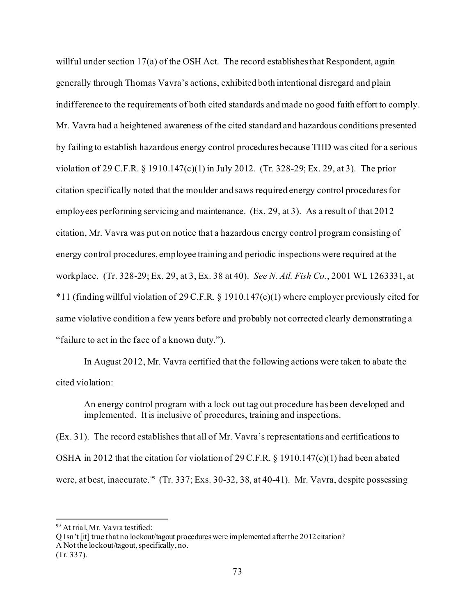willful under section 17(a) of the OSH Act. The record establishes that Respondent, again generally through Thomas Vavra's actions, exhibited both intentional disregard and plain indifference to the requirements of both cited standards and made no good faith effort to comply. Mr. Vavra had a heightened awareness of the cited standard and hazardous conditions presented by failing to establish hazardous energy control procedures because THD was cited for a serious violation of 29 C.F.R. § 1910.147(c)(1) in July 2012. (Tr. 328-29; Ex. 29, at 3). The prior citation specifically noted that the moulder and saws required energy control procedures for employees performing servicing and maintenance. (Ex. 29, at 3). As a result of that 2012 citation, Mr. Vavra was put on notice that a hazardous energy control program consisting of energy control procedures, employee training and periodic inspections were required at the workplace. (Tr. 328-29; Ex. 29, at 3, Ex. 38 at 40). *See N. Atl. Fish Co.*, 2001 WL 1263331, at \*11 (finding willful violation of 29 C.F.R. § 1910.147(c)(1) where employer previously cited for same violative condition a few years before and probably not corrected clearly demonstrating a "failure to act in the face of a known duty.").

 In August 2012, Mr. Vavra certified that the following actions were taken to abate the cited violation:

An energy control program with a lock out tag out procedure has been developed and implemented. It is inclusive of procedures, training and inspections.

(Ex. 31). The record establishes that all of Mr. Vavra's representations and certifications to OSHA in 2012 that the citation for violation of 29 C.F.R. § 1910.147(c)(1) had been abated were, at best, inaccurate.<sup>[99](#page-72-0)</sup> (Tr. 337; Exs. 30-32, 38, at 40-41). Mr. Vavra, despite possessing

<span id="page-72-0"></span><sup>&</sup>lt;sup>99</sup> At trial, Mr. Va vra testified:

Q Isn't [it] true that no lockout/tagout procedures were implemented after the 2012 citation? A Not the lockout/tagout, specifically, no. (Tr. 337).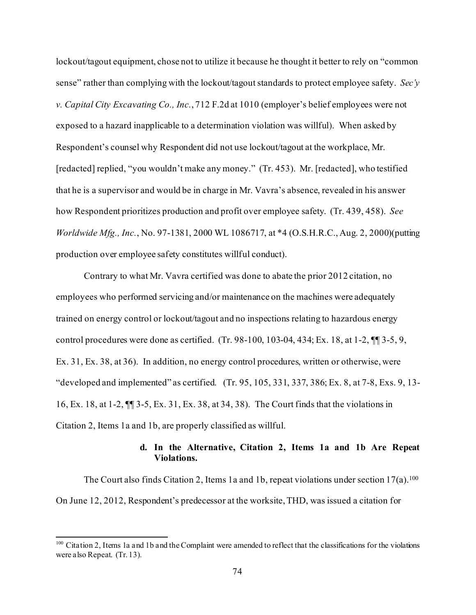lockout/tagout equipment, chose not to utilize it because he thought it better to rely on "common sense" rather than complying with the lockout/tagout standards to protect employee safety. *Sec'y v. [Capital City Excavating Co., Inc.](https://1.next.westlaw.com/Link/Document/FullText?findType=Y&serNum=1983134346&pubNum=0000350&originatingDoc=Ibf7bf8cfd83711e390d4edf60ce7d742&refType=RP&fi=co_pp_sp_350_1010&originationContext=document&transitionType=DocumentItem&contextData=(sc.Search)#co_pp_sp_350_1010)*, 712 F.2d at 1010 (employer's belief employees were not exposed to a hazard inapplicable to a determination violation was willful). When asked by Respondent's counsel why Respondent did not use lockout/tagout at the workplace, Mr. [redacted] replied, "you wouldn't make any money." (Tr. 453). Mr. [redacted], who testified that he is a supervisor and would be in charge in Mr. Vavra's absence, revealed in his answer how Respondent prioritizes production and profit over employee safety. (Tr. 439, 458). *See Worldwide Mfg., Inc.*, No. 97-1381, 2000 WL 1086717, at \*4 (O.S.H.R.C., Aug. 2, 2000)(putting production over employee safety constitutes willful conduct).

Contrary to what Mr. Vavra certified was done to abate the prior 2012 citation, no employees who performed servicing and/or maintenance on the machines were adequately trained on energy control or lockout/tagout and no inspections relating to hazardous energy control procedures were done as certified. (Tr. 98-100, 103-04, 434; Ex. 18, at 1-2, ¶¶ 3-5, 9, Ex. 31, Ex. 38, at 36). In addition, no energy control procedures, written or otherwise, were "developed and implemented" as certified. (Tr. 95, 105, 331, 337, 386; Ex. 8, at 7-8, Exs. 9, 13- 16, Ex. 18, at 1-2, ¶¶ 3-5, Ex. 31, Ex. 38, at 34, 38). The Court finds that the violations in Citation 2, Items 1a and 1b, are properly classified as willful.

#### **d. In the Alternative, Citation 2, Items 1a and 1b Are Repeat Violations.**

The Court also finds Citation 2, Items 1a and 1b, repeat violations under section  $17(a)$ .<sup>100</sup> On June 12, 2012, Respondent's predecessor at the worksite, THD, was issued a citation for

<span id="page-73-0"></span><sup>&</sup>lt;sup>100</sup> Citation 2, Items 1a and 1b and the Complaint were amended to reflect that the classifications for the violations were also Repeat. (Tr. 13).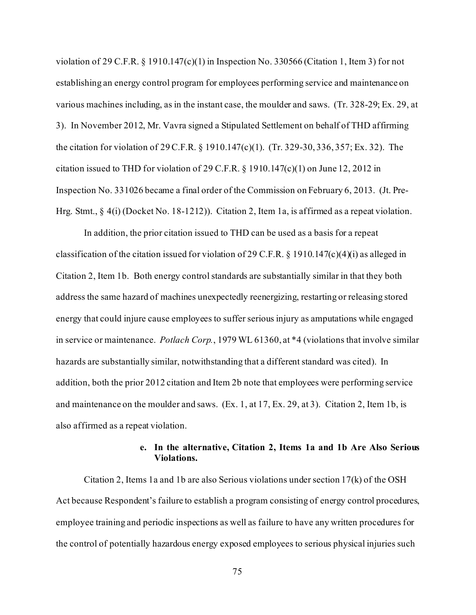violation of 29 C.F.R.  $\S$  1910.147(c)(1) in Inspection No. 330566 (Citation 1, Item 3) for not establishing an energy control program for employees performing service and maintenance on various machines including, as in the instant case, the moulder and saws. (Tr. 328-29; Ex. 29, at 3). In November 2012, Mr. Vavra signed a Stipulated Settlement on behalf of THD affirming the citation for violation of 29 C.F.R. § 1910.147(c)(1). (Tr. 329-30, 336, 357; Ex. 32). The citation issued to THD for violation of 29 C.F.R. § 1910.147(c)(1) on June 12, 2012 in Inspection No. 331026 became a final order of the Commission on February 6, 2013. (Jt. Pre-Hrg. Stmt., § 4(i) (Docket No. 18-1212)). Citation 2, Item 1a, is affirmed as a repeat violation.

In addition, the prior citation issued to THD can be used as a basis for a repeat classification of the citation issued for violation of 29 C.F.R. § 1910.147(c)(4)(i) as alleged in Citation 2, Item 1b. Both energy control standards are substantially similar in that they both address the same hazard of machines unexpectedly reenergizing, restarting or releasing stored energy that could injure cause employees to suffer serious injury as amputations while engaged in service or maintenance. *Potlach Corp.*, 1979 WL 61360, at \*4 (violations that involve similar hazards are substantially similar, notwithstanding that a different standard was cited). In addition, both the prior 2012 citation and Item 2b note that employees were performing service and maintenance on the moulder and saws. (Ex. 1, at 17, Ex. 29, at 3). Citation 2, Item 1b, is also affirmed as a repeat violation.

#### **e. In the alternative, Citation 2, Items 1a and 1b Are Also Serious Violations.**

Citation 2, Items 1a and 1b are also Serious violations under section 17(k) of the OSH Act because Respondent's failure to establish a program consisting of energy control procedures, employee training and periodic inspections as well as failure to have any written procedures for the control of potentially hazardous energy exposed employees to serious physical injuries such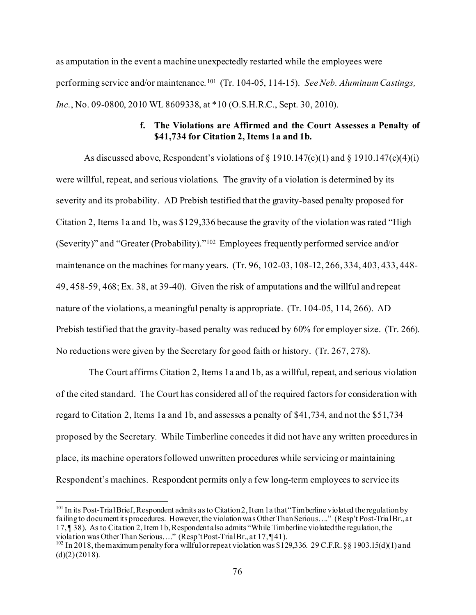as amputation in the event a machine unexpectedly restarted while the employees were performing service and/or maintenance. [101](#page-75-0) (Tr. 104-05, 114-15). *See Neb. Aluminum Castings, Inc.*, No. 09-0800, 2010 WL 8609338, at \*10 (O.S.H.R.C., Sept. 30, 2010).

### **f. The Violations are Affirmed and the Court Assesses a Penalty of \$41,734 for Citation 2, Items 1a and 1b.**

As discussed above, Respondent's violations of  $\S$  1910.147(c)(1) and  $\S$  1910.147(c)(4)(i) were willful, repeat, and serious violations. The gravity of a violation is determined by its severity and its probability. AD Prebish testified that the gravity-based penalty proposed for Citation 2, Items 1a and 1b, was \$129,336 because the gravity of the violation was rated "High (Severity)" and "Greater (Probability)."[102](#page-75-1) Employees frequently performed service and/or maintenance on the machines for many years. (Tr. 96, 102-03, 108-12, 266, 334, 403, 433, 448- 49, 458-59, 468; Ex. 38, at 39-40). Given the risk of amputations and the willful and repeat nature of the violations, a meaningful penalty is appropriate. (Tr. 104-05, 114, 266). AD Prebish testified that the gravity-based penalty was reduced by 60% for employer size. (Tr. 266). No reductions were given by the Secretary for good faith or history. (Tr. 267, 278).

 The Court affirms Citation 2, Items 1a and 1b, as a willful, repeat, and serious violation of the cited standard. The Court has considered all of the required factors for consideration with regard to Citation 2, Items 1a and 1b, and assesses a penalty of \$41,734, and not the \$51,734 proposed by the Secretary. While Timberline concedes it did not have any written procedures in place, its machine operators followed unwritten procedures while servicing or maintaining Respondent's machines. Respondent permits only a few long-term employees to service its

<span id="page-75-0"></span><sup>&</sup>lt;sup>101</sup> In its Post-Trial Brief, Respondent admits as to Citation 2, Item 1 a that "Timberline violated the regulation by failing to document its procedures. However, the violation was Other Than Serious…." (Resp't Post-Trial Br., at 17, ¶ 38). As to Citation 2, Item 1b, Respondent also admits "While Timberline violated the regulation, the violation was Other Than Serious...." (Resp't Post-Trial Br., at 17, ¶ 41).

<span id="page-75-1"></span><sup>&</sup>lt;sup>102</sup> In 2018, the maximum penalty for a willful or repeat violation was \$129,336. 29 C.F.R. §§ 1903.15(d)(1) and  $(d)(2)(2018)$ .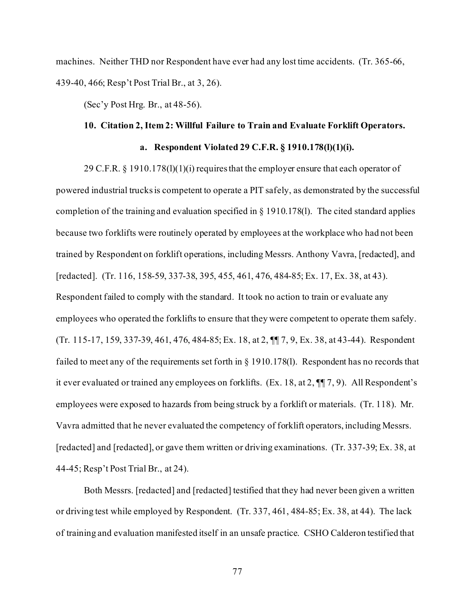machines. Neither THD nor Respondent have ever had any lost time accidents. (Tr. 365-66, 439-40, 466; Resp't Post Trial Br., at 3, 26).

(Sec'y Post Hrg. Br., at 48-56).

# **10. Citation 2, Item 2: Willful Failure to Train and Evaluate Forklift Operators.**

# **a. Respondent Violated 29 C.F.R. § 1910.178(l)(1)(i).**

29 C.F.R. § 1910.178(l)(1)(i) requires that the employer ensure that each operator of powered industrial trucks is competent to operate a PIT safely, as demonstrated by the successful completion of the training and evaluation specified in § 1910.178(l). The cited standard applies because two forklifts were routinely operated by employees at the workplace who had not been trained by Respondent on forklift operations, including Messrs. Anthony Vavra, [redacted], and [redacted]. (Tr. 116, 158-59, 337-38, 395, 455, 461, 476, 484-85; Ex. 17, Ex. 38, at 43). Respondent failed to comply with the standard. It took no action to train or evaluate any employees who operated the forklifts to ensure that they were competent to operate them safely. (Tr. 115-17, 159, 337-39, 461, 476, 484-85; Ex. 18, at 2, ¶¶ 7, 9, Ex. 38, at 43-44). Respondent failed to meet any of the requirements set forth in § 1910.178(l). Respondent has no records that it ever evaluated or trained any employees on forklifts. (Ex. 18, at 2, ¶¶ 7, 9). All Respondent's employees were exposed to hazards from being struck by a forklift or materials. (Tr. 118). Mr. Vavra admitted that he never evaluated the competency of forklift operators, including Messrs. [redacted] and [redacted], or gave them written or driving examinations. (Tr. 337-39; Ex. 38, at 44-45; Resp't Post Trial Br., at 24).

Both Messrs. [redacted] and [redacted] testified that they had never been given a written or driving test while employed by Respondent. (Tr. 337, 461, 484-85; Ex. 38, at 44). The lack of training and evaluation manifested itself in an unsafe practice. CSHO Calderon testified that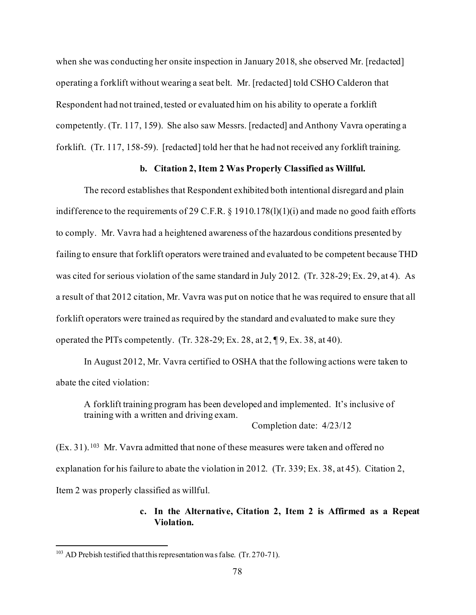when she was conducting her onsite inspection in January 2018, she observed Mr. [redacted] operating a forklift without wearing a seat belt. Mr. [redacted] told CSHO Calderon that Respondent had not trained, tested or evaluated him on his ability to operate a forklift competently. (Tr. 117, 159). She also saw Messrs. [redacted] and Anthony Vavra operating a forklift. (Tr. 117, 158-59). [redacted] told her that he had not received any forklift training.

#### **b. Citation 2, Item 2 Was Properly Classified as Willful.**

The record establishes that Respondent exhibited both intentional disregard and plain indifference to the requirements of 29 C.F.R. § 1910.178(l)(1)(i) and made no good faith efforts to comply. Mr. Vavra had a heightened awareness of the hazardous conditions presented by failing to ensure that forklift operators were trained and evaluated to be competent because THD was cited for serious violation of the same standard in July 2012. (Tr. 328-29; Ex. 29, at 4). As a result of that 2012 citation, Mr. Vavra was put on notice that he was required to ensure that all forklift operators were trained as required by the standard and evaluated to make sure they operated the PITs competently. (Tr. 328-29; Ex. 28, at 2, ¶ 9, Ex. 38, at 40).

In August 2012, Mr. Vavra certified to OSHA that the following actions were taken to abate the cited violation:

A forklift training program has been developed and implemented. It's inclusive of training with a written and driving exam.

Completion date: 4/23/12

(Ex. 31). [103](#page-77-0) Mr. Vavra admitted that none of these measures were taken and offered no explanation for his failure to abate the violation in 2012. (Tr. 339; Ex. 38, at 45). Citation 2, Item 2 was properly classified as willful.

# **c. In the Alternative, Citation 2, Item 2 is Affirmed as a Repeat Violation.**

<span id="page-77-0"></span><sup>&</sup>lt;sup>103</sup> AD Prebish testified that this representation was false. (Tr. 270-71).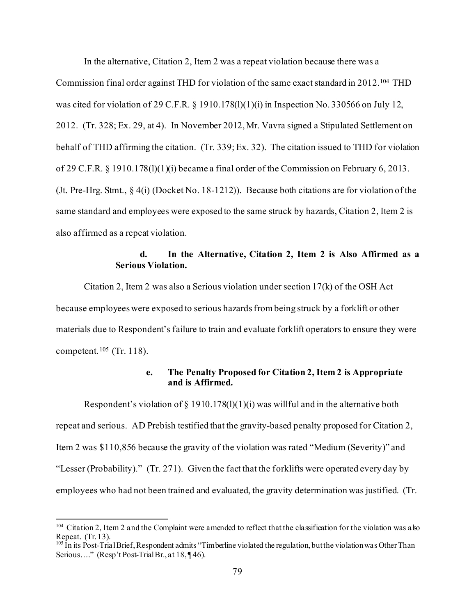In the alternative, Citation 2, Item 2 was a repeat violation because there was a Commission final order against THD for violation of the same exact standard in 2012.[104](#page-78-0) THD was cited for violation of 29 C.F.R. § 1910.178(l)(1)(i) in Inspection No. 330566 on July 12, 2012. (Tr. 328; Ex. 29, at 4). In November 2012, Mr. Vavra signed a Stipulated Settlement on behalf of THD affirming the citation. (Tr. 339; Ex. 32). The citation issued to THD for violation of 29 C.F.R. § 1910.178(l)(1)(i) became a final order of the Commission on February 6, 2013. (Jt. Pre-Hrg. Stmt., § 4(i) (Docket No. 18-1212)). Because both citations are for violation of the same standard and employees were exposed to the same struck by hazards, Citation 2, Item 2 is also affirmed as a repeat violation.

# **d. In the Alternative, Citation 2, Item 2 is Also Affirmed as a Serious Violation.**

Citation 2, Item 2 was also a Serious violation under section  $17(k)$  of the OSH Act because employees were exposed to serious hazards from being struck by a forklift or other materials due to Respondent's failure to train and evaluate forklift operators to ensure they were competent.<sup>[105](#page-78-1)</sup> (Tr. 118).

# **e. The Penalty Proposed for Citation 2, Item 2 is Appropriate and is Affirmed.**

Respondent's violation of  $\S 1910.178(1)(1)(i)$  was willful and in the alternative both repeat and serious. AD Prebish testified that the gravity-based penalty proposed for Citation 2, Item 2 was \$110,856 because the gravity of the violation was rated "Medium (Severity)" and "Lesser (Probability)." (Tr. 271). Given the fact that the forklifts were operated every day by employees who had not been trained and evaluated, the gravity determination was justified. (Tr.

<span id="page-78-0"></span><sup>&</sup>lt;sup>104</sup> Citation 2, Item 2 and the Complaint were amended to reflect that the classification for the violation was also Repeat. (Tr. 13).

<span id="page-78-1"></span> $^{105}$  In its Post-Trial Brief, Respondent admits "Timberline violated the regulation, but the violation was Other Than Serious...." (Resp't Post-Trial Br., at 18, ¶46).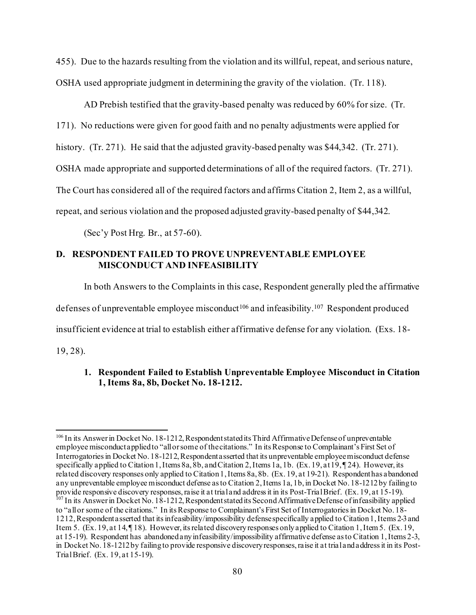455). Due to the hazards resulting from the violation and its willful, repeat, and serious nature, OSHA used appropriate judgment in determining the gravity of the violation. (Tr. 118).

AD Prebish testified that the gravity-based penalty was reduced by 60% for size. (Tr.

171). No reductions were given for good faith and no penalty adjustments were applied for

history. (Tr. 271). He said that the adjusted gravity-based penalty was \$44,342. (Tr. 271).

OSHA made appropriate and supported determinations of all of the required factors. (Tr. 271).

The Court has considered all of the required factors and affirms Citation 2, Item 2, as a willful,

repeat, and serious violation and the proposed adjusted gravity-based penalty of \$44,342.

(Sec'y Post Hrg. Br., at 57-60).

# **D. RESPONDENT FAILED TO PROVE UNPREVENTABLE EMPLOYEE MISCONDUCT AND INFEASIBILITY**

In both Answers to the Complaints in this case, Respondent generally pled the affirmative

defenses of unpreventable employee misconduct<sup>[106](#page-79-0)</sup> and infeasibility.<sup>[107](#page-79-1)</sup> Respondent produced

insufficient evidence at trial to establish either affirmative defense for any violation. (Exs. 18-

19, 28).

# **1. Respondent Failed to Establish Unpreventable Employee Misconduct in Citation 1, Items 8a, 8b, Docket No. 18-1212.**

<span id="page-79-1"></span><span id="page-79-0"></span><sup>&</sup>lt;sup>106</sup> In its Answer in Docket No. 18-1212, Respondent stated its Third Affirmative Defense of unpreventable employee misconduct applied to "all or some of the citations." In its Response to Complainant's First Set of Interrogatories in Docket No. 18-1212, Respondent asserted that its unpreventable employee misconduct defense specifically applied to Citation 1, Items 8a, 8b, and Citation 2, Items 1a, 1b. (Ex. 19, at 19,  $\P$ 24). However, its related discovery responses only applied to Citation 1, Items 8a, 8b. (Ex. 19, at 19-21). Respondent has abandoned any unpreventable employee misconduct defense as to Citation 2, Items 1a, 1b, in Docket No. 18-1212 by failing to provide responsive discovery responses, raise it at trial and address it in its Post-Trial Brief. (Ex. 19, a <sup>107</sup> In its Answer in Docket No. 18-1212, Respondent stated its Second Affirmative Defense of infeasibility applied to "all or some of the citations." In its Response to Complainant's First Set of Interrogatories in Docket No. 18- 1212, Respondent asserted that its infeasibility/impossibility defense specifically applied to Citation 1, Items 2-3 and Item 5. (Ex. 19, at 14, ¶ 18). However, its related discovery responses only applied to Citation 1, Item 5. (Ex. 19, at 15-19). Respondent has abandoned any infeasibility/impossibility affirmative defense as to Citation 1, Items 2-3, in Docket No. 18-1212 by failing to provide responsive discovery responses, raise it at trial and address it in its Post-Trial Brief. (Ex. 19, at 15-19).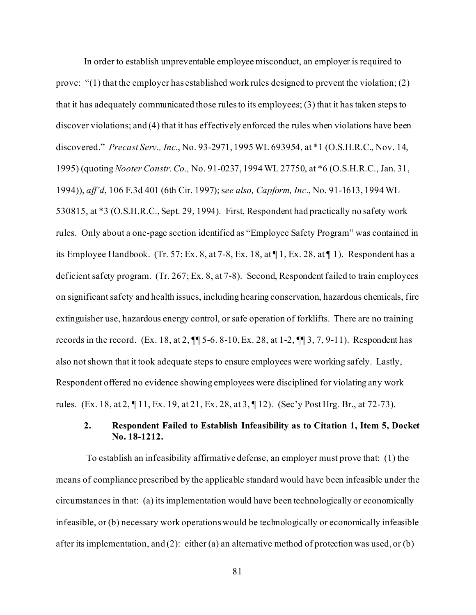In order to establish unpreventable employee misconduct, an employer is required to prove: "(1) that the employer has established work rules designed to prevent the violation; (2) that it has adequately communicated those rules to its employees; (3) that it has taken steps to discover violations; and (4) that it has effectively enforced the rules when violations have been discovered." *Precast Serv., Inc.*, No. 93-2971, 1995 WL 693954, at \*1 (O.S.H.R.C., Nov. 14, 1995) (quoting *Nooter Constr. Co.,* No. 91-0237, 1994 WL 27750, at \*6 (O.S.H.R.C., Jan. 31, 1994)), *aff'd*, 106 F.3d 401 (6th Cir. 1997); s*ee also, Capform, Inc.*, No. 91-1613, 1994 WL 530815, at \*3 (O.S.H.R.C., Sept. 29, 1994). First, Respondent had practically no safety work rules. Only about a one-page section identified as "Employee Safety Program" was contained in its Employee Handbook. (Tr. 57; Ex. 8, at 7-8, Ex. 18, at ¶ 1, Ex. 28, at ¶ 1). Respondent has a deficient safety program. (Tr. 267; Ex. 8, at 7-8). Second, Respondent failed to train employees on significant safety and health issues, including hearing conservation, hazardous chemicals, fire extinguisher use, hazardous energy control, or safe operation of forklifts. There are no training records in the record. (Ex. 18, at 2,  $\P$  5-6. 8-10, Ex. 28, at 1-2,  $\P$  3, 7, 9-11). Respondent has also not shown that it took adequate steps to ensure employees were working safely. Lastly, Respondent offered no evidence showing employees were disciplined for violating any work rules. (Ex. 18, at 2, ¶ 11, Ex. 19, at 21, Ex. 28, at 3, ¶ 12). (Sec'y Post Hrg. Br., at 72-73).

# **2. Respondent Failed to Establish Infeasibility as to Citation 1, Item 5, Docket No. 18-1212.**

 To establish an infeasibility affirmative defense, an employer must prove that: (1) the means of compliance prescribed by the applicable standard would have been infeasible under the circumstances in that: (a) its implementation would have been technologically or economically infeasible, or (b) necessary work operations would be technologically or economically infeasible after its implementation, and  $(2)$ : either (a) an alternative method of protection was used, or (b)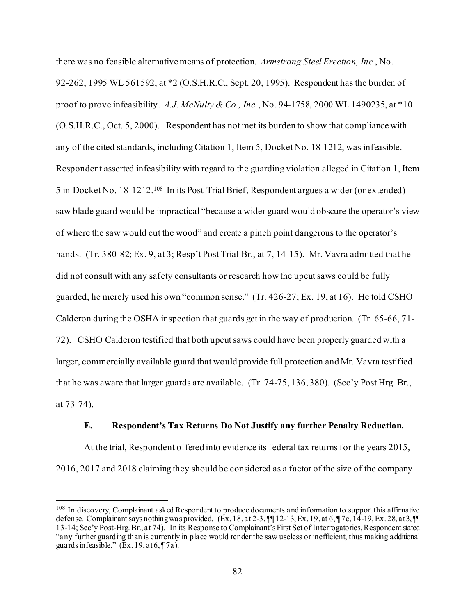there was no feasible alternative means of protection. *Armstrong Steel Erection, Inc.*, No. 92-262, 1995 WL 561592, at \*2 (O.S.H.R.C., Sept. 20, 1995). Respondent has the burden of proof to prove infeasibility. *A.J. McNulty & Co., Inc.*, No. 94-1758, 2000 WL 1490235, at \*10 (O.S.H.R.C., Oct. 5, 2000). Respondent has not met its burden to show that compliance with any of the cited standards, including Citation 1, Item 5, Docket No. 18-1212, was infeasible. Respondent asserted infeasibility with regard to the guarding violation alleged in Citation 1, Item 5 in Docket No. 18-1212.[108](#page-81-0) In its Post-Trial Brief, Respondent argues a wider (or extended) saw blade guard would be impractical "because a wider guard would obscure the operator's view of where the saw would cut the wood" and create a pinch point dangerous to the operator's hands. (Tr. 380-82; Ex. 9, at 3; Resp't Post Trial Br., at 7, 14-15). Mr. Vavra admitted that he did not consult with any safety consultants or research how the upcut saws could be fully guarded, he merely used his own "common sense." (Tr. 426-27; Ex. 19, at 16). He told CSHO Calderon during the OSHA inspection that guards get in the way of production. (Tr. 65-66, 71- 72). CSHO Calderon testified that both upcut saws could have been properly guarded with a larger, commercially available guard that would provide full protection and Mr. Vavra testified that he was aware that larger guards are available. (Tr. 74-75, 136, 380). (Sec'y Post Hrg. Br., at 73-74).

#### **E. Respondent's Tax Returns Do Not Justify any further Penalty Reduction.**

At the trial, Respondent offered into evidence its federal tax returns for the years 2015, 2016, 2017 and 2018 claiming they should be considered as a factor of the size of the company

<span id="page-81-0"></span><sup>&</sup>lt;sup>108</sup> In discovery, Complainant asked Respondent to produce documents and information to support this affirmative defense. Complainant says nothing was provided.  $(Ex. 18, at 2-3, \P\P 12-13, Ex. 19, at 6, \P 7c, 14-19, Ex. 28, at 3, \P\P$ 13-14; Sec'y Post-Hrg. Br., at 74). In its Response to Complainant's First Set of Interrogatories, Respondent stated "any further guarding than is currently in place would render the saw useless or inefficient, thus making additional guards infeasible."  $(Ex. 19, at 6, 17a)$ .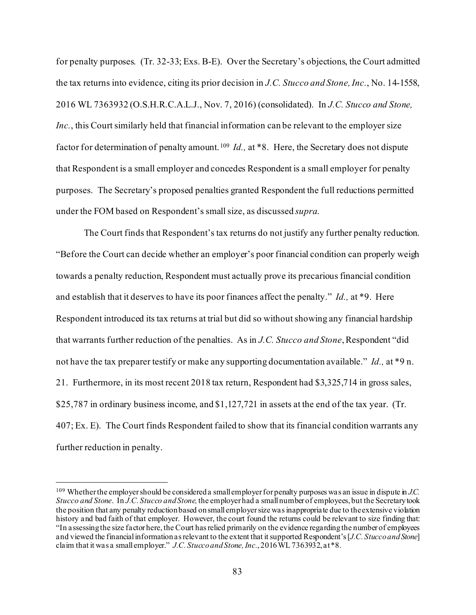for penalty purposes. (Tr. 32-33; Exs. B-E). Over the Secretary's objections, the Court admitted the tax returns into evidence, citing its prior decision in *J.C. Stucco and Stone, Inc.*, No. 14-1558, 2016 WL 7363932 (O.S.H.R.C.A.L.J., Nov. 7, 2016) (consolidated). In *J.C. Stucco and Stone, Inc.*, this Court similarly held that financial information can be relevant to the employer size factor for determination of penalty amount. [109](#page-82-0) *Id.,* at \*8. Here, the Secretary does not dispute that Respondent is a small employer and concedes Respondent is a small employer for penalty purposes. The Secretary's proposed penalties granted Respondent the full reductions permitted under the FOM based on Respondent's small size, as discussed *supra*.

The Court finds that Respondent's tax returns do not justify any further penalty reduction. "Before the Court can decide whether an employer's poor financial condition can properly weigh towards a penalty reduction, Respondent must actually prove its precarious financial condition and establish that it deserves to have its poor finances affect the penalty." *Id.,* at \*9. Here Respondent introduced its tax returns at trial but did so without showing any financial hardship that warrants further reduction of the penalties. As in *J.C. Stucco and Stone*, Respondent "did not have the tax preparer testify or make any supporting documentation available." *Id.,* at \*9 n. 21. Furthermore, in its most recent 2018 tax return, Respondent had \$3,325,714 in gross sales, \$25,787 in ordinary business income, and \$1,127,721 in assets at the end of the tax year. (Tr. 407; Ex. E). The Court finds Respondent failed to show that its financial condition warrants any further reduction in penalty.

<span id="page-82-0"></span><sup>109</sup> Whether the employer should be considered a small employer for penalty purposes was an issue in dispute in *J.C. Stucco and Stone*. In *J.C. Stucco and Stone,*the employer had a small number of employees, but the Secretary took the position that any penalty reduction based on small employer size was inappropriate due to the extensive violation history and bad faith of that employer. However, the court found the returns could be relevant to size finding that: "In assessing the size factor here, the Court has relied primarily on the evidence regarding the number of employees and viewed the financial information as relevant to the extent that it supported Respondent's [*J.C. Stucco and Stone*] claim that it was a small employer." *J.C. Stucco and Stone, Inc.*, 2016 WL 7363932, at \*8.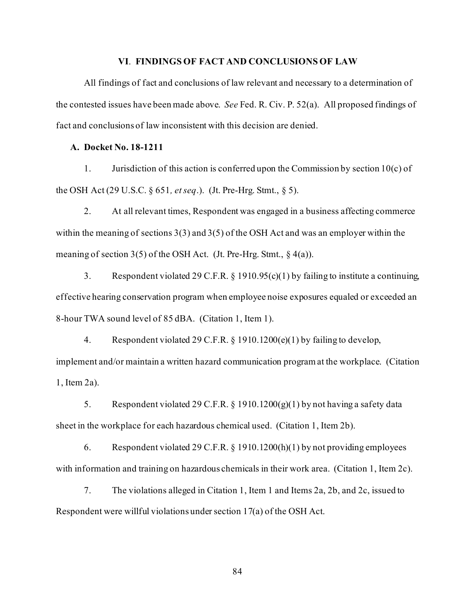#### **VI**. **FINDINGS OF FACT AND CONCLUSIONS OF LAW**

All findings of fact and conclusions of law relevant and necessary to a determination of the contested issues have been made above. *See* Fed. R. Civ. P. 52(a). All proposed findings of fact and conclusions of law inconsistent with this decision are denied.

#### **A. Docket No. 18-1211**

1. Jurisdiction of this action is conferred upon the Commission by section  $10(c)$  of the OSH Act (29 U.S.C. § 651*, et seq*.). (Jt. Pre-Hrg. Stmt., § 5).

2. At all relevant times, Respondent was engaged in a business affecting commerce within the meaning of sections 3(3) and 3(5) of the OSH Act and was an employer within the meaning of section  $3(5)$  of the OSH Act. (Jt. Pre-Hrg. Stmt., § 4(a)).

3. Respondent violated 29 C.F.R. § 1910.95(c)(1) by failing to institute a continuing, effective hearing conservation program when employee noise exposures equaled or exceeded an 8-hour TWA sound level of 85 dBA. (Citation 1, Item 1).

4. Respondent violated 29 C.F.R. § 1910.1200(e)(1) by failing to develop, implement and/or maintain a written hazard communication program at the workplace. (Citation 1, Item 2a).

5. Respondent violated 29 C.F.R. § 1910.1200(g)(1) by not having a safety data sheet in the workplace for each hazardous chemical used. (Citation 1, Item 2b).

6. Respondent violated 29 C.F.R. § 1910.1200(h)(1) by not providing employees with information and training on hazardous chemicals in their work area. (Citation 1, Item 2c).

7. The violations alleged in Citation 1, Item 1 and Items 2a, 2b, and 2c, issued to Respondent were willful violations under section 17(a) of the OSH Act.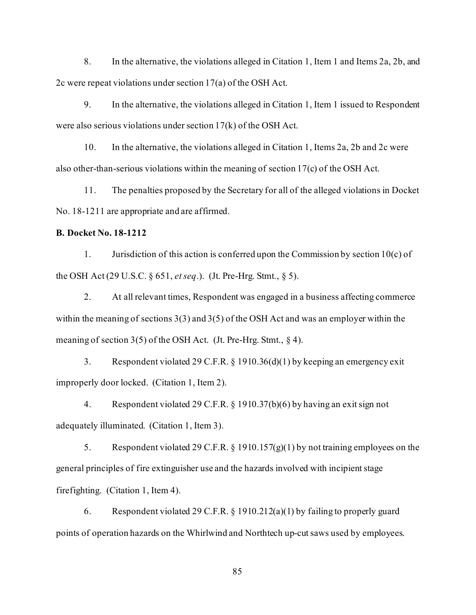8. In the alternative, the violations alleged in Citation 1, Item 1 and Items 2a, 2b, and 2c were repeat violations under section 17(a) of the OSH Act.

9. In the alternative, the violations alleged in Citation 1, Item 1 issued to Respondent were also serious violations under section 17(k) of the OSH Act.

10. In the alternative, the violations alleged in Citation 1, Items 2a, 2b and 2c were also other-than-serious violations within the meaning of section 17(c) of the OSH Act.

11. The penalties proposed by the Secretary for all of the alleged violations in Docket No. 18-1211 are appropriate and are affirmed.

# **B. Docket No. 18-1212**

1. Jurisdiction of this action is conferred upon the Commission by section 10(c) of the OSH Act (29 U.S.C. § 651, *et seq*.). (Jt. Pre-Hrg. Stmt., § 5).

2. At all relevant times, Respondent was engaged in a business affecting commerce within the meaning of sections 3(3) and 3(5) of the OSH Act and was an employer within the meaning of section 3(5) of the OSH Act. (Jt. Pre-Hrg. Stmt., § 4).

3. Respondent violated 29 C.F.R. § 1910.36(d)(1) by keeping an emergency exit improperly door locked. (Citation 1, Item 2).

4. Respondent violated 29 C.F.R. § 1910.37(b)(6) by having an exit sign not adequately illuminated. (Citation 1, Item 3).

5. Respondent violated 29 C.F.R. § 1910.157(g)(1) by not training employees on the general principles of fire extinguisher use and the hazards involved with incipient stage firefighting. (Citation 1, Item 4).

6. Respondent violated 29 C.F.R. § 1910.212(a)(1) by failing to properly guard points of operation hazards on the Whirlwind and Northtech up-cut saws used by employees.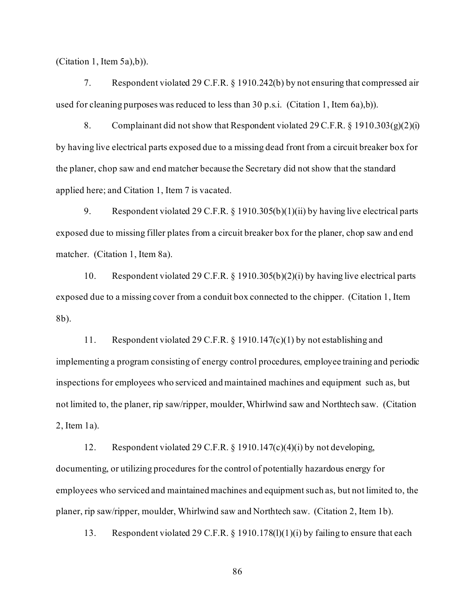(Citation 1, Item 5a),b)).

7. Respondent violated 29 C.F.R. § 1910.242(b) by not ensuring that compressed air used for cleaning purposes was reduced to less than  $30$  p.s.i. (Citation 1, Item 6a),b)).

8. Complainant did not show that Respondent violated 29 C.F.R.  $\S$  1910.303(g)(2)(i) by having live electrical parts exposed due to a missing dead front from a circuit breaker box for the planer, chop saw and end matcher because the Secretary did not show that the standard applied here; and Citation 1, Item 7 is vacated.

9. Respondent violated 29 C.F.R. § 1910.305(b)(1)(ii) by having live electrical parts exposed due to missing filler plates from a circuit breaker box for the planer, chop saw and end matcher. (Citation 1, Item 8a).

10. Respondent violated 29 C.F.R. § 1910.305(b)(2)(i) by having live electrical parts exposed due to a missing cover from a conduit box connected to the chipper. (Citation 1, Item 8b).

11. Respondent violated 29 C.F.R. § 1910.147(c)(1) by not establishing and implementing a program consisting of energy control procedures, employee training and periodic inspections for employees who serviced and maintained machines and equipment such as, but not limited to, the planer, rip saw/ripper, moulder, Whirlwind saw and Northtech saw. (Citation 2, Item 1a).

12. Respondent violated 29 C.F.R. § 1910.147(c)(4)(i) by not developing, documenting, or utilizing procedures for the control of potentially hazardous energy for employees who serviced and maintained machines and equipment such as, but not limited to, the planer, rip saw/ripper, moulder, Whirlwind saw and Northtech saw. (Citation 2, Item 1b).

13. Respondent violated 29 C.F.R. § 1910.178(l)(1)(i) by failing to ensure that each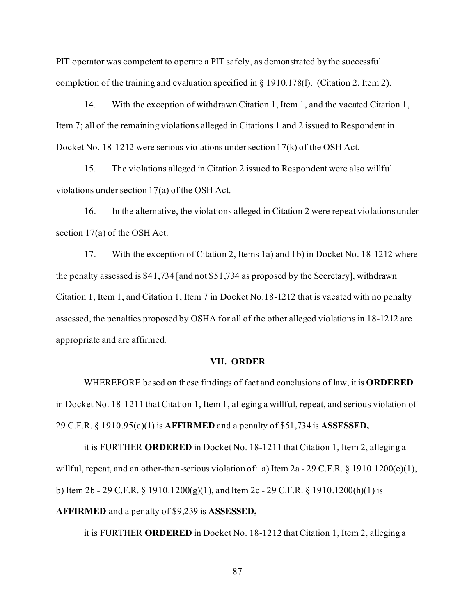PIT operator was competent to operate a PIT safely, as demonstrated by the successful completion of the training and evaluation specified in § 1910.178(l). (Citation 2, Item 2).

14. With the exception of withdrawn Citation 1, Item 1, and the vacated Citation 1, Item 7; all of the remaining violations alleged in Citations 1 and 2 issued to Respondent in Docket No. 18-1212 were serious violations under section 17(k) of the OSH Act.

15. The violations alleged in Citation 2 issued to Respondent were also willful violations under section 17(a) of the OSH Act.

16. In the alternative, the violations alleged in Citation 2 were repeat violations under section 17(a) of the OSH Act.

17. With the exception of Citation 2, Items 1a) and 1b) in Docket No. 18-1212 where the penalty assessed is \$41,734 [and not \$51,734 as proposed by the Secretary], withdrawn Citation 1, Item 1, and Citation 1, Item 7 in Docket No.18-1212 that is vacated with no penalty assessed, the penalties proposed by OSHA for all of the other alleged violations in 18-1212 are appropriate and are affirmed.

#### **VII. ORDER**

WHEREFORE based on these findings of fact and conclusions of law, it is **ORDERED** in Docket No. 18-1211 that Citation 1, Item 1, alleging a willful, repeat, and serious violation of 29 C.F.R. § 1910.95(c)(1) is **AFFIRMED** and a penalty of \$51,734 is **ASSESSED,** 

it is FURTHER **ORDERED** in Docket No. 18-1211 that Citation 1, Item 2, alleging a willful, repeat, and an other-than-serious violation of: a) Item 2a - 29 C.F.R. § 1910.1200(e)(1), b) Item 2b - 29 C.F.R. § 1910.1200(g)(1), and Item 2c - 29 C.F.R. § 1910.1200(h)(1) is **AFFIRMED** and a penalty of \$9,239 is **ASSESSED,** 

it is FURTHER **ORDERED** in Docket No. 18-1212 that Citation 1, Item 2, alleging a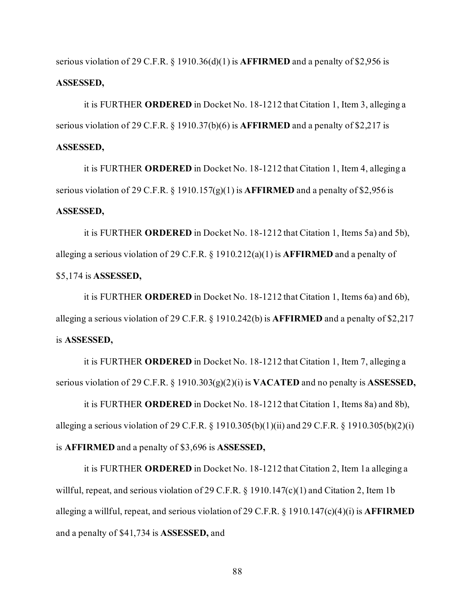serious violation of 29 C.F.R. § 1910.36(d)(1) is **AFFIRMED** and a penalty of \$2,956 is **ASSESSED,** 

it is FURTHER **ORDERED** in Docket No. 18-1212 that Citation 1, Item 3, alleging a serious violation of 29 C.F.R. § 1910.37(b)(6) is **AFFIRMED** and a penalty of \$2,217 is **ASSESSED,** 

it is FURTHER **ORDERED** in Docket No. 18-1212 that Citation 1, Item 4, alleging a serious violation of 29 C.F.R. § 1910.157(g)(1) is **AFFIRMED** and a penalty of \$2,956 is **ASSESSED,** 

it is FURTHER **ORDERED** in Docket No. 18-1212 that Citation 1, Items 5a) and 5b), alleging a serious violation of 29 C.F.R. § 1910.212(a)(1) is **AFFIRMED** and a penalty of \$5,174 is **ASSESSED,** 

it is FURTHER **ORDERED** in Docket No. 18-1212 that Citation 1, Items 6a) and 6b), alleging a serious violation of 29 C.F.R. § 1910.242(b) is **AFFIRMED** and a penalty of \$2,217 is **ASSESSED,** 

it is FURTHER **ORDERED** in Docket No. 18-1212 that Citation 1, Item 7, alleging a serious violation of 29 C.F.R. § 1910.303(g)(2)(i) is **VACATED** and no penalty is **ASSESSED,** 

it is FURTHER **ORDERED** in Docket No. 18-1212 that Citation 1, Items 8a) and 8b), alleging a serious violation of 29 C.F.R. § 1910.305(b)(1)(ii) and 29 C.F.R. § 1910.305(b)(2)(i) is **AFFIRMED** and a penalty of \$3,696 is **ASSESSED,** 

it is FURTHER **ORDERED** in Docket No. 18-1212 that Citation 2, Item 1a alleging a willful, repeat, and serious violation of 29 C.F.R. § 1910.147(c)(1) and Citation 2, Item 1b alleging a willful, repeat, and serious violation of 29 C.F.R. § 1910.147(c)(4)(i) is **AFFIRMED** and a penalty of \$41,734 is **ASSESSED,** and